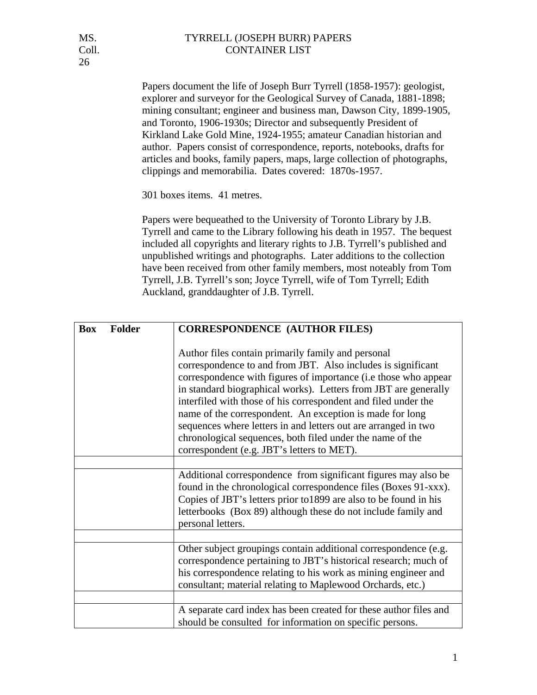Papers document the life of Joseph Burr Tyrrell (1858-1957): geologist, explorer and surveyor for the Geological Survey of Canada, 1881-1898; mining consultant; engineer and business man, Dawson City, 1899-1905, and Toronto, 1906-1930s; Director and subsequently President of Kirkland Lake Gold Mine, 1924-1955; amateur Canadian historian and author. Papers consist of correspondence, reports, notebooks, drafts for articles and books, family papers, maps, large collection of photographs, clippings and memorabilia. Dates covered: 1870s-1957.

301 boxes items. 41 metres.

Papers were bequeathed to the University of Toronto Library by J.B. Tyrrell and came to the Library following his death in 1957. The bequest included all copyrights and literary rights to J.B. Tyrrell's published and unpublished writings and photographs. Later additions to the collection have been received from other family members, most noteably from Tom Tyrrell, J.B. Tyrrell's son; Joyce Tyrrell, wife of Tom Tyrrell; Edith Auckland, granddaughter of J.B. Tyrrell.

| <b>Folder</b><br><b>Box</b> | <b>CORRESPONDENCE (AUTHOR FILES)</b>                                                                                                                                                                                                                                                                                                                                                                                                                                                                                                                                |
|-----------------------------|---------------------------------------------------------------------------------------------------------------------------------------------------------------------------------------------------------------------------------------------------------------------------------------------------------------------------------------------------------------------------------------------------------------------------------------------------------------------------------------------------------------------------------------------------------------------|
|                             | Author files contain primarily family and personal<br>correspondence to and from JBT. Also includes is significant<br>correspondence with figures of importance (i.e those who appear<br>in standard biographical works). Letters from JBT are generally<br>interfiled with those of his correspondent and filed under the<br>name of the correspondent. An exception is made for long<br>sequences where letters in and letters out are arranged in two<br>chronological sequences, both filed under the name of the<br>correspondent (e.g. JBT's letters to MET). |
|                             |                                                                                                                                                                                                                                                                                                                                                                                                                                                                                                                                                                     |
|                             | Additional correspondence from significant figures may also be<br>found in the chronological correspondence files (Boxes 91-xxx).<br>Copies of JBT's letters prior to 1899 are also to be found in his<br>letterbooks (Box 89) although these do not include family and<br>personal letters.                                                                                                                                                                                                                                                                        |
|                             |                                                                                                                                                                                                                                                                                                                                                                                                                                                                                                                                                                     |
|                             | Other subject groupings contain additional correspondence (e.g.<br>correspondence pertaining to JBT's historical research; much of<br>his correspondence relating to his work as mining engineer and<br>consultant; material relating to Maplewood Orchards, etc.)                                                                                                                                                                                                                                                                                                  |
|                             |                                                                                                                                                                                                                                                                                                                                                                                                                                                                                                                                                                     |
|                             | A separate card index has been created for these author files and<br>should be consulted for information on specific persons.                                                                                                                                                                                                                                                                                                                                                                                                                                       |

26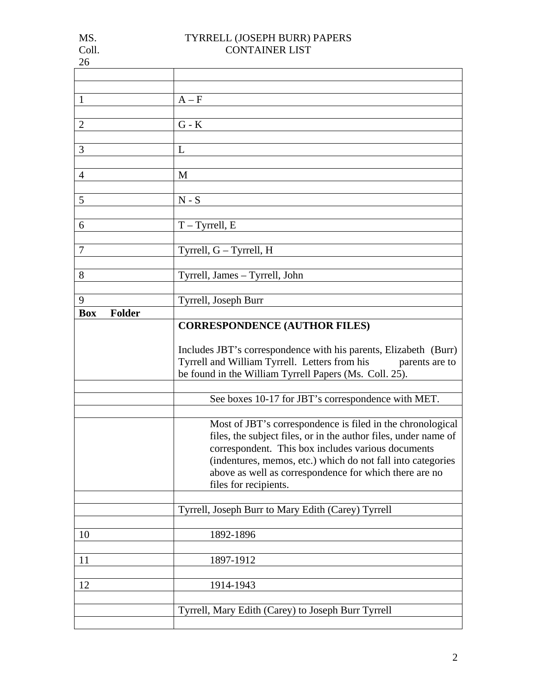| IVI.  |  |
|-------|--|
| Coll. |  |
| 26    |  |

| 1                           | $A - F$                                                                                                                                                                                                                                                                                                                               |  |
|-----------------------------|---------------------------------------------------------------------------------------------------------------------------------------------------------------------------------------------------------------------------------------------------------------------------------------------------------------------------------------|--|
|                             |                                                                                                                                                                                                                                                                                                                                       |  |
|                             |                                                                                                                                                                                                                                                                                                                                       |  |
| $\overline{2}$              | ${\bf G}$ - ${\bf K}$                                                                                                                                                                                                                                                                                                                 |  |
|                             |                                                                                                                                                                                                                                                                                                                                       |  |
| 3                           | L                                                                                                                                                                                                                                                                                                                                     |  |
|                             |                                                                                                                                                                                                                                                                                                                                       |  |
|                             |                                                                                                                                                                                                                                                                                                                                       |  |
| $\overline{4}$              | M                                                                                                                                                                                                                                                                                                                                     |  |
|                             |                                                                                                                                                                                                                                                                                                                                       |  |
| 5                           | $N-S$                                                                                                                                                                                                                                                                                                                                 |  |
|                             |                                                                                                                                                                                                                                                                                                                                       |  |
| 6                           | $T - Tyrrell, E$                                                                                                                                                                                                                                                                                                                      |  |
|                             |                                                                                                                                                                                                                                                                                                                                       |  |
|                             |                                                                                                                                                                                                                                                                                                                                       |  |
| $\tau$                      | Tyrrell, G - Tyrrell, H                                                                                                                                                                                                                                                                                                               |  |
|                             |                                                                                                                                                                                                                                                                                                                                       |  |
| 8                           | Tyrrell, James - Tyrrell, John                                                                                                                                                                                                                                                                                                        |  |
|                             |                                                                                                                                                                                                                                                                                                                                       |  |
|                             |                                                                                                                                                                                                                                                                                                                                       |  |
| 9                           | Tyrrell, Joseph Burr                                                                                                                                                                                                                                                                                                                  |  |
| <b>Folder</b><br><b>Box</b> |                                                                                                                                                                                                                                                                                                                                       |  |
|                             | <b>CORRESPONDENCE (AUTHOR FILES)</b>                                                                                                                                                                                                                                                                                                  |  |
|                             | Includes JBT's correspondence with his parents, Elizabeth (Burr)<br>Tyrrell and William Tyrrell. Letters from his parents are to<br>be found in the William Tyrrell Papers (Ms. Coll. 25).                                                                                                                                            |  |
|                             | See boxes 10-17 for JBT's correspondence with MET.                                                                                                                                                                                                                                                                                    |  |
|                             |                                                                                                                                                                                                                                                                                                                                       |  |
|                             |                                                                                                                                                                                                                                                                                                                                       |  |
|                             | Most of JBT's correspondence is filed in the chronological<br>files, the subject files, or in the author files, under name of<br>correspondent. This box includes various documents<br>(indentures, memos, etc.) which do not fall into categories<br>above as well as correspondence for which there are no<br>files for recipients. |  |
|                             |                                                                                                                                                                                                                                                                                                                                       |  |
|                             | Tyrrell, Joseph Burr to Mary Edith (Carey) Tyrrell                                                                                                                                                                                                                                                                                    |  |
|                             |                                                                                                                                                                                                                                                                                                                                       |  |
| 10                          | 1892-1896                                                                                                                                                                                                                                                                                                                             |  |
|                             |                                                                                                                                                                                                                                                                                                                                       |  |
|                             |                                                                                                                                                                                                                                                                                                                                       |  |
| 11                          | 1897-1912                                                                                                                                                                                                                                                                                                                             |  |
|                             |                                                                                                                                                                                                                                                                                                                                       |  |
| 12                          | 1914-1943                                                                                                                                                                                                                                                                                                                             |  |
|                             |                                                                                                                                                                                                                                                                                                                                       |  |
|                             | Tyrrell, Mary Edith (Carey) to Joseph Burr Tyrrell                                                                                                                                                                                                                                                                                    |  |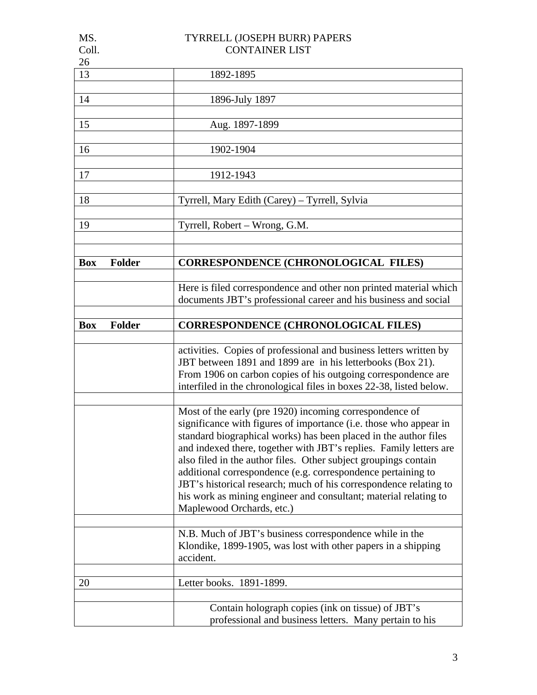| MS.        |               | TYRRELL (JOSEPH BURR) PAPERS                                        |
|------------|---------------|---------------------------------------------------------------------|
| Coll.      |               | <b>CONTAINER LIST</b>                                               |
| 26         |               |                                                                     |
| 13         |               | 1892-1895                                                           |
|            |               |                                                                     |
| 14         |               | 1896-July 1897                                                      |
|            |               |                                                                     |
| 15         |               | Aug. 1897-1899                                                      |
|            |               |                                                                     |
| 16         |               | 1902-1904                                                           |
|            |               |                                                                     |
| 17         |               | 1912-1943                                                           |
|            |               |                                                                     |
| 18         |               | Tyrrell, Mary Edith (Carey) – Tyrrell, Sylvia                       |
|            |               |                                                                     |
| 19         |               | Tyrrell, Robert - Wrong, G.M.                                       |
|            |               |                                                                     |
|            |               |                                                                     |
| <b>Box</b> | <b>Folder</b> | <b>CORRESPONDENCE (CHRONOLOGICAL FILES)</b>                         |
|            |               |                                                                     |
|            |               |                                                                     |
|            |               | Here is filed correspondence and other non printed material which   |
|            |               | documents JBT's professional career and his business and social     |
|            |               |                                                                     |
| <b>Box</b> | <b>Folder</b> | <b>CORRESPONDENCE (CHRONOLOGICAL FILES)</b>                         |
|            |               |                                                                     |
|            |               | activities. Copies of professional and business letters written by  |
|            |               | JBT between 1891 and 1899 are in his letterbooks (Box 21).          |
|            |               | From 1906 on carbon copies of his outgoing correspondence are       |
|            |               | interfiled in the chronological files in boxes 22-38, listed below. |
|            |               |                                                                     |
|            |               | Most of the early (pre 1920) incoming correspondence of             |
|            |               | significance with figures of importance (i.e. those who appear in   |
|            |               | standard biographical works) has been placed in the author files    |
|            |               | and indexed there, together with JBT's replies. Family letters are  |
|            |               | also filed in the author files. Other subject groupings contain     |
|            |               | additional correspondence (e.g. correspondence pertaining to        |
|            |               | JBT's historical research; much of his correspondence relating to   |
|            |               | his work as mining engineer and consultant; material relating to    |
|            |               | Maplewood Orchards, etc.)                                           |
|            |               |                                                                     |
|            |               | N.B. Much of JBT's business correspondence while in the             |
|            |               | Klondike, 1899-1905, was lost with other papers in a shipping       |
|            |               | accident.                                                           |
|            |               |                                                                     |
| 20         |               | Letter books. 1891-1899.                                            |
|            |               |                                                                     |
|            |               |                                                                     |
|            |               | Contain holograph copies (ink on tissue) of JBT's                   |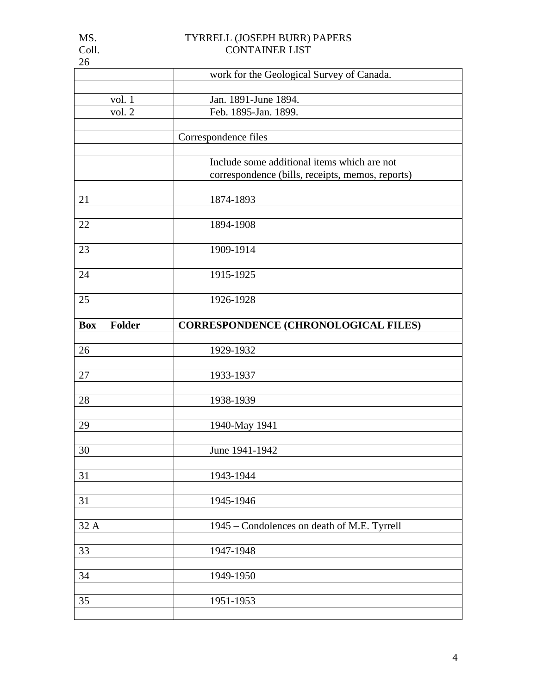|                      | work for the Geological Survey of Canada.        |
|----------------------|--------------------------------------------------|
| vol. 1               | Jan. 1891-June 1894.                             |
| vol. 2               | Feb. 1895-Jan. 1899.                             |
|                      | Correspondence files                             |
|                      | Include some additional items which are not      |
|                      | correspondence (bills, receipts, memos, reports) |
| 21                   | 1874-1893                                        |
| 22                   | 1894-1908                                        |
| 23                   | 1909-1914                                        |
| 24                   | 1915-1925                                        |
| 25                   | 1926-1928                                        |
| <b>Box</b><br>Folder | <b>CORRESPONDENCE (CHRONOLOGICAL FILES)</b>      |
| 26                   | 1929-1932                                        |
| 27                   | 1933-1937                                        |
|                      |                                                  |
| 28                   |                                                  |
|                      | 1938-1939                                        |
| 29                   | 1940-May 1941                                    |
| 30                   | June 1941-1942                                   |
| 31                   | 1943-1944                                        |
| 31                   | 1945-1946                                        |
| 32 A                 | 1945 - Condolences on death of M.E. Tyrrell      |
| 33                   | 1947-1948                                        |
| 34                   | 1949-1950                                        |

26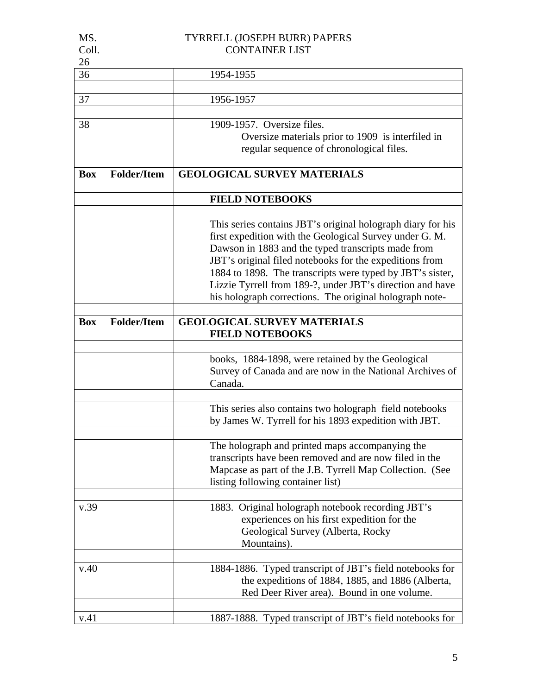| MS.        |                       | TYRRELL (JOSEPH BURR) PAPERS                                                                                                                                                                                                                                                                                                                                                                                                 |  |
|------------|-----------------------|------------------------------------------------------------------------------------------------------------------------------------------------------------------------------------------------------------------------------------------------------------------------------------------------------------------------------------------------------------------------------------------------------------------------------|--|
| Coll.      | <b>CONTAINER LIST</b> |                                                                                                                                                                                                                                                                                                                                                                                                                              |  |
| 26         |                       |                                                                                                                                                                                                                                                                                                                                                                                                                              |  |
| 36         |                       | 1954-1955                                                                                                                                                                                                                                                                                                                                                                                                                    |  |
| 37         |                       | 1956-1957                                                                                                                                                                                                                                                                                                                                                                                                                    |  |
| 38         |                       | 1909-1957. Oversize files.                                                                                                                                                                                                                                                                                                                                                                                                   |  |
|            |                       | Oversize materials prior to 1909 is interfiled in<br>regular sequence of chronological files.                                                                                                                                                                                                                                                                                                                                |  |
| <b>Box</b> | <b>Folder/Item</b>    | <b>GEOLOGICAL SURVEY MATERIALS</b>                                                                                                                                                                                                                                                                                                                                                                                           |  |
|            |                       | <b>FIELD NOTEBOOKS</b>                                                                                                                                                                                                                                                                                                                                                                                                       |  |
|            |                       | This series contains JBT's original holograph diary for his<br>first expedition with the Geological Survey under G. M.<br>Dawson in 1883 and the typed transcripts made from<br>JBT's original filed notebooks for the expeditions from<br>1884 to 1898. The transcripts were typed by JBT's sister,<br>Lizzie Tyrrell from 189-?, under JBT's direction and have<br>his holograph corrections. The original holograph note- |  |
| <b>Box</b> | <b>Folder/Item</b>    | <b>GEOLOGICAL SURVEY MATERIALS</b><br><b>FIELD NOTEBOOKS</b>                                                                                                                                                                                                                                                                                                                                                                 |  |
|            |                       | books, 1884-1898, were retained by the Geological<br>Survey of Canada and are now in the National Archives of<br>Canada.                                                                                                                                                                                                                                                                                                     |  |
|            |                       | This series also contains two holograph field notebooks<br>by James W. Tyrrell for his 1893 expedition with JBT.                                                                                                                                                                                                                                                                                                             |  |
|            |                       | The holograph and printed maps accompanying the<br>transcripts have been removed and are now filed in the<br>Mapcase as part of the J.B. Tyrrell Map Collection. (See<br>listing following container list)                                                                                                                                                                                                                   |  |
| v.39       |                       | 1883. Original holograph notebook recording JBT's<br>experiences on his first expedition for the<br>Geological Survey (Alberta, Rocky<br>Mountains).                                                                                                                                                                                                                                                                         |  |
| v.40       |                       | 1884-1886. Typed transcript of JBT's field notebooks for<br>the expeditions of 1884, 1885, and 1886 (Alberta,<br>Red Deer River area). Bound in one volume.                                                                                                                                                                                                                                                                  |  |
| v.41       |                       | 1887-1888. Typed transcript of JBT's field notebooks for                                                                                                                                                                                                                                                                                                                                                                     |  |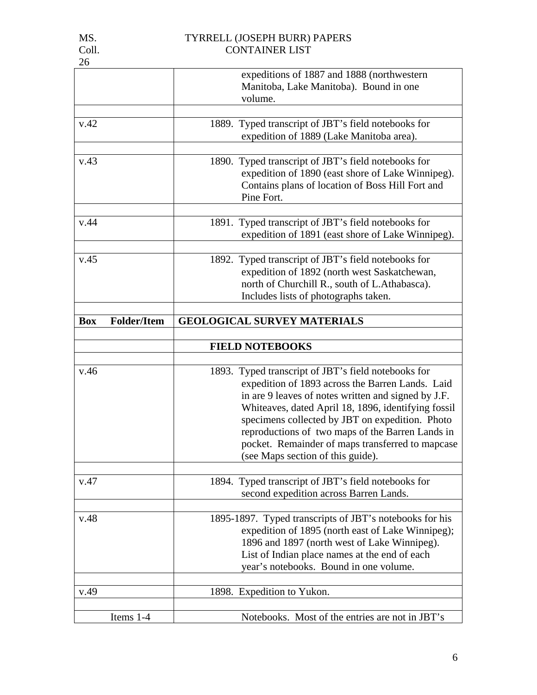| . .<br>v | × |
|----------|---|
|          |   |

|                                  | expeditions of 1887 and 1888 (northwestern<br>Manitoba, Lake Manitoba). Bound in one                                                                                                                                                                                                                                                                                                                                  |  |
|----------------------------------|-----------------------------------------------------------------------------------------------------------------------------------------------------------------------------------------------------------------------------------------------------------------------------------------------------------------------------------------------------------------------------------------------------------------------|--|
|                                  | volume.                                                                                                                                                                                                                                                                                                                                                                                                               |  |
|                                  |                                                                                                                                                                                                                                                                                                                                                                                                                       |  |
| v.42                             | 1889. Typed transcript of JBT's field notebooks for<br>expedition of 1889 (Lake Manitoba area).                                                                                                                                                                                                                                                                                                                       |  |
| v.43                             | 1890. Typed transcript of JBT's field notebooks for<br>expedition of 1890 (east shore of Lake Winnipeg).<br>Contains plans of location of Boss Hill Fort and<br>Pine Fort.                                                                                                                                                                                                                                            |  |
| v.44                             | 1891. Typed transcript of JBT's field notebooks for<br>expedition of 1891 (east shore of Lake Winnipeg).                                                                                                                                                                                                                                                                                                              |  |
| v.45                             | 1892. Typed transcript of JBT's field notebooks for<br>expedition of 1892 (north west Saskatchewan,<br>north of Churchill R., south of L.Athabasca).<br>Includes lists of photographs taken.                                                                                                                                                                                                                          |  |
| <b>Folder/Item</b><br><b>Box</b> | <b>GEOLOGICAL SURVEY MATERIALS</b>                                                                                                                                                                                                                                                                                                                                                                                    |  |
|                                  | <b>FIELD NOTEBOOKS</b>                                                                                                                                                                                                                                                                                                                                                                                                |  |
| v.46                             | 1893. Typed transcript of JBT's field notebooks for<br>expedition of 1893 across the Barren Lands. Laid<br>in are 9 leaves of notes written and signed by J.F.<br>Whiteaves, dated April 18, 1896, identifying fossil<br>specimens collected by JBT on expedition. Photo<br>reproductions of two maps of the Barren Lands in<br>pocket. Remainder of maps transferred to mapcase<br>(see Maps section of this guide). |  |
| v.47                             | 1894. Typed transcript of JBT's field notebooks for<br>second expedition across Barren Lands.                                                                                                                                                                                                                                                                                                                         |  |
| v.48                             | 1895-1897. Typed transcripts of JBT's notebooks for his<br>expedition of 1895 (north east of Lake Winnipeg);<br>1896 and 1897 (north west of Lake Winnipeg).<br>List of Indian place names at the end of each<br>year's notebooks. Bound in one volume.                                                                                                                                                               |  |
| v.49                             | 1898. Expedition to Yukon.                                                                                                                                                                                                                                                                                                                                                                                            |  |
| Items 1-4                        | Notebooks. Most of the entries are not in JBT's                                                                                                                                                                                                                                                                                                                                                                       |  |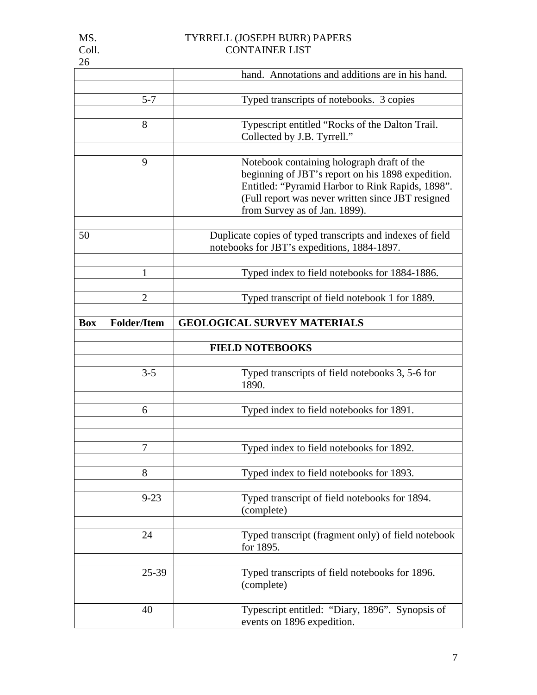| 26         |                    |                                                                                                           |
|------------|--------------------|-----------------------------------------------------------------------------------------------------------|
|            |                    | hand. Annotations and additions are in his hand.                                                          |
|            |                    |                                                                                                           |
|            | $5 - 7$            | Typed transcripts of notebooks. 3 copies                                                                  |
|            |                    |                                                                                                           |
|            | 8                  | Typescript entitled "Rocks of the Dalton Trail.                                                           |
|            |                    | Collected by J.B. Tyrrell."                                                                               |
|            |                    |                                                                                                           |
|            | 9                  | Notebook containing holograph draft of the                                                                |
|            |                    | beginning of JBT's report on his 1898 expedition.                                                         |
|            |                    | Entitled: "Pyramid Harbor to Rink Rapids, 1898".                                                          |
|            |                    | (Full report was never written since JBT resigned                                                         |
|            |                    | from Survey as of Jan. 1899).                                                                             |
| 50         |                    |                                                                                                           |
|            |                    | Duplicate copies of typed transcripts and indexes of field<br>notebooks for JBT's expeditions, 1884-1897. |
|            |                    |                                                                                                           |
|            | 1                  | Typed index to field notebooks for 1884-1886.                                                             |
|            |                    |                                                                                                           |
|            | $\overline{2}$     | Typed transcript of field notebook 1 for 1889.                                                            |
|            |                    |                                                                                                           |
| <b>Box</b> | <b>Folder/Item</b> | <b>GEOLOGICAL SURVEY MATERIALS</b>                                                                        |
|            |                    |                                                                                                           |
|            |                    | <b>FIELD NOTEBOOKS</b>                                                                                    |
|            |                    |                                                                                                           |
|            | $3 - 5$            | Typed transcripts of field notebooks 3, 5-6 for                                                           |
|            |                    | 1890.                                                                                                     |
|            |                    |                                                                                                           |
|            | 6                  | Typed index to field notebooks for 1891.                                                                  |
|            |                    |                                                                                                           |
|            |                    |                                                                                                           |
|            | 7                  | Typed index to field notebooks for 1892.                                                                  |
|            |                    |                                                                                                           |
|            | 8                  | Typed index to field notebooks for 1893.                                                                  |
|            |                    |                                                                                                           |
|            | $9 - 23$           | Typed transcript of field notebooks for 1894.                                                             |
|            |                    | (complete)                                                                                                |
|            |                    |                                                                                                           |
|            | 24                 | Typed transcript (fragment only) of field notebook                                                        |
|            |                    | for 1895.                                                                                                 |
|            |                    |                                                                                                           |
|            | 25-39              | Typed transcripts of field notebooks for 1896.                                                            |
|            |                    | (complete)                                                                                                |
|            | 40                 | Typescript entitled: "Diary, 1896". Synopsis of                                                           |
|            |                    |                                                                                                           |
|            |                    | events on 1896 expedition.                                                                                |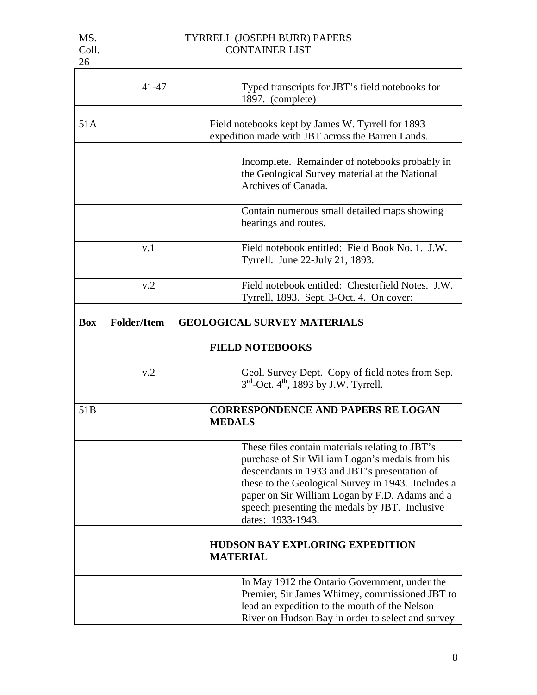|  | . . | v |  |
|--|-----|---|--|
|  |     |   |  |

| 26              |                    |                                                                                                                                                                                                                                                                                                                                    |
|-----------------|--------------------|------------------------------------------------------------------------------------------------------------------------------------------------------------------------------------------------------------------------------------------------------------------------------------------------------------------------------------|
|                 | 41-47              | Typed transcripts for JBT's field notebooks for<br>1897. (complete)                                                                                                                                                                                                                                                                |
| 51A             |                    | Field notebooks kept by James W. Tyrrell for 1893<br>expedition made with JBT across the Barren Lands.                                                                                                                                                                                                                             |
|                 |                    | Incomplete. Remainder of notebooks probably in<br>the Geological Survey material at the National<br>Archives of Canada.                                                                                                                                                                                                            |
|                 |                    | Contain numerous small detailed maps showing<br>bearings and routes.                                                                                                                                                                                                                                                               |
|                 | v.1                | Field notebook entitled: Field Book No. 1. J.W.<br>Tyrrell. June 22-July 21, 1893.                                                                                                                                                                                                                                                 |
|                 | v.2                | Field notebook entitled: Chesterfield Notes. J.W.<br>Tyrrell, 1893. Sept. 3-Oct. 4. On cover:                                                                                                                                                                                                                                      |
| <b>Box</b>      | <b>Folder/Item</b> | <b>GEOLOGICAL SURVEY MATERIALS</b>                                                                                                                                                                                                                                                                                                 |
|                 |                    | <b>FIELD NOTEBOOKS</b>                                                                                                                                                                                                                                                                                                             |
|                 | v.2                | Geol. Survey Dept. Copy of field notes from Sep.<br>$3rd$ -Oct. 4 <sup>th</sup> , 1893 by J.W. Tyrrell.                                                                                                                                                                                                                            |
| 51 <sub>B</sub> |                    | <b>CORRESPONDENCE AND PAPERS RE LOGAN</b><br><b>MEDALS</b>                                                                                                                                                                                                                                                                         |
|                 |                    | These files contain materials relating to JBT's<br>purchase of Sir William Logan's medals from his<br>descendants in 1933 and JBT's presentation of<br>these to the Geological Survey in 1943. Includes a<br>paper on Sir William Logan by F.D. Adams and a<br>speech presenting the medals by JBT. Inclusive<br>dates: 1933-1943. |
|                 |                    | <b>HUDSON BAY EXPLORING EXPEDITION</b><br><b>MATERIAL</b>                                                                                                                                                                                                                                                                          |
|                 |                    | In May 1912 the Ontario Government, under the                                                                                                                                                                                                                                                                                      |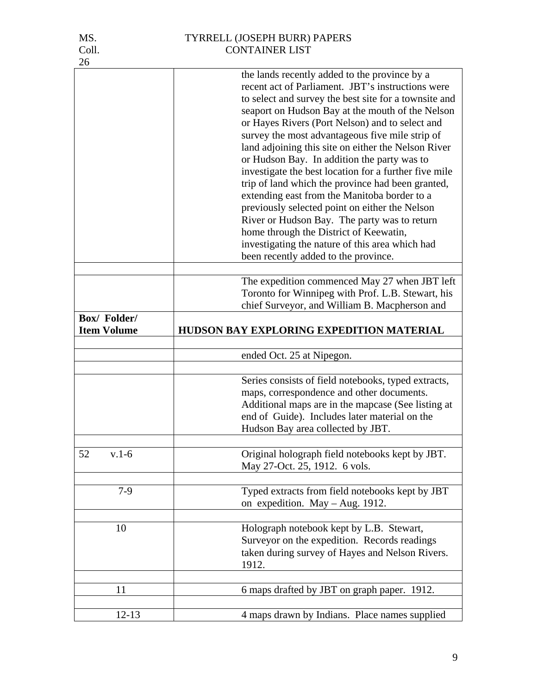| MS.                               | TYRRELL (JOSEPH BURR) PAPERS                                                                                                                                                                                                                                                                                                                                                                                                                                                                                                                                                                                                                                                                |
|-----------------------------------|---------------------------------------------------------------------------------------------------------------------------------------------------------------------------------------------------------------------------------------------------------------------------------------------------------------------------------------------------------------------------------------------------------------------------------------------------------------------------------------------------------------------------------------------------------------------------------------------------------------------------------------------------------------------------------------------|
| Coll.                             | <b>CONTAINER LIST</b>                                                                                                                                                                                                                                                                                                                                                                                                                                                                                                                                                                                                                                                                       |
|                                   |                                                                                                                                                                                                                                                                                                                                                                                                                                                                                                                                                                                                                                                                                             |
| 26                                | the lands recently added to the province by a<br>recent act of Parliament. JBT's instructions were<br>to select and survey the best site for a townsite and<br>seaport on Hudson Bay at the mouth of the Nelson<br>or Hayes Rivers (Port Nelson) and to select and<br>survey the most advantageous five mile strip of<br>land adjoining this site on either the Nelson River<br>or Hudson Bay. In addition the party was to<br>investigate the best location for a further five mile<br>trip of land which the province had been granted,<br>extending east from the Manitoba border to a<br>previously selected point on either the Nelson<br>River or Hudson Bay. The party was to return |
|                                   | home through the District of Keewatin,<br>investigating the nature of this area which had                                                                                                                                                                                                                                                                                                                                                                                                                                                                                                                                                                                                   |
|                                   | been recently added to the province.                                                                                                                                                                                                                                                                                                                                                                                                                                                                                                                                                                                                                                                        |
|                                   |                                                                                                                                                                                                                                                                                                                                                                                                                                                                                                                                                                                                                                                                                             |
|                                   | The expedition commenced May 27 when JBT left                                                                                                                                                                                                                                                                                                                                                                                                                                                                                                                                                                                                                                               |
|                                   | Toronto for Winnipeg with Prof. L.B. Stewart, his                                                                                                                                                                                                                                                                                                                                                                                                                                                                                                                                                                                                                                           |
|                                   | chief Surveyor, and William B. Macpherson and                                                                                                                                                                                                                                                                                                                                                                                                                                                                                                                                                                                                                                               |
| Box/Folder/<br><b>Item Volume</b> | HUDSON BAY EXPLORING EXPEDITION MATERIAL                                                                                                                                                                                                                                                                                                                                                                                                                                                                                                                                                                                                                                                    |
|                                   |                                                                                                                                                                                                                                                                                                                                                                                                                                                                                                                                                                                                                                                                                             |
|                                   | ended Oct. 25 at Nipegon.                                                                                                                                                                                                                                                                                                                                                                                                                                                                                                                                                                                                                                                                   |
|                                   |                                                                                                                                                                                                                                                                                                                                                                                                                                                                                                                                                                                                                                                                                             |
|                                   | Series consists of field notebooks, typed extracts,<br>maps, correspondence and other documents.<br>Additional maps are in the mapcase (See listing at<br>end of Guide). Includes later material on the<br>Hudson Bay area collected by JBT.                                                                                                                                                                                                                                                                                                                                                                                                                                                |
| $v.1-6$<br>52                     | Original holograph field notebooks kept by JBT.<br>May 27-Oct. 25, 1912. 6 vols.                                                                                                                                                                                                                                                                                                                                                                                                                                                                                                                                                                                                            |
| $7-9$                             | Typed extracts from field notebooks kept by JBT<br>on expedition. May - Aug. 1912.                                                                                                                                                                                                                                                                                                                                                                                                                                                                                                                                                                                                          |
| 10                                | Holograph notebook kept by L.B. Stewart,<br>Surveyor on the expedition. Records readings<br>taken during survey of Hayes and Nelson Rivers.<br>1912.                                                                                                                                                                                                                                                                                                                                                                                                                                                                                                                                        |
|                                   |                                                                                                                                                                                                                                                                                                                                                                                                                                                                                                                                                                                                                                                                                             |
| 11                                | 6 maps drafted by JBT on graph paper. 1912.                                                                                                                                                                                                                                                                                                                                                                                                                                                                                                                                                                                                                                                 |
|                                   |                                                                                                                                                                                                                                                                                                                                                                                                                                                                                                                                                                                                                                                                                             |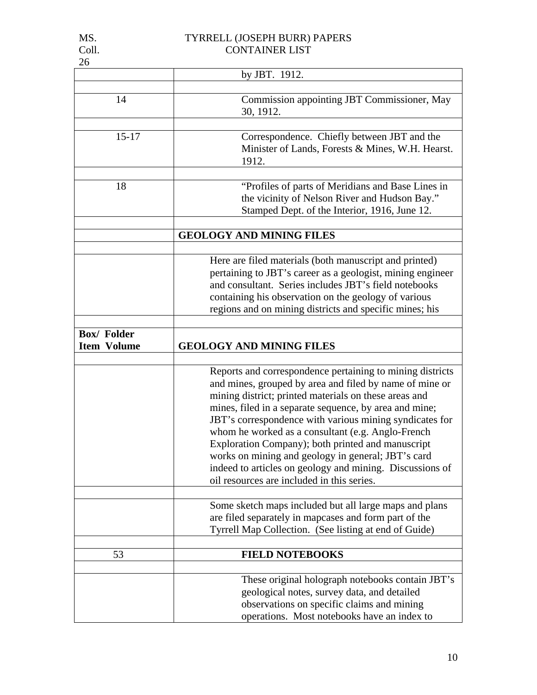# MS. TYRRELL (JOSEPH BURR) PAPERS

| v<br>. . |  |
|----------|--|
|          |  |

| Coll.                                   | <b>CONTAINER LIST</b>                                                                                                                                                                                                                                                                                                                                                                                                                                                                                                                                                        |
|-----------------------------------------|------------------------------------------------------------------------------------------------------------------------------------------------------------------------------------------------------------------------------------------------------------------------------------------------------------------------------------------------------------------------------------------------------------------------------------------------------------------------------------------------------------------------------------------------------------------------------|
| 26                                      |                                                                                                                                                                                                                                                                                                                                                                                                                                                                                                                                                                              |
|                                         | by JBT. 1912.                                                                                                                                                                                                                                                                                                                                                                                                                                                                                                                                                                |
| 14                                      | Commission appointing JBT Commissioner, May<br>30, 1912.                                                                                                                                                                                                                                                                                                                                                                                                                                                                                                                     |
| $15 - 17$                               | Correspondence. Chiefly between JBT and the<br>Minister of Lands, Forests & Mines, W.H. Hearst.<br>1912.                                                                                                                                                                                                                                                                                                                                                                                                                                                                     |
| 18                                      | "Profiles of parts of Meridians and Base Lines in<br>the vicinity of Nelson River and Hudson Bay."<br>Stamped Dept. of the Interior, 1916, June 12.                                                                                                                                                                                                                                                                                                                                                                                                                          |
|                                         | <b>GEOLOGY AND MINING FILES</b>                                                                                                                                                                                                                                                                                                                                                                                                                                                                                                                                              |
|                                         | Here are filed materials (both manuscript and printed)<br>pertaining to JBT's career as a geologist, mining engineer<br>and consultant. Series includes JBT's field notebooks<br>containing his observation on the geology of various<br>regions and on mining districts and specific mines; his                                                                                                                                                                                                                                                                             |
| <b>Box/Folder</b><br><b>Item Volume</b> | <b>GEOLOGY AND MINING FILES</b>                                                                                                                                                                                                                                                                                                                                                                                                                                                                                                                                              |
|                                         | Reports and correspondence pertaining to mining districts<br>and mines, grouped by area and filed by name of mine or<br>mining district; printed materials on these areas and<br>mines, filed in a separate sequence, by area and mine;<br>JBT's correspondence with various mining syndicates for<br>whom he worked as a consultant (e.g. Anglo-French<br>Exploration Company); both printed and manuscript<br>works on mining and geology in general; JBT's card<br>indeed to articles on geology and mining. Discussions of<br>oil resources are included in this series. |
|                                         | Some sketch maps included but all large maps and plans<br>are filed separately in mapcases and form part of the<br>Tyrrell Map Collection. (See listing at end of Guide)                                                                                                                                                                                                                                                                                                                                                                                                     |
| 53                                      | <b>FIELD NOTEBOOKS</b>                                                                                                                                                                                                                                                                                                                                                                                                                                                                                                                                                       |
|                                         | These original holograph notebooks contain JBT's<br>geological notes, survey data, and detailed<br>observations on specific claims and mining<br>operations. Most notebooks have an index to                                                                                                                                                                                                                                                                                                                                                                                 |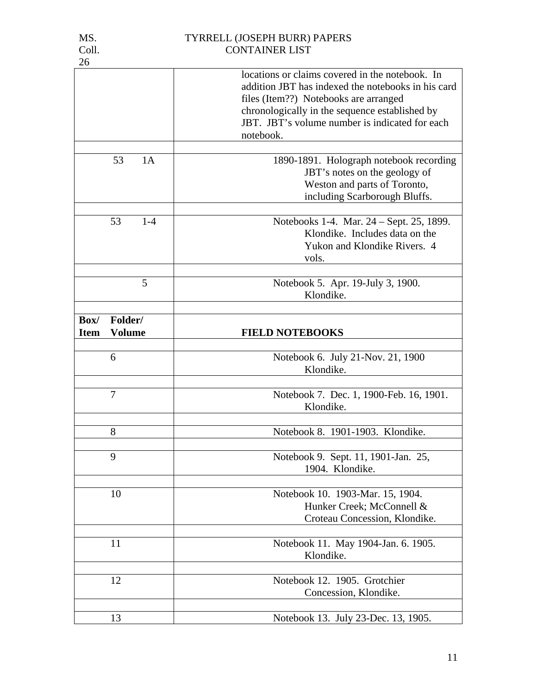| . . | ۰. | × |
|-----|----|---|
|     |    |   |
|     |    |   |

|                                                 | locations or claims covered in the notebook. In<br>addition JBT has indexed the notebooks in his card<br>files (Item??) Notebooks are arranged<br>chronologically in the sequence established by<br>JBT. JBT's volume number is indicated for each<br>notebook. |
|-------------------------------------------------|-----------------------------------------------------------------------------------------------------------------------------------------------------------------------------------------------------------------------------------------------------------------|
| 53<br>1A                                        | 1890-1891. Holograph notebook recording                                                                                                                                                                                                                         |
|                                                 | JBT's notes on the geology of<br>Weston and parts of Toronto,<br>including Scarborough Bluffs.                                                                                                                                                                  |
| 53<br>$1-4$                                     | Notebooks 1-4. Mar. 24 – Sept. 25, 1899.                                                                                                                                                                                                                        |
|                                                 | Klondike. Includes data on the<br>Yukon and Klondike Rivers. 4<br>vols.                                                                                                                                                                                         |
| 5                                               | Notebook 5. Apr. 19-July 3, 1900.<br>Klondike.                                                                                                                                                                                                                  |
|                                                 |                                                                                                                                                                                                                                                                 |
| Box/<br>Folder/<br><b>Item</b><br><b>Volume</b> | <b>FIELD NOTEBOOKS</b>                                                                                                                                                                                                                                          |
| 6                                               | Notebook 6. July 21-Nov. 21, 1900<br>Klondike.                                                                                                                                                                                                                  |
| 7                                               | Notebook 7. Dec. 1, 1900-Feb. 16, 1901.<br>Klondike.                                                                                                                                                                                                            |
| 8                                               | Notebook 8. 1901-1903. Klondike.                                                                                                                                                                                                                                |
| 9                                               | Notebook 9. Sept. 11, 1901-Jan. 25,<br>1904. Klondike.                                                                                                                                                                                                          |
| 10                                              | Notebook 10. 1903-Mar. 15, 1904.<br>Hunker Creek; McConnell &<br>Croteau Concession, Klondike.                                                                                                                                                                  |
| 11                                              | Notebook 11. May 1904-Jan. 6. 1905.<br>Klondike.                                                                                                                                                                                                                |
| 12                                              | Notebook 12. 1905. Grotchier<br>Concession, Klondike.                                                                                                                                                                                                           |
| 13                                              | Notebook 13. July 23-Dec. 13, 1905.                                                                                                                                                                                                                             |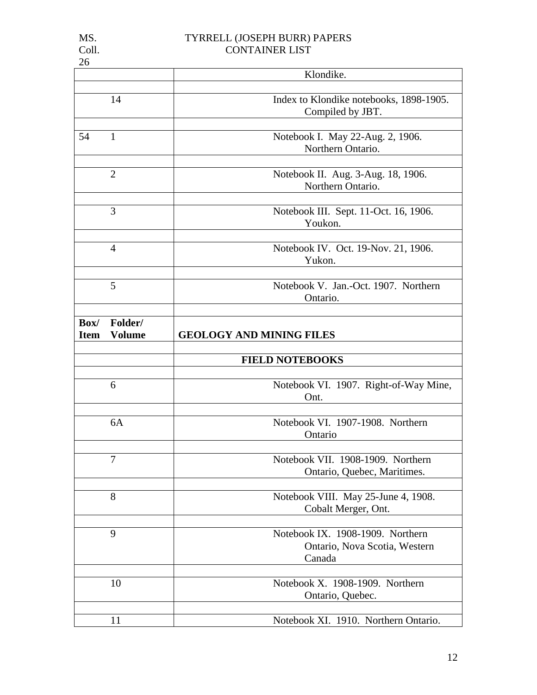| 26                  |                          |                                                                             |
|---------------------|--------------------------|-----------------------------------------------------------------------------|
|                     |                          | Klondike.                                                                   |
|                     | 14                       | Index to Klondike notebooks, 1898-1905.<br>Compiled by JBT.                 |
| 54                  | 1                        | Notebook I. May 22-Aug. 2, 1906.<br>Northern Ontario.                       |
|                     | $\overline{2}$           | Notebook II. Aug. 3-Aug. 18, 1906.<br>Northern Ontario.                     |
|                     | 3                        | Notebook III. Sept. 11-Oct. 16, 1906.<br>Youkon.                            |
|                     | $\overline{4}$           | Notebook IV. Oct. 19-Nov. 21, 1906.<br>Yukon.                               |
|                     | 5                        | Notebook V. Jan.-Oct. 1907. Northern<br>Ontario.                            |
| Box/<br><b>Item</b> | Folder/<br><b>Volume</b> | <b>GEOLOGY AND MINING FILES</b>                                             |
|                     |                          | <b>FIELD NOTEBOOKS</b>                                                      |
|                     | 6                        | Notebook VI. 1907. Right-of-Way Mine,<br>Ont.                               |
|                     | 6A                       | Notebook VI. 1907-1908. Northern<br>Ontario                                 |
|                     | $\overline{7}$           | Notebook VII. 1908-1909. Northern<br>Ontario, Quebec, Maritimes.            |
|                     | 8                        | Notebook VIII. May 25-June 4, 1908.<br>Cobalt Merger, Ont.                  |
|                     | 9                        | Notebook IX. 1908-1909. Northern<br>Ontario, Nova Scotia, Western<br>Canada |
|                     |                          |                                                                             |
|                     | 10                       | Notebook X. 1908-1909. Northern<br>Ontario, Quebec.                         |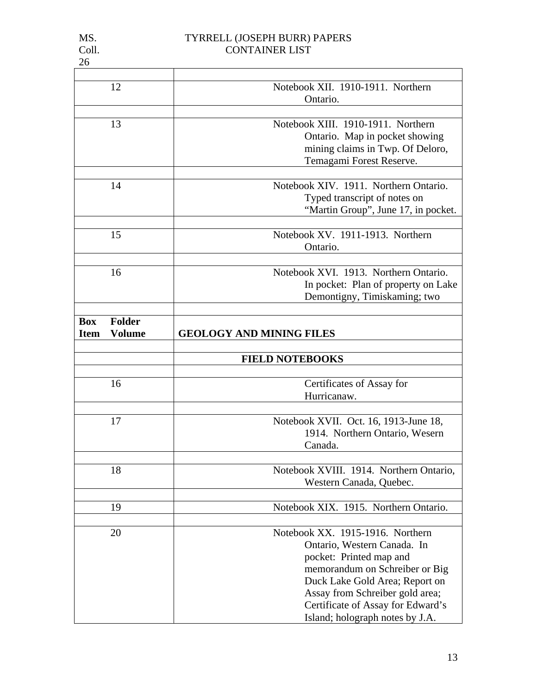| $\sim$<br>. .<br>v |
|--------------------|
|                    |
|                    |
|                    |
|                    |

| 12                           | Notebook XII. 1910-1911. Northern                                    |
|------------------------------|----------------------------------------------------------------------|
|                              | Ontario.                                                             |
| 13                           | Notebook XIII, 1910-1911. Northern                                   |
|                              | Ontario. Map in pocket showing                                       |
|                              | mining claims in Twp. Of Deloro,                                     |
|                              | Temagami Forest Reserve.                                             |
|                              |                                                                      |
| 14                           | Notebook XIV. 1911. Northern Ontario.                                |
|                              | Typed transcript of notes on                                         |
|                              | "Martin Group", June 17, in pocket.                                  |
|                              |                                                                      |
| 15                           | Notebook XV. 1911-1913. Northern                                     |
|                              | Ontario.                                                             |
| 16                           | Notebook XVI. 1913. Northern Ontario.                                |
|                              | In pocket: Plan of property on Lake                                  |
|                              | Demontigny, Timiskaming; two                                         |
|                              |                                                                      |
| <b>Folder</b><br><b>Box</b>  |                                                                      |
| <b>Volume</b><br><b>Item</b> | <b>GEOLOGY AND MINING FILES</b>                                      |
|                              | <b>FIELD NOTEBOOKS</b>                                               |
|                              |                                                                      |
| 16                           | Certificates of Assay for                                            |
|                              | Hurricanaw.                                                          |
|                              |                                                                      |
| 17                           | Notebook XVII. Oct. 16, 1913-June 18,                                |
|                              | 1914. Northern Ontario, Wesern                                       |
|                              | Canada.                                                              |
| 18                           | Notebook XVIII. 1914. Northern Ontario,                              |
|                              | Western Canada, Quebec.                                              |
|                              |                                                                      |
| 19                           | Notebook XIX. 1915. Northern Ontario.                                |
|                              |                                                                      |
| 20                           | Notebook XX. 1915-1916. Northern                                     |
|                              | Ontario, Western Canada. In                                          |
|                              | pocket: Printed map and                                              |
|                              | memorandum on Schreiber or Big                                       |
|                              | Duck Lake Gold Area; Report on                                       |
|                              | Assay from Schreiber gold area;                                      |
|                              | Certificate of Assay for Edward's<br>Island; holograph notes by J.A. |
|                              |                                                                      |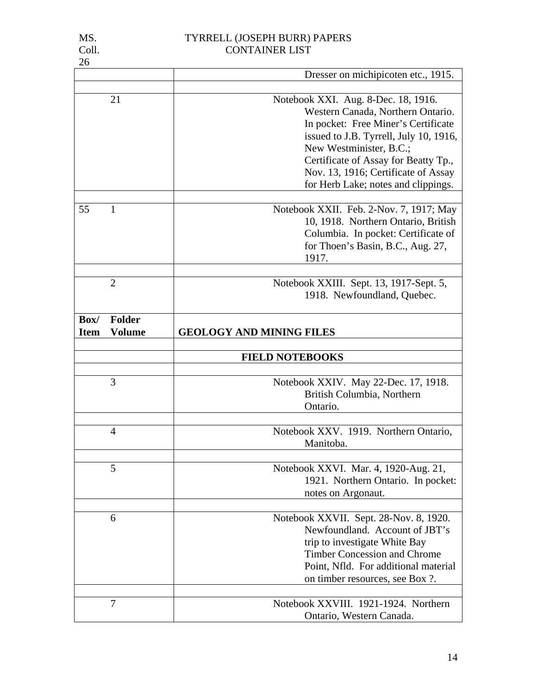| 26          |                |                                                                  |
|-------------|----------------|------------------------------------------------------------------|
|             |                | Dresser on michipicoten etc., 1915.                              |
|             |                |                                                                  |
|             | 21             | Notebook XXI. Aug. 8-Dec. 18, 1916.                              |
|             |                | Western Canada, Northern Ontario.                                |
|             |                | In pocket: Free Miner's Certificate                              |
|             |                | issued to J.B. Tyrrell, July 10, 1916,                           |
|             |                | New Westminister, B.C.;                                          |
|             |                | Certificate of Assay for Beatty Tp.,                             |
|             |                | Nov. 13, 1916; Certificate of Assay                              |
|             |                | for Herb Lake; notes and clippings.                              |
|             |                |                                                                  |
| 55          | 1              | Notebook XXII. Feb. 2-Nov. 7, 1917; May                          |
|             |                | 10, 1918. Northern Ontario, British                              |
|             |                | Columbia. In pocket: Certificate of                              |
|             |                | for Thoen's Basin, B.C., Aug. 27,                                |
|             |                | 1917.                                                            |
|             |                |                                                                  |
|             | $\overline{2}$ | Notebook XXIII. Sept. 13, 1917-Sept. 5,                          |
|             |                | 1918. Newfoundland, Quebec.                                      |
| Box/        | <b>Folder</b>  |                                                                  |
| <b>Item</b> | <b>Volume</b>  | <b>GEOLOGY AND MINING FILES</b>                                  |
|             |                |                                                                  |
|             |                | <b>FIELD NOTEBOOKS</b>                                           |
|             |                |                                                                  |
|             | 3              | Notebook XXIV. May 22-Dec. 17, 1918.                             |
|             |                | British Columbia, Northern                                       |
|             |                | Ontario.                                                         |
|             |                |                                                                  |
|             | 4              | Notebook XXV. 1919. Northern Ontario,                            |
|             |                | Manitoba.                                                        |
|             |                |                                                                  |
|             | 5              | Notebook XXVI. Mar. 4, 1920-Aug. 21,                             |
|             |                | 1921. Northern Ontario. In pocket:                               |
|             |                | notes on Argonaut.                                               |
|             | 6              | Notebook XXVII. Sept. 28-Nov. 8, 1920.                           |
|             |                | Newfoundland. Account of JBT's                                   |
|             |                |                                                                  |
|             |                | trip to investigate White Bay                                    |
|             |                | <b>Timber Concession and Chrome</b>                              |
|             |                | Point, Nfld. For additional material                             |
|             |                | on timber resources, see Box ?.                                  |
|             |                |                                                                  |
|             |                |                                                                  |
|             | $\overline{7}$ | Notebook XXVIII. 1921-1924. Northern<br>Ontario, Western Canada. |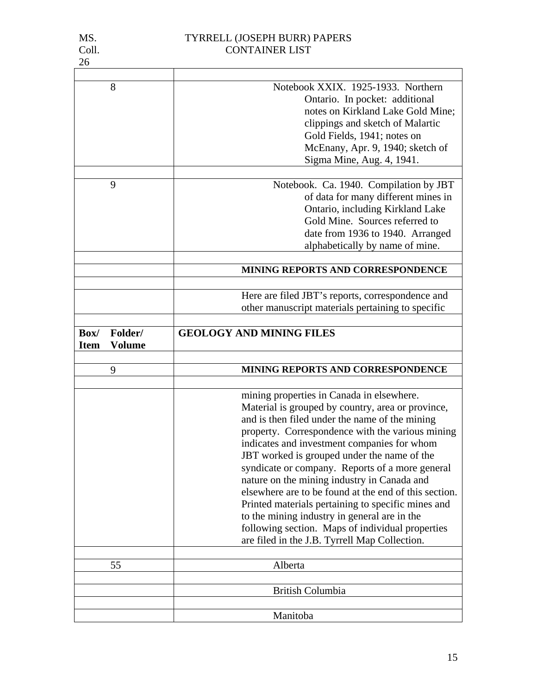|             | 8             | Notebook XXIX. 1925-1933. Northern                    |
|-------------|---------------|-------------------------------------------------------|
|             |               | Ontario. In pocket: additional                        |
|             |               | notes on Kirkland Lake Gold Mine;                     |
|             |               | clippings and sketch of Malartic                      |
|             |               | Gold Fields, 1941; notes on                           |
|             |               | McEnany, Apr. 9, 1940; sketch of                      |
|             |               | Sigma Mine, Aug. 4, 1941.                             |
|             |               |                                                       |
|             | 9             | Notebook. Ca. 1940. Compilation by JBT                |
|             |               | of data for many different mines in                   |
|             |               | Ontario, including Kirkland Lake                      |
|             |               | Gold Mine. Sources referred to                        |
|             |               | date from 1936 to 1940. Arranged                      |
|             |               | alphabetically by name of mine.                       |
|             |               |                                                       |
|             |               | MINING REPORTS AND CORRESPONDENCE                     |
|             |               |                                                       |
|             |               | Here are filed JBT's reports, correspondence and      |
|             |               | other manuscript materials pertaining to specific     |
|             |               |                                                       |
| Box/        | Folder/       | <b>GEOLOGY AND MINING FILES</b>                       |
| <b>Item</b> | <b>Volume</b> |                                                       |
|             |               |                                                       |
|             |               |                                                       |
|             | 9             | MINING REPORTS AND CORRESPONDENCE                     |
|             |               |                                                       |
|             |               | mining properties in Canada in elsewhere.             |
|             |               | Material is grouped by country, area or province,     |
|             |               | and is then filed under the name of the mining        |
|             |               | property. Correspondence with the various mining      |
|             |               | indicates and investment companies for whom           |
|             |               | JBT worked is grouped under the name of the           |
|             |               | syndicate or company. Reports of a more general       |
|             |               | nature on the mining industry in Canada and           |
|             |               | elsewhere are to be found at the end of this section. |
|             |               | Printed materials pertaining to specific mines and    |
|             |               | to the mining industry in general are in the          |
|             |               | following section. Maps of individual properties      |
|             |               | are filed in the J.B. Tyrrell Map Collection.         |
|             |               |                                                       |
|             | 55            | Alberta                                               |
|             |               | <b>British Columbia</b>                               |
|             |               |                                                       |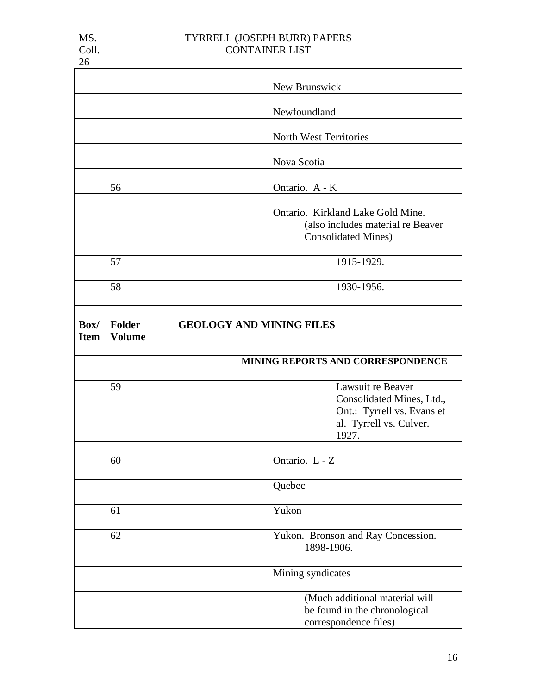|                              | New Brunswick                                          |
|------------------------------|--------------------------------------------------------|
|                              |                                                        |
|                              | Newfoundland                                           |
|                              |                                                        |
|                              | North West Territories                                 |
|                              |                                                        |
|                              | Nova Scotia                                            |
|                              |                                                        |
| 56                           | Ontario. A - K                                         |
|                              |                                                        |
|                              | Ontario. Kirkland Lake Gold Mine.                      |
|                              | (also includes material re Beaver                      |
|                              | <b>Consolidated Mines)</b>                             |
|                              |                                                        |
| 57                           | 1915-1929.                                             |
|                              |                                                        |
| 58                           | 1930-1956.                                             |
|                              |                                                        |
|                              |                                                        |
|                              |                                                        |
| <b>Folder</b><br>Box/        | <b>GEOLOGY AND MINING FILES</b>                        |
| <b>Volume</b><br><b>Item</b> |                                                        |
|                              |                                                        |
|                              | MINING REPORTS AND CORRESPONDENCE                      |
|                              |                                                        |
| 59                           | Lawsuit re Beaver                                      |
|                              | Consolidated Mines, Ltd.,                              |
|                              | Ont.: Tyrrell vs. Evans et                             |
|                              | al. Tyrrell vs. Culver.                                |
|                              | 1927.                                                  |
|                              |                                                        |
| 60                           | Ontario. L - Z                                         |
|                              |                                                        |
|                              | Quebec                                                 |
|                              |                                                        |
|                              |                                                        |
|                              |                                                        |
| 61                           | Yukon                                                  |
|                              |                                                        |
| 62                           | Yukon. Bronson and Ray Concession.                     |
|                              | 1898-1906.                                             |
|                              |                                                        |
|                              | Mining syndicates                                      |
|                              |                                                        |
|                              | (Much additional material will                         |
|                              | be found in the chronological<br>correspondence files) |

26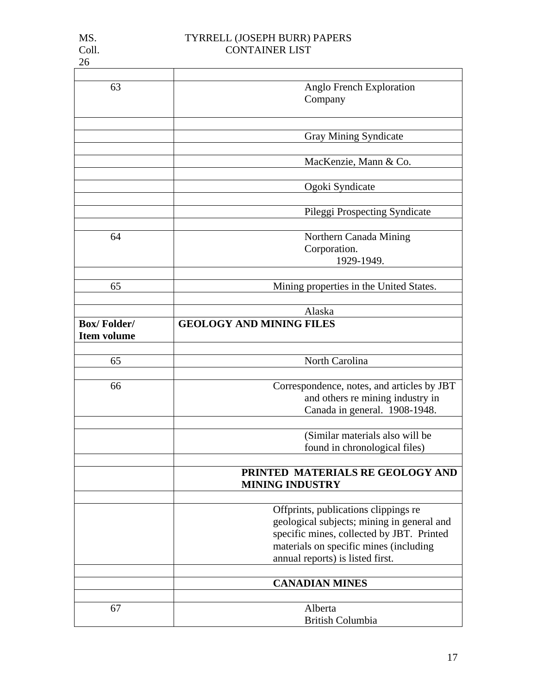| MS.   | TYRRELL (JOSEPH BURR) PAPERS |
|-------|------------------------------|
| Coll. | <b>CONTAINER LIST</b>        |

MS.<br>Coll.<br>26

| 63                 | Anglo French Exploration                   |
|--------------------|--------------------------------------------|
|                    | Company                                    |
|                    |                                            |
|                    |                                            |
|                    | <b>Gray Mining Syndicate</b>               |
|                    |                                            |
|                    | MacKenzie, Mann & Co.                      |
|                    |                                            |
|                    | Ogoki Syndicate                            |
|                    |                                            |
|                    | Pileggi Prospecting Syndicate              |
|                    |                                            |
| 64                 | Northern Canada Mining                     |
|                    | Corporation.                               |
|                    | 1929-1949.                                 |
|                    |                                            |
| 65                 | Mining properties in the United States.    |
|                    |                                            |
|                    | Alaska                                     |
| <b>Box/Folder/</b> | <b>GEOLOGY AND MINING FILES</b>            |
| <b>Item volume</b> |                                            |
|                    |                                            |
| 65                 | North Carolina                             |
|                    |                                            |
| 66                 | Correspondence, notes, and articles by JBT |
|                    | and others re mining industry in           |
|                    | Canada in general. 1908-1948.              |
|                    |                                            |
|                    | (Similar materials also will be            |
|                    | found in chronological files)              |
|                    |                                            |
|                    | PRINTED MATERIALS RE GEOLOGY AND           |
|                    | <b>MINING INDUSTRY</b>                     |
|                    |                                            |
|                    | Offprints, publications clippings re       |
|                    | geological subjects; mining in general and |
|                    | specific mines, collected by JBT. Printed  |
|                    | materials on specific mines (including     |
|                    | annual reports) is listed first.           |
|                    |                                            |
|                    | <b>CANADIAN MINES</b>                      |
|                    |                                            |
| 67                 | Alberta                                    |
|                    | <b>British Columbia</b>                    |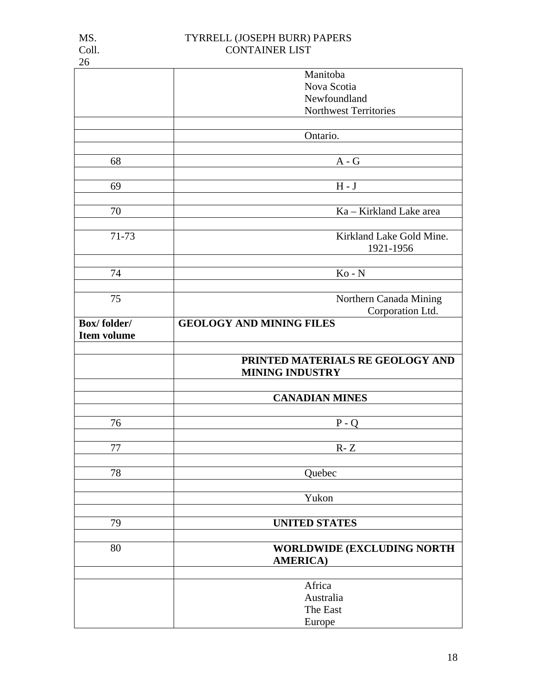| I<br>. .<br>٠<br>۰, |
|---------------------|
| ï<br>×<br>۰,        |

|                    | Manitoba                         |
|--------------------|----------------------------------|
|                    | Nova Scotia                      |
|                    | Newfoundland                     |
|                    | Northwest Territories            |
|                    |                                  |
|                    | Ontario.                         |
|                    |                                  |
| 68                 | $A - G$                          |
|                    |                                  |
|                    |                                  |
| 69                 | $H - J$                          |
|                    |                                  |
| 70                 | Ka - Kirkland Lake area          |
|                    |                                  |
| 71-73              | Kirkland Lake Gold Mine.         |
|                    | 1921-1956                        |
|                    |                                  |
| 74                 | $Ko - N$                         |
|                    |                                  |
| 75                 | Northern Canada Mining           |
|                    | Corporation Ltd.                 |
| <b>Box/folder/</b> | <b>GEOLOGY AND MINING FILES</b>  |
| <b>Item volume</b> |                                  |
|                    |                                  |
|                    |                                  |
|                    | PRINTED MATERIALS RE GEOLOGY AND |
|                    | <b>MINING INDUSTRY</b>           |
|                    |                                  |
|                    | <b>CANADIAN MINES</b>            |
|                    |                                  |
| 76                 | $P - Q$                          |
|                    |                                  |
| 77                 | $R - Z$                          |
|                    |                                  |
| 78                 | Quebec                           |
|                    |                                  |
|                    | Yukon                            |
|                    |                                  |
|                    |                                  |
| 79                 | <b>UNITED STATES</b>             |
|                    |                                  |
| 80                 | WORLDWIDE (EXCLUDING NORTH       |
|                    | <b>AMERICA</b> )                 |
|                    |                                  |
|                    | Africa                           |
|                    | Australia                        |
|                    | The East                         |
|                    | Europe                           |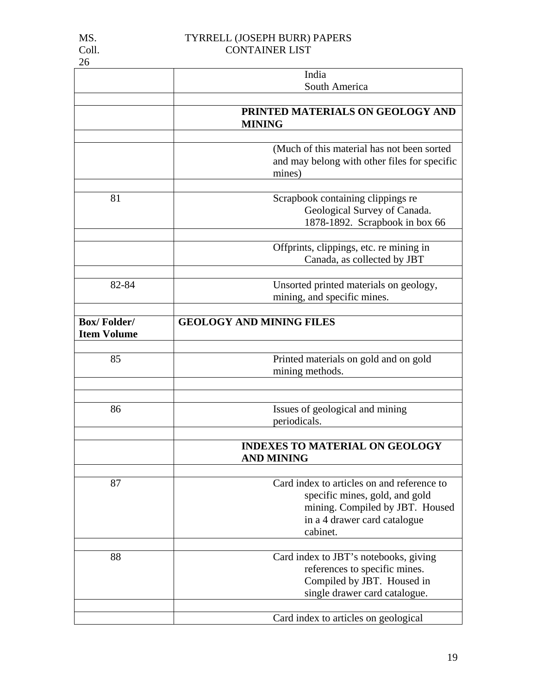|                                          | India                                                                                                                                                       |
|------------------------------------------|-------------------------------------------------------------------------------------------------------------------------------------------------------------|
|                                          | South America                                                                                                                                               |
|                                          | PRINTED MATERIALS ON GEOLOGY AND                                                                                                                            |
|                                          | <b>MINING</b>                                                                                                                                               |
|                                          |                                                                                                                                                             |
|                                          | (Much of this material has not been sorted<br>and may belong with other files for specific<br>mines)                                                        |
|                                          |                                                                                                                                                             |
| 81                                       | Scrapbook containing clippings re<br>Geological Survey of Canada.<br>1878-1892. Scrapbook in box 66                                                         |
|                                          | Offprints, clippings, etc. re mining in                                                                                                                     |
|                                          | Canada, as collected by JBT                                                                                                                                 |
| 82-84                                    | Unsorted printed materials on geology,<br>mining, and specific mines.                                                                                       |
| <b>Box/Folder/</b><br><b>Item Volume</b> | <b>GEOLOGY AND MINING FILES</b>                                                                                                                             |
| 85                                       |                                                                                                                                                             |
|                                          | Printed materials on gold and on gold<br>mining methods.                                                                                                    |
|                                          |                                                                                                                                                             |
| 86                                       | Issues of geological and mining<br>periodicals.                                                                                                             |
|                                          | <b>INDEXES TO MATERIAL ON GEOLOGY</b><br><b>AND MINING</b>                                                                                                  |
| 87                                       | Card index to articles on and reference to<br>specific mines, gold, and gold<br>mining. Compiled by JBT. Housed<br>in a 4 drawer card catalogue<br>cabinet. |
| 88                                       | Card index to JBT's notebooks, giving<br>references to specific mines.<br>Compiled by JBT. Housed in<br>single drawer card catalogue.                       |
|                                          | Card index to articles on geological                                                                                                                        |

26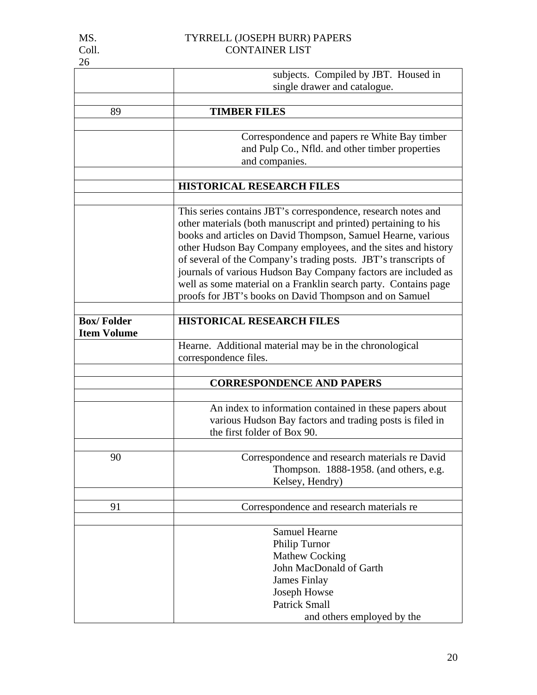| 26                 |                                                                                                                                                                                                                                                                                                                                                                                                                                                                    |
|--------------------|--------------------------------------------------------------------------------------------------------------------------------------------------------------------------------------------------------------------------------------------------------------------------------------------------------------------------------------------------------------------------------------------------------------------------------------------------------------------|
|                    | subjects. Compiled by JBT. Housed in                                                                                                                                                                                                                                                                                                                                                                                                                               |
|                    | single drawer and catalogue.                                                                                                                                                                                                                                                                                                                                                                                                                                       |
|                    |                                                                                                                                                                                                                                                                                                                                                                                                                                                                    |
| 89                 | <b>TIMBER FILES</b>                                                                                                                                                                                                                                                                                                                                                                                                                                                |
|                    |                                                                                                                                                                                                                                                                                                                                                                                                                                                                    |
|                    | Correspondence and papers re White Bay timber                                                                                                                                                                                                                                                                                                                                                                                                                      |
|                    | and Pulp Co., Nfld. and other timber properties                                                                                                                                                                                                                                                                                                                                                                                                                    |
|                    | and companies.                                                                                                                                                                                                                                                                                                                                                                                                                                                     |
|                    |                                                                                                                                                                                                                                                                                                                                                                                                                                                                    |
|                    | <b>HISTORICAL RESEARCH FILES</b>                                                                                                                                                                                                                                                                                                                                                                                                                                   |
|                    |                                                                                                                                                                                                                                                                                                                                                                                                                                                                    |
|                    | This series contains JBT's correspondence, research notes and                                                                                                                                                                                                                                                                                                                                                                                                      |
|                    | other materials (both manuscript and printed) pertaining to his                                                                                                                                                                                                                                                                                                                                                                                                    |
|                    | books and articles on David Thompson, Samuel Hearne, various                                                                                                                                                                                                                                                                                                                                                                                                       |
|                    | other Hudson Bay Company employees, and the sites and history                                                                                                                                                                                                                                                                                                                                                                                                      |
|                    | of several of the Company's trading posts. JBT's transcripts of                                                                                                                                                                                                                                                                                                                                                                                                    |
|                    | journals of various Hudson Bay Company factors are included as                                                                                                                                                                                                                                                                                                                                                                                                     |
|                    | well as some material on a Franklin search party. Contains page                                                                                                                                                                                                                                                                                                                                                                                                    |
|                    | proofs for JBT's books on David Thompson and on Samuel                                                                                                                                                                                                                                                                                                                                                                                                             |
|                    |                                                                                                                                                                                                                                                                                                                                                                                                                                                                    |
| <b>Box/Folder</b>  | <b>HISTORICAL RESEARCH FILES</b>                                                                                                                                                                                                                                                                                                                                                                                                                                   |
| <b>Item Volume</b> |                                                                                                                                                                                                                                                                                                                                                                                                                                                                    |
|                    | Hearne. Additional material may be in the chronological                                                                                                                                                                                                                                                                                                                                                                                                            |
|                    | correspondence files.                                                                                                                                                                                                                                                                                                                                                                                                                                              |
|                    |                                                                                                                                                                                                                                                                                                                                                                                                                                                                    |
|                    | <b>CORRESPONDENCE AND PAPERS</b>                                                                                                                                                                                                                                                                                                                                                                                                                                   |
|                    |                                                                                                                                                                                                                                                                                                                                                                                                                                                                    |
|                    |                                                                                                                                                                                                                                                                                                                                                                                                                                                                    |
|                    |                                                                                                                                                                                                                                                                                                                                                                                                                                                                    |
|                    |                                                                                                                                                                                                                                                                                                                                                                                                                                                                    |
|                    |                                                                                                                                                                                                                                                                                                                                                                                                                                                                    |
|                    |                                                                                                                                                                                                                                                                                                                                                                                                                                                                    |
|                    |                                                                                                                                                                                                                                                                                                                                                                                                                                                                    |
|                    |                                                                                                                                                                                                                                                                                                                                                                                                                                                                    |
|                    |                                                                                                                                                                                                                                                                                                                                                                                                                                                                    |
|                    |                                                                                                                                                                                                                                                                                                                                                                                                                                                                    |
|                    |                                                                                                                                                                                                                                                                                                                                                                                                                                                                    |
|                    |                                                                                                                                                                                                                                                                                                                                                                                                                                                                    |
|                    |                                                                                                                                                                                                                                                                                                                                                                                                                                                                    |
|                    |                                                                                                                                                                                                                                                                                                                                                                                                                                                                    |
|                    |                                                                                                                                                                                                                                                                                                                                                                                                                                                                    |
|                    |                                                                                                                                                                                                                                                                                                                                                                                                                                                                    |
|                    |                                                                                                                                                                                                                                                                                                                                                                                                                                                                    |
|                    | and others employed by the                                                                                                                                                                                                                                                                                                                                                                                                                                         |
| 90<br>91           | An index to information contained in these papers about<br>various Hudson Bay factors and trading posts is filed in<br>the first folder of Box 90.<br>Correspondence and research materials re David<br>Thompson. 1888-1958. (and others, e.g.<br>Kelsey, Hendry)<br>Correspondence and research materials re<br><b>Samuel Hearne</b><br>Philip Turnor<br><b>Mathew Cocking</b><br>John MacDonald of Garth<br>James Finlay<br>Joseph Howse<br><b>Patrick Small</b> |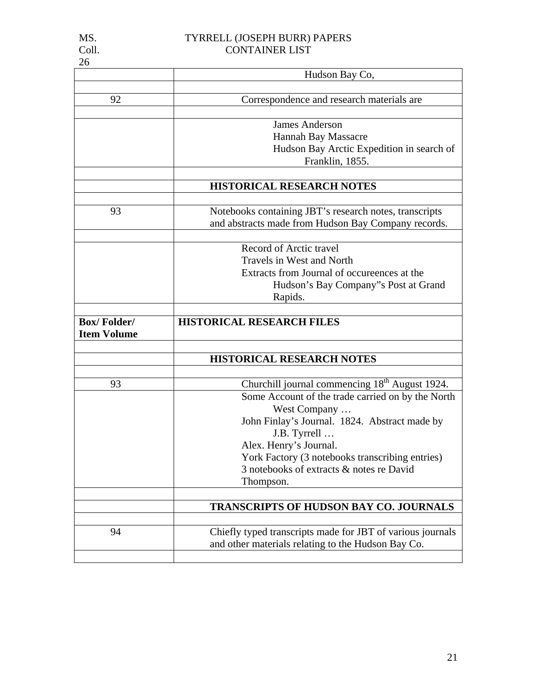| 26                 |                                                            |
|--------------------|------------------------------------------------------------|
|                    | Hudson Bay Co,                                             |
|                    |                                                            |
| 92                 | Correspondence and research materials are                  |
|                    |                                                            |
|                    | <b>James Anderson</b>                                      |
|                    | Hannah Bay Massacre                                        |
|                    | Hudson Bay Arctic Expedition in search of                  |
|                    | Franklin, 1855.                                            |
|                    |                                                            |
|                    | HISTORICAL RESEARCH NOTES                                  |
|                    |                                                            |
| 93                 | Notebooks containing JBT's research notes, transcripts     |
|                    | and abstracts made from Hudson Bay Company records.        |
|                    |                                                            |
|                    |                                                            |
|                    | Record of Arctic travel                                    |
|                    | <b>Travels in West and North</b>                           |
|                    | Extracts from Journal of occureences at the                |
|                    | Hudson's Bay Company"s Post at Grand                       |
|                    | Rapids.                                                    |
|                    |                                                            |
|                    |                                                            |
| <b>Box/Folder/</b> | <b>HISTORICAL RESEARCH FILES</b>                           |
| <b>Item Volume</b> |                                                            |
|                    |                                                            |
|                    | <b>HISTORICAL RESEARCH NOTES</b>                           |
|                    |                                                            |
| 93                 | Churchill journal commencing 18 <sup>th</sup> August 1924. |
|                    | Some Account of the trade carried on by the North          |
|                    | West Company                                               |
|                    | John Finlay's Journal. 1824. Abstract made by              |
|                    | J.B. Tyrrell                                               |
|                    |                                                            |
|                    | Alex. Henry's Journal.                                     |
|                    | York Factory (3 notebooks transcribing entries)            |
|                    | 3 notebooks of extracts & notes re David                   |
|                    | Thompson.                                                  |
|                    |                                                            |
|                    | TRANSCRIPTS OF HUDSON BAY CO. JOURNALS                     |
|                    |                                                            |
| 94                 | Chiefly typed transcripts made for JBT of various journals |
|                    | and other materials relating to the Hudson Bay Co.         |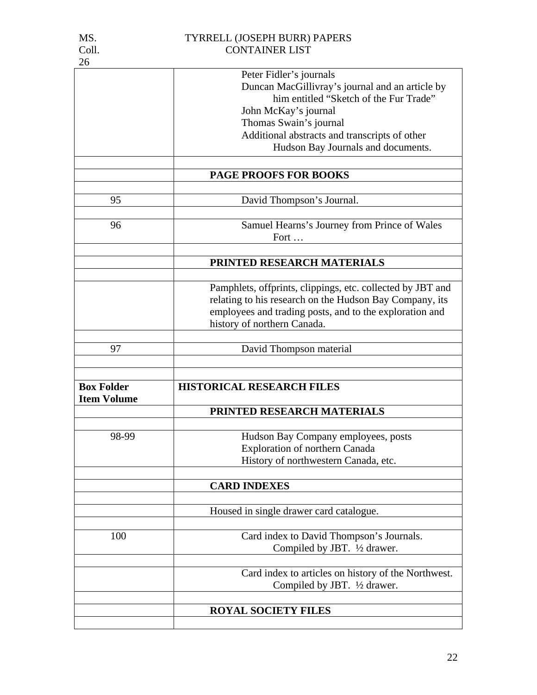| 26                 |                                                            |
|--------------------|------------------------------------------------------------|
|                    | Peter Fidler's journals                                    |
|                    | Duncan MacGillivray's journal and an article by            |
|                    | him entitled "Sketch of the Fur Trade"                     |
|                    | John McKay's journal                                       |
|                    |                                                            |
|                    | Thomas Swain's journal                                     |
|                    | Additional abstracts and transcripts of other              |
|                    | Hudson Bay Journals and documents.                         |
|                    |                                                            |
|                    | <b>PAGE PROOFS FOR BOOKS</b>                               |
|                    |                                                            |
| 95                 | David Thompson's Journal.                                  |
| 96                 | Samuel Hearns's Journey from Prince of Wales               |
|                    |                                                            |
|                    | Fort                                                       |
|                    |                                                            |
|                    | PRINTED RESEARCH MATERIALS                                 |
|                    | Pamphlets, offprints, clippings, etc. collected by JBT and |
|                    |                                                            |
|                    | relating to his research on the Hudson Bay Company, its    |
|                    | employees and trading posts, and to the exploration and    |
|                    | history of northern Canada.                                |
|                    |                                                            |
| 97                 | David Thompson material                                    |
|                    |                                                            |
| <b>Box Folder</b>  | <b>HISTORICAL RESEARCH FILES</b>                           |
| <b>Item Volume</b> |                                                            |
|                    | PRINTED RESEARCH MATERIALS                                 |
|                    |                                                            |
| 98-99              | Hudson Bay Company employees, posts                        |
|                    | <b>Exploration of northern Canada</b>                      |
|                    | History of northwestern Canada, etc.                       |
|                    |                                                            |
|                    | <b>CARD INDEXES</b>                                        |
|                    |                                                            |
|                    | Housed in single drawer card catalogue.                    |
| 100                | Card index to David Thompson's Journals.                   |
|                    |                                                            |
|                    | Compiled by JBT. 1/2 drawer.                               |
|                    | Card index to articles on history of the Northwest.        |
|                    |                                                            |
|                    | Compiled by JBT. 1/2 drawer.                               |
|                    |                                                            |
|                    | <b>ROYAL SOCIETY FILES</b>                                 |
|                    |                                                            |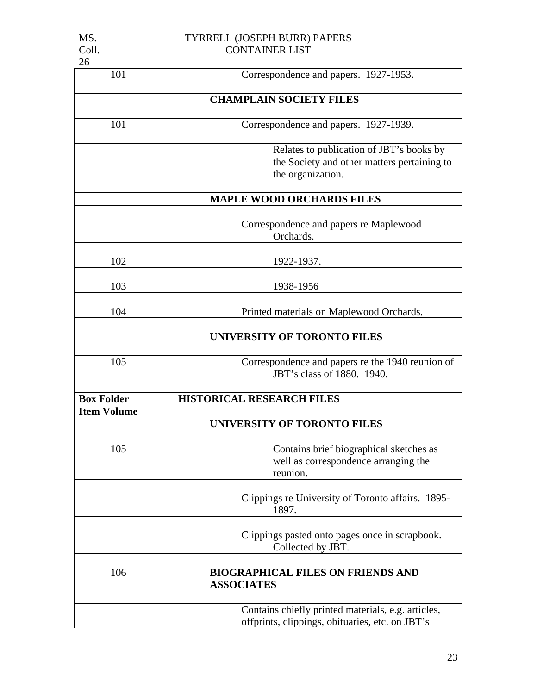| 101                                     | Correspondence and papers. 1927-1953.                                                                 |
|-----------------------------------------|-------------------------------------------------------------------------------------------------------|
|                                         | <b>CHAMPLAIN SOCIETY FILES</b>                                                                        |
|                                         |                                                                                                       |
| 101                                     | Correspondence and papers. 1927-1939.                                                                 |
|                                         | Relates to publication of JBT's books by                                                              |
|                                         | the Society and other matters pertaining to                                                           |
|                                         | the organization.                                                                                     |
|                                         |                                                                                                       |
|                                         | <b>MAPLE WOOD ORCHARDS FILES</b>                                                                      |
|                                         | Correspondence and papers re Maplewood                                                                |
|                                         | Orchards.                                                                                             |
| 102                                     | 1922-1937.                                                                                            |
|                                         |                                                                                                       |
| 103                                     | 1938-1956                                                                                             |
| 104                                     | Printed materials on Maplewood Orchards.                                                              |
|                                         |                                                                                                       |
|                                         | <b>UNIVERSITY OF TORONTO FILES</b>                                                                    |
|                                         |                                                                                                       |
| 105                                     | Correspondence and papers re the 1940 reunion of<br>JBT's class of 1880. 1940.                        |
|                                         |                                                                                                       |
| <b>Box Folder</b><br><b>Item Volume</b> | <b>HISTORICAL RESEARCH FILES</b>                                                                      |
|                                         | <b>UNIVERSITY OF TORONTO FILES</b>                                                                    |
|                                         |                                                                                                       |
| 105                                     | Contains brief biographical sketches as                                                               |
|                                         | well as correspondence arranging the<br>reunion.                                                      |
|                                         |                                                                                                       |
|                                         | Clippings re University of Toronto affairs. 1895-<br>1897.                                            |
|                                         |                                                                                                       |
|                                         | Clippings pasted onto pages once in scrapbook.                                                        |
|                                         | Collected by JBT.                                                                                     |
| 106                                     | <b>BIOGRAPHICAL FILES ON FRIENDS AND</b>                                                              |
|                                         | <b>ASSOCIATES</b>                                                                                     |
|                                         |                                                                                                       |
|                                         | Contains chiefly printed materials, e.g. articles,<br>offprints, clippings, obituaries, etc. on JBT's |
|                                         |                                                                                                       |

23

26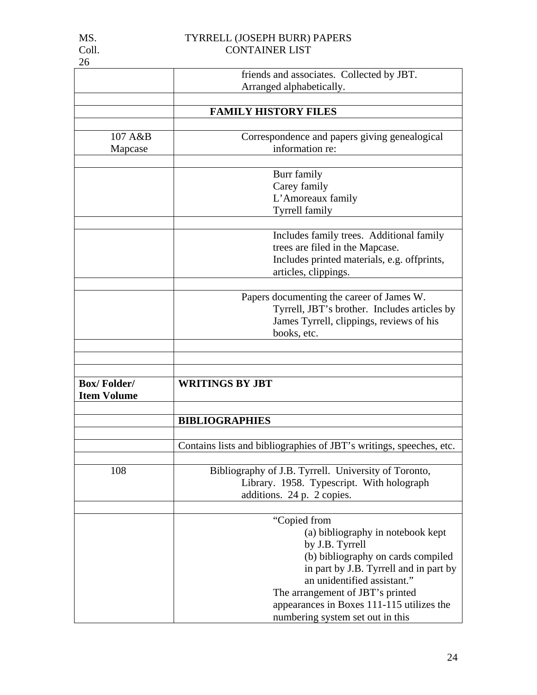| COII.              | CUNTAINER LIJT                                                      |
|--------------------|---------------------------------------------------------------------|
| 26                 |                                                                     |
|                    | friends and associates. Collected by JBT.                           |
|                    | Arranged alphabetically.                                            |
|                    |                                                                     |
|                    | <b>FAMILY HISTORY FILES</b>                                         |
|                    |                                                                     |
| 107 A&B            | Correspondence and papers giving genealogical                       |
| Mapcase            | information re:                                                     |
|                    |                                                                     |
|                    | Burr family                                                         |
|                    | Carey family                                                        |
|                    | L'Amoreaux family                                                   |
|                    | <b>Tyrrell family</b>                                               |
|                    |                                                                     |
|                    | Includes family trees. Additional family                            |
|                    | trees are filed in the Mapcase.                                     |
|                    | Includes printed materials, e.g. offprints,                         |
|                    | articles, clippings.                                                |
|                    |                                                                     |
|                    | Papers documenting the career of James W.                           |
|                    | Tyrrell, JBT's brother. Includes articles by                        |
|                    | James Tyrrell, clippings, reviews of his                            |
|                    | books, etc.                                                         |
|                    |                                                                     |
|                    |                                                                     |
|                    |                                                                     |
| <b>Box/Folder/</b> | <b>WRITINGS BY JBT</b>                                              |
| <b>Item Volume</b> |                                                                     |
|                    |                                                                     |
|                    | <b>BIBLIOGRAPHIES</b>                                               |
|                    |                                                                     |
|                    | Contains lists and bibliographies of JBT's writings, speeches, etc. |
|                    |                                                                     |
| 108                | Bibliography of J.B. Tyrrell. University of Toronto,                |
|                    | Library. 1958. Typescript. With holograph                           |
|                    | $11'$ $21'$                                                         |

| additions. 24 p. 2 copies.                |
|-------------------------------------------|
|                                           |
| "Copied from                              |
| (a) bibliography in notebook kept         |
| by J.B. Tyrrell                           |
| (b) bibliography on cards compiled        |
| in part by J.B. Tyrrell and in part by    |
| an unidentified assistant."               |
| The arrangement of JBT's printed          |
| appearances in Boxes 111-115 utilizes the |
| numbering system set out in this          |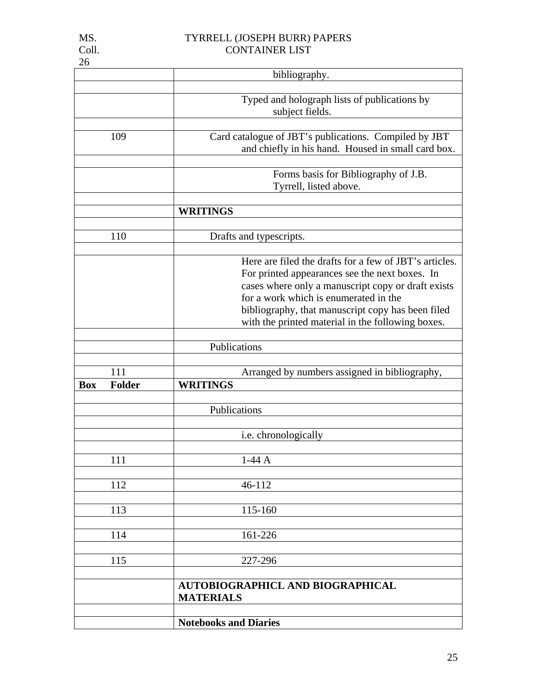|            |               | bibliography.                                                                                                                                                                                                                                                                                                     |
|------------|---------------|-------------------------------------------------------------------------------------------------------------------------------------------------------------------------------------------------------------------------------------------------------------------------------------------------------------------|
|            |               |                                                                                                                                                                                                                                                                                                                   |
|            |               | Typed and holograph lists of publications by<br>subject fields.                                                                                                                                                                                                                                                   |
|            |               |                                                                                                                                                                                                                                                                                                                   |
|            | 109           | Card catalogue of JBT's publications. Compiled by JBT<br>and chiefly in his hand. Housed in small card box.                                                                                                                                                                                                       |
|            |               |                                                                                                                                                                                                                                                                                                                   |
|            |               | Forms basis for Bibliography of J.B.<br>Tyrrell, listed above.                                                                                                                                                                                                                                                    |
|            |               |                                                                                                                                                                                                                                                                                                                   |
|            |               | <b>WRITINGS</b>                                                                                                                                                                                                                                                                                                   |
|            |               |                                                                                                                                                                                                                                                                                                                   |
|            | 110           | Drafts and typescripts.                                                                                                                                                                                                                                                                                           |
|            |               |                                                                                                                                                                                                                                                                                                                   |
|            |               | Here are filed the drafts for a few of JBT's articles.<br>For printed appearances see the next boxes. In<br>cases where only a manuscript copy or draft exists<br>for a work which is enumerated in the<br>bibliography, that manuscript copy has been filed<br>with the printed material in the following boxes. |
|            |               |                                                                                                                                                                                                                                                                                                                   |
|            |               | Publications                                                                                                                                                                                                                                                                                                      |
|            |               |                                                                                                                                                                                                                                                                                                                   |
|            | 111           | Arranged by numbers assigned in bibliography,                                                                                                                                                                                                                                                                     |
| <b>Box</b> | <b>Folder</b> | <b>WRITINGS</b>                                                                                                                                                                                                                                                                                                   |
|            |               |                                                                                                                                                                                                                                                                                                                   |
|            |               | Publications                                                                                                                                                                                                                                                                                                      |
|            |               |                                                                                                                                                                                                                                                                                                                   |
|            |               | i.e. chronologically                                                                                                                                                                                                                                                                                              |
|            | 111           | $1-44$ A                                                                                                                                                                                                                                                                                                          |
|            |               |                                                                                                                                                                                                                                                                                                                   |
|            | 112           | 46-112                                                                                                                                                                                                                                                                                                            |
|            |               |                                                                                                                                                                                                                                                                                                                   |
|            | 113           | 115-160                                                                                                                                                                                                                                                                                                           |
|            |               |                                                                                                                                                                                                                                                                                                                   |
|            | 114           | 161-226                                                                                                                                                                                                                                                                                                           |
|            |               |                                                                                                                                                                                                                                                                                                                   |
|            | 115           | 227-296                                                                                                                                                                                                                                                                                                           |
|            |               | <b>AUTOBIOGRAPHICL AND BIOGRAPHICAL</b>                                                                                                                                                                                                                                                                           |
|            |               | <b>MATERIALS</b>                                                                                                                                                                                                                                                                                                  |
|            |               |                                                                                                                                                                                                                                                                                                                   |
|            |               | <b>Notebooks and Diaries</b>                                                                                                                                                                                                                                                                                      |

26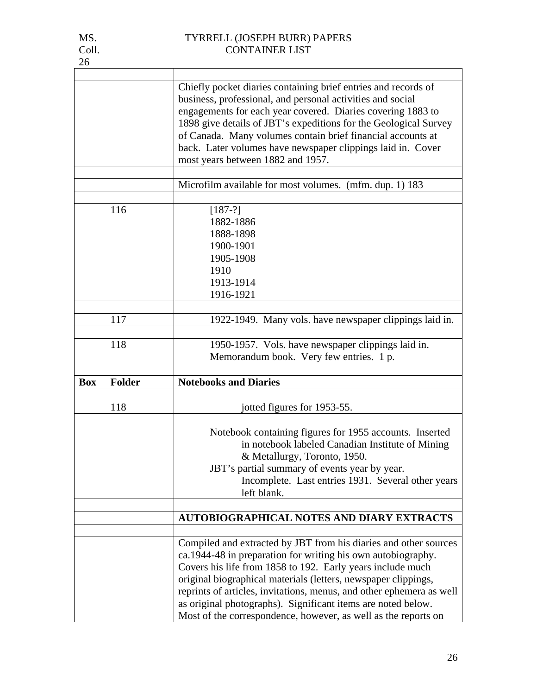| 26         |               |                                                                                                                                                                                                                                                                                                                                                                                                                                                                            |
|------------|---------------|----------------------------------------------------------------------------------------------------------------------------------------------------------------------------------------------------------------------------------------------------------------------------------------------------------------------------------------------------------------------------------------------------------------------------------------------------------------------------|
|            |               |                                                                                                                                                                                                                                                                                                                                                                                                                                                                            |
|            |               | Chiefly pocket diaries containing brief entries and records of<br>business, professional, and personal activities and social<br>engagements for each year covered. Diaries covering 1883 to<br>1898 give details of JBT's expeditions for the Geological Survey<br>of Canada. Many volumes contain brief financial accounts at<br>back. Later volumes have newspaper clippings laid in. Cover<br>most years between 1882 and 1957.                                         |
|            |               | Microfilm available for most volumes. (mfm. dup. 1) 183                                                                                                                                                                                                                                                                                                                                                                                                                    |
|            |               |                                                                                                                                                                                                                                                                                                                                                                                                                                                                            |
|            | 116           | $[187-?]$<br>1882-1886<br>1888-1898<br>1900-1901<br>1905-1908<br>1910<br>1913-1914<br>1916-1921                                                                                                                                                                                                                                                                                                                                                                            |
|            | 117           | 1922-1949. Many vols. have newspaper clippings laid in.                                                                                                                                                                                                                                                                                                                                                                                                                    |
|            |               |                                                                                                                                                                                                                                                                                                                                                                                                                                                                            |
|            | 118           | 1950-1957. Vols. have newspaper clippings laid in.<br>Memorandum book. Very few entries. 1 p.                                                                                                                                                                                                                                                                                                                                                                              |
| <b>Box</b> | <b>Folder</b> | <b>Notebooks and Diaries</b>                                                                                                                                                                                                                                                                                                                                                                                                                                               |
|            |               |                                                                                                                                                                                                                                                                                                                                                                                                                                                                            |
|            | 118           | jotted figures for 1953-55.                                                                                                                                                                                                                                                                                                                                                                                                                                                |
|            |               |                                                                                                                                                                                                                                                                                                                                                                                                                                                                            |
|            |               | Notebook containing figures for 1955 accounts. Inserted<br>in notebook labeled Canadian Institute of Mining<br>& Metallurgy, Toronto, 1950.<br>JBT's partial summary of events year by year.<br>Incomplete. Last entries 1931. Several other years<br>left blank.                                                                                                                                                                                                          |
|            |               |                                                                                                                                                                                                                                                                                                                                                                                                                                                                            |
|            |               | <b>AUTOBIOGRAPHICAL NOTES AND DIARY EXTRACTS</b>                                                                                                                                                                                                                                                                                                                                                                                                                           |
|            |               | Compiled and extracted by JBT from his diaries and other sources<br>ca.1944-48 in preparation for writing his own autobiography.<br>Covers his life from 1858 to 192. Early years include much<br>original biographical materials (letters, newspaper clippings,<br>reprints of articles, invitations, menus, and other ephemera as well<br>as original photographs). Significant items are noted below.<br>Most of the correspondence, however, as well as the reports on |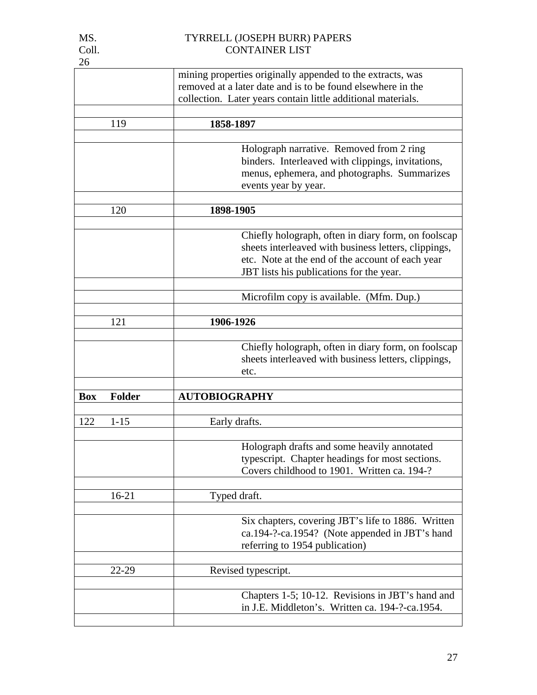|            |               | mining properties originally appended to the extracts, was   |
|------------|---------------|--------------------------------------------------------------|
|            |               | removed at a later date and is to be found elsewhere in the  |
|            |               | collection. Later years contain little additional materials. |
|            |               |                                                              |
|            | 119           | 1858-1897                                                    |
|            |               |                                                              |
|            |               | Holograph narrative. Removed from 2 ring                     |
|            |               | binders. Interleaved with clippings, invitations,            |
|            |               | menus, ephemera, and photographs. Summarizes                 |
|            |               | events year by year.                                         |
|            |               |                                                              |
|            | 120           | 1898-1905                                                    |
|            |               |                                                              |
|            |               | Chiefly holograph, often in diary form, on foolscap          |
|            |               | sheets interleaved with business letters, clippings,         |
|            |               | etc. Note at the end of the account of each year             |
|            |               | JBT lists his publications for the year.                     |
|            |               |                                                              |
|            |               | Microfilm copy is available. (Mfm. Dup.)                     |
|            |               |                                                              |
|            | 121           | 1906-1926                                                    |
|            |               |                                                              |
|            |               | Chiefly holograph, often in diary form, on foolscap          |
|            |               | sheets interleaved with business letters, clippings,         |
|            |               | etc.                                                         |
|            |               |                                                              |
| <b>Box</b> | <b>Folder</b> | <b>AUTOBIOGRAPHY</b>                                         |
|            |               |                                                              |
| 122        | $1 - 15$      | Early drafts.                                                |
|            |               |                                                              |
|            |               | Holograph drafts and some heavily annotated                  |
|            |               | typescript. Chapter headings for most sections.              |
|            |               | Covers childhood to 1901. Written ca. 194-?                  |
|            |               |                                                              |
|            | $16 - 21$     | Typed draft.                                                 |
|            |               |                                                              |
|            |               | Six chapters, covering JBT's life to 1886. Written           |
|            |               | ca.194-?-ca.1954? (Note appended in JBT's hand               |
|            |               | referring to 1954 publication)                               |
|            |               |                                                              |
|            | 22-29         | Revised typescript.                                          |
|            |               |                                                              |
|            |               | Chapters 1-5; 10-12. Revisions in JBT's hand and             |
|            |               |                                                              |
|            |               |                                                              |
|            |               | in J.E. Middleton's. Written ca. 194-?-ca.1954.              |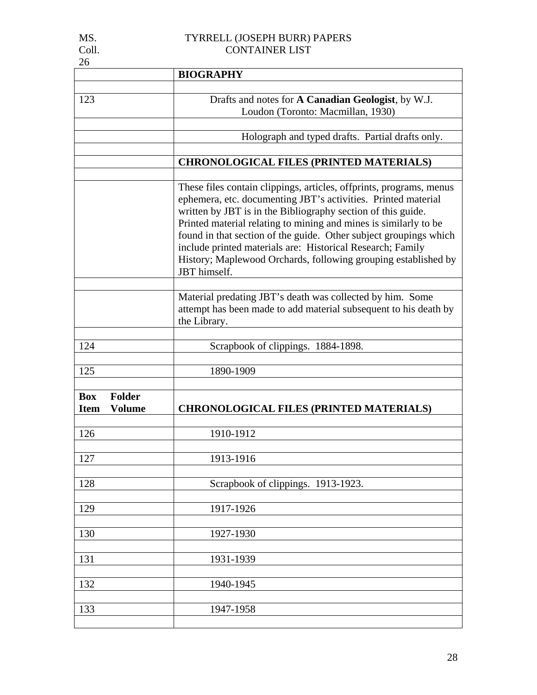| 26                                                          |                                                                                                                                                                                                                                                                                                                                                                                                                                                                                               |  |  |
|-------------------------------------------------------------|-----------------------------------------------------------------------------------------------------------------------------------------------------------------------------------------------------------------------------------------------------------------------------------------------------------------------------------------------------------------------------------------------------------------------------------------------------------------------------------------------|--|--|
|                                                             | <b>BIOGRAPHY</b>                                                                                                                                                                                                                                                                                                                                                                                                                                                                              |  |  |
| 123                                                         | Drafts and notes for A Canadian Geologist, by W.J.<br>Loudon (Toronto: Macmillan, 1930)                                                                                                                                                                                                                                                                                                                                                                                                       |  |  |
|                                                             | Holograph and typed drafts. Partial drafts only.                                                                                                                                                                                                                                                                                                                                                                                                                                              |  |  |
|                                                             | <b>CHRONOLOGICAL FILES (PRINTED MATERIALS)</b>                                                                                                                                                                                                                                                                                                                                                                                                                                                |  |  |
|                                                             | These files contain clippings, articles, offprints, programs, menus<br>ephemera, etc. documenting JBT's activities. Printed material<br>written by JBT is in the Bibliography section of this guide.<br>Printed material relating to mining and mines is similarly to be<br>found in that section of the guide. Other subject groupings which<br>include printed materials are: Historical Research; Family<br>History; Maplewood Orchards, following grouping established by<br>JBT himself. |  |  |
|                                                             | Material predating JBT's death was collected by him. Some<br>attempt has been made to add material subsequent to his death by<br>the Library.                                                                                                                                                                                                                                                                                                                                                 |  |  |
| 124                                                         | Scrapbook of clippings. 1884-1898.                                                                                                                                                                                                                                                                                                                                                                                                                                                            |  |  |
| 125                                                         | 1890-1909                                                                                                                                                                                                                                                                                                                                                                                                                                                                                     |  |  |
| <b>Folder</b><br><b>Box</b><br><b>Item</b><br><b>Volume</b> | <b>CHRONOLOGICAL FILES (PRINTED MATERIALS)</b>                                                                                                                                                                                                                                                                                                                                                                                                                                                |  |  |
| 126                                                         | 1910-1912                                                                                                                                                                                                                                                                                                                                                                                                                                                                                     |  |  |
| 127                                                         | 1913-1916                                                                                                                                                                                                                                                                                                                                                                                                                                                                                     |  |  |
| 128                                                         | Scrapbook of clippings. 1913-1923.                                                                                                                                                                                                                                                                                                                                                                                                                                                            |  |  |
| 129                                                         | 1917-1926                                                                                                                                                                                                                                                                                                                                                                                                                                                                                     |  |  |
| 130                                                         | 1927-1930                                                                                                                                                                                                                                                                                                                                                                                                                                                                                     |  |  |
| 131                                                         | 1931-1939                                                                                                                                                                                                                                                                                                                                                                                                                                                                                     |  |  |
| 132                                                         | 1940-1945                                                                                                                                                                                                                                                                                                                                                                                                                                                                                     |  |  |
| 133                                                         | 1947-1958                                                                                                                                                                                                                                                                                                                                                                                                                                                                                     |  |  |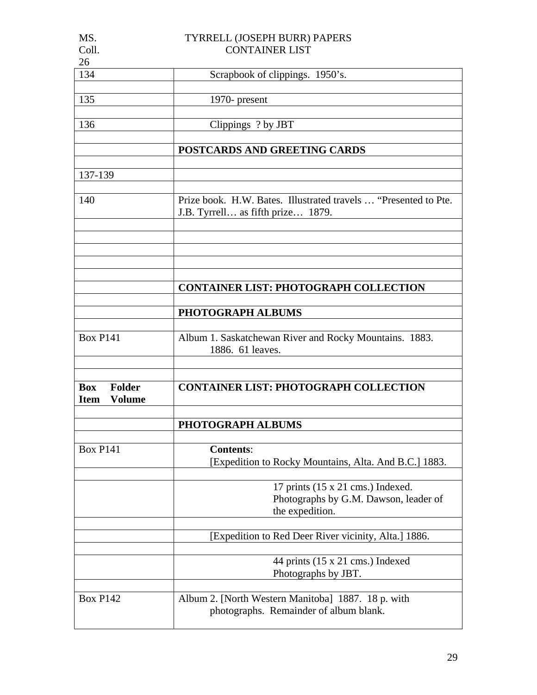| MS.                          | TYRRELL (JOSEPH BURR) PAPERS                                    |  |  |
|------------------------------|-----------------------------------------------------------------|--|--|
| Coll.                        | <b>CONTAINER LIST</b>                                           |  |  |
| 26                           |                                                                 |  |  |
| 134                          | Scrapbook of clippings. 1950's.                                 |  |  |
|                              |                                                                 |  |  |
| 135                          | 1970- present                                                   |  |  |
|                              |                                                                 |  |  |
| 136                          | Clippings ? by JBT                                              |  |  |
|                              |                                                                 |  |  |
|                              |                                                                 |  |  |
|                              | POSTCARDS AND GREETING CARDS                                    |  |  |
|                              |                                                                 |  |  |
| 137-139                      |                                                                 |  |  |
|                              |                                                                 |  |  |
| 140                          | Prize book. H.W. Bates. Illustrated travels  "Presented to Pte. |  |  |
|                              | J.B. Tyrrell as fifth prize 1879.                               |  |  |
|                              |                                                                 |  |  |
|                              |                                                                 |  |  |
|                              |                                                                 |  |  |
|                              |                                                                 |  |  |
|                              |                                                                 |  |  |
|                              | <b>CONTAINER LIST: PHOTOGRAPH COLLECTION</b>                    |  |  |
|                              |                                                                 |  |  |
|                              | PHOTOGRAPH ALBUMS                                               |  |  |
|                              |                                                                 |  |  |
| <b>Box P141</b>              | Album 1. Saskatchewan River and Rocky Mountains. 1883.          |  |  |
|                              | 1886. 61 leaves.                                                |  |  |
|                              |                                                                 |  |  |
|                              |                                                                 |  |  |
|                              |                                                                 |  |  |
| <b>Folder</b><br><b>Box</b>  | <b>CONTAINER LIST: PHOTOGRAPH COLLECTION</b>                    |  |  |
| <b>Volume</b><br><b>Item</b> |                                                                 |  |  |
|                              |                                                                 |  |  |
|                              | <b>PHOTOGRAPH ALBUMS</b>                                        |  |  |
|                              |                                                                 |  |  |
| <b>Box P141</b>              | <b>Contents:</b>                                                |  |  |
|                              | [Expedition to Rocky Mountains, Alta. And B.C.] 1883.           |  |  |
|                              |                                                                 |  |  |
|                              | 17 prints $(15 \times 21 \text{ cms.})$ Indexed.                |  |  |
|                              | Photographs by G.M. Dawson, leader of                           |  |  |
|                              | the expedition.                                                 |  |  |
|                              |                                                                 |  |  |
|                              |                                                                 |  |  |
|                              |                                                                 |  |  |
|                              | [Expedition to Red Deer River vicinity, Alta.] 1886.            |  |  |
|                              |                                                                 |  |  |
|                              | 44 prints $(15 \times 21 \text{ cms.})$ Indexed                 |  |  |
|                              | Photographs by JBT.                                             |  |  |
|                              |                                                                 |  |  |
| <b>Box P142</b>              | Album 2. [North Western Manitoba] 1887. 18 p. with              |  |  |
|                              | photographs. Remainder of album blank.                          |  |  |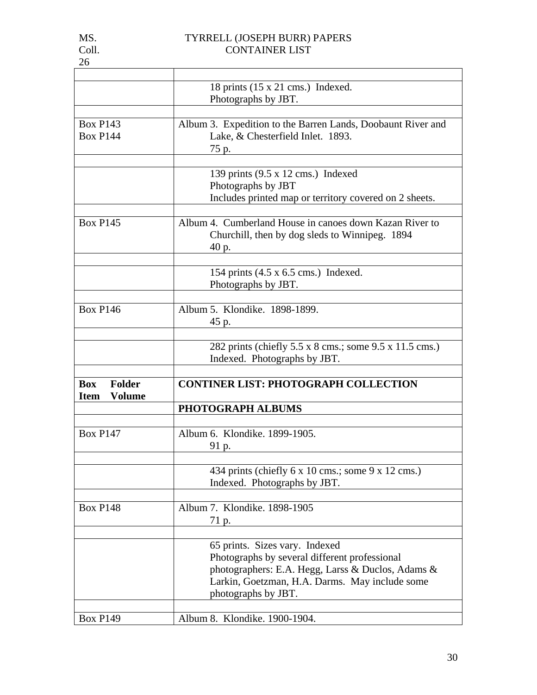|                                                             | 18 prints $(15 \times 21 \text{ cms.})$ Indexed.<br>Photographs by JBT.                                                                                                                                       |  |  |
|-------------------------------------------------------------|---------------------------------------------------------------------------------------------------------------------------------------------------------------------------------------------------------------|--|--|
|                                                             |                                                                                                                                                                                                               |  |  |
| <b>Box P143</b><br><b>Box P144</b>                          | Album 3. Expedition to the Barren Lands, Doobaunt River and<br>Lake, & Chesterfield Inlet. 1893.<br>75 p.                                                                                                     |  |  |
|                                                             | 139 prints (9.5 x 12 cms.) Indexed<br>Photographs by JBT<br>Includes printed map or territory covered on 2 sheets.                                                                                            |  |  |
| <b>Box P145</b>                                             | Album 4. Cumberland House in canoes down Kazan River to<br>Churchill, then by dog sleds to Winnipeg. 1894<br>40 p.                                                                                            |  |  |
|                                                             | 154 prints $(4.5 \times 6.5 \text{ cm})$ Indexed.<br>Photographs by JBT.                                                                                                                                      |  |  |
| <b>Box P146</b>                                             | Album 5. Klondike, 1898-1899.<br>45 p.                                                                                                                                                                        |  |  |
|                                                             | 282 prints (chiefly 5.5 x 8 cms.; some 9.5 x 11.5 cms.)<br>Indexed. Photographs by JBT.                                                                                                                       |  |  |
| <b>Folder</b><br><b>Box</b><br><b>Item</b><br><b>Volume</b> | <b>CONTINER LIST: PHOTOGRAPH COLLECTION</b>                                                                                                                                                                   |  |  |
|                                                             | PHOTOGRAPH ALBUMS                                                                                                                                                                                             |  |  |
| <b>Box P147</b>                                             | Album 6. Klondike. 1899-1905.<br>91 p.                                                                                                                                                                        |  |  |
|                                                             | 434 prints (chiefly 6 x 10 cms.; some 9 x 12 cms.)<br>Indexed. Photographs by JBT.                                                                                                                            |  |  |
| <b>Box P148</b>                                             | Album 7. Klondike. 1898-1905<br>71 p.                                                                                                                                                                         |  |  |
|                                                             | 65 prints. Sizes vary. Indexed<br>Photographs by several different professional<br>photographers: E.A. Hegg, Larss & Duclos, Adams &<br>Larkin, Goetzman, H.A. Darms. May include some<br>photographs by JBT. |  |  |
| <b>Box P149</b>                                             | Album 8. Klondike. 1900-1904.                                                                                                                                                                                 |  |  |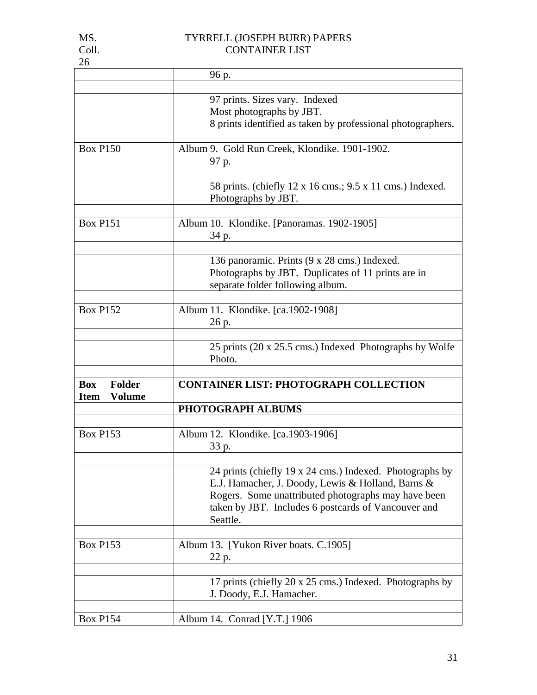| 26                           |                                                                                                          |  |  |
|------------------------------|----------------------------------------------------------------------------------------------------------|--|--|
|                              | 96 p.                                                                                                    |  |  |
|                              |                                                                                                          |  |  |
|                              | 97 prints. Sizes vary. Indexed                                                                           |  |  |
|                              | Most photographs by JBT.                                                                                 |  |  |
|                              | 8 prints identified as taken by professional photographers.                                              |  |  |
|                              |                                                                                                          |  |  |
| <b>Box P150</b>              | Album 9. Gold Run Creek, Klondike. 1901-1902.                                                            |  |  |
|                              | 97 p.                                                                                                    |  |  |
|                              | 58 prints. (chiefly 12 x 16 cms.; 9.5 x 11 cms.) Indexed.                                                |  |  |
|                              | Photographs by JBT.                                                                                      |  |  |
|                              |                                                                                                          |  |  |
| <b>Box P151</b>              | Album 10. Klondike. [Panoramas. 1902-1905]                                                               |  |  |
|                              | 34 p.                                                                                                    |  |  |
|                              |                                                                                                          |  |  |
|                              | 136 panoramic. Prints (9 x 28 cms.) Indexed.                                                             |  |  |
|                              | Photographs by JBT. Duplicates of 11 prints are in                                                       |  |  |
|                              | separate folder following album.                                                                         |  |  |
| <b>Box P152</b>              | Album 11. Klondike. [ca.1902-1908]                                                                       |  |  |
|                              | 26 p.                                                                                                    |  |  |
|                              |                                                                                                          |  |  |
|                              | 25 prints (20 x 25.5 cms.) Indexed Photographs by Wolfe                                                  |  |  |
|                              | Photo.                                                                                                   |  |  |
|                              |                                                                                                          |  |  |
| <b>Box</b><br><b>Folder</b>  | <b>CONTAINER LIST: PHOTOGRAPH COLLECTION</b>                                                             |  |  |
| <b>Volume</b><br><b>Item</b> |                                                                                                          |  |  |
|                              | PHOTOGRAPH ALBUMS                                                                                        |  |  |
|                              |                                                                                                          |  |  |
| <b>Box P153</b>              | Album 12. Klondike. [ca.1903-1906]                                                                       |  |  |
|                              | 33 p.                                                                                                    |  |  |
|                              |                                                                                                          |  |  |
|                              | 24 prints (chiefly 19 x 24 cms.) Indexed. Photographs by                                                 |  |  |
|                              | E.J. Hamacher, J. Doody, Lewis & Holland, Barns &<br>Rogers. Some unattributed photographs may have been |  |  |
|                              | taken by JBT. Includes 6 postcards of Vancouver and                                                      |  |  |
|                              | Seattle.                                                                                                 |  |  |
|                              |                                                                                                          |  |  |
| <b>Box P153</b>              | Album 13. [Yukon River boats. C.1905]                                                                    |  |  |
|                              | 22 p.                                                                                                    |  |  |
|                              |                                                                                                          |  |  |
|                              | 17 prints (chiefly 20 x 25 cms.) Indexed. Photographs by                                                 |  |  |
|                              | J. Doody, E.J. Hamacher.                                                                                 |  |  |
|                              |                                                                                                          |  |  |
| <b>Box P154</b>              | Album 14. Conrad [Y.T.] 1906                                                                             |  |  |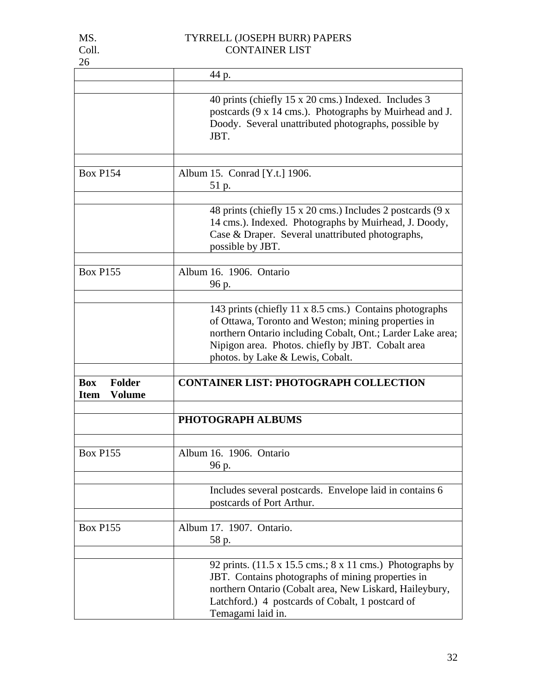| 26                                                          |                                                                                                                                                                                                                                                                                |
|-------------------------------------------------------------|--------------------------------------------------------------------------------------------------------------------------------------------------------------------------------------------------------------------------------------------------------------------------------|
|                                                             | 44 p.                                                                                                                                                                                                                                                                          |
|                                                             | 40 prints (chiefly 15 x 20 cms.) Indexed. Includes 3<br>postcards (9 x 14 cms.). Photographs by Muirhead and J.<br>Doody. Several unattributed photographs, possible by<br>JBT.                                                                                                |
| <b>Box P154</b>                                             | Album 15. Conrad [Y.t.] 1906.<br>51 p.                                                                                                                                                                                                                                         |
|                                                             | 48 prints (chiefly 15 x 20 cms.) Includes 2 postcards (9 x<br>14 cms.). Indexed. Photographs by Muirhead, J. Doody,<br>Case & Draper. Several unattributed photographs,<br>possible by JBT.                                                                                    |
| <b>Box P155</b>                                             | Album 16. 1906. Ontario<br>96 p.                                                                                                                                                                                                                                               |
|                                                             | 143 prints (chiefly 11 x 8.5 cms.) Contains photographs<br>of Ottawa, Toronto and Weston; mining properties in<br>northern Ontario including Cobalt, Ont.; Larder Lake area;<br>Nipigon area. Photos. chiefly by JBT. Cobalt area<br>photos. by Lake & Lewis, Cobalt.          |
| <b>Folder</b><br><b>Box</b><br><b>Volume</b><br><b>Item</b> | <b>CONTAINER LIST: PHOTOGRAPH COLLECTION</b>                                                                                                                                                                                                                                   |
|                                                             | PHOTOGRAPH ALBUMS                                                                                                                                                                                                                                                              |
| <b>Box P155</b>                                             | Album 16. 1906. Ontario<br>96 p.                                                                                                                                                                                                                                               |
|                                                             | Includes several postcards. Envelope laid in contains 6<br>postcards of Port Arthur.                                                                                                                                                                                           |
| <b>Box P155</b>                                             | Album 17. 1907. Ontario.<br>58 p.                                                                                                                                                                                                                                              |
|                                                             | 92 prints. $(11.5 \times 15.5 \text{ cms.}; 8 \times 11 \text{ cms.})$ Photographs by<br>JBT. Contains photographs of mining properties in<br>northern Ontario (Cobalt area, New Liskard, Haileybury,<br>Latchford.) 4 postcards of Cobalt, 1 postcard of<br>Temagami laid in. |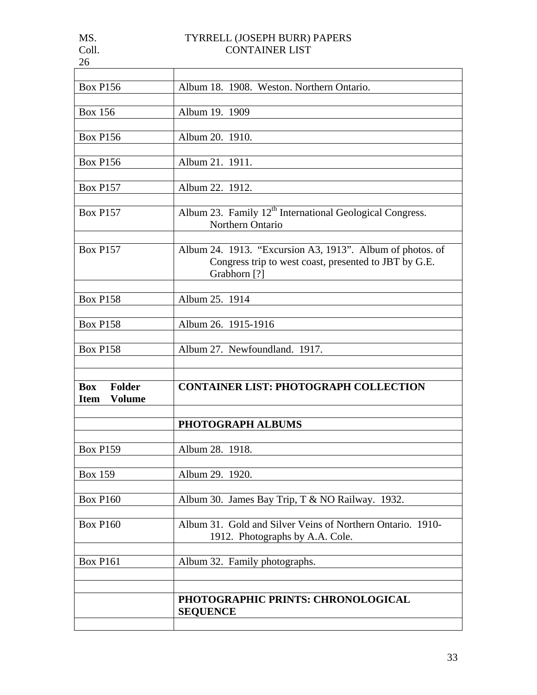| Album 18. 1908. Weston. Northern Ontario.                                                                                          |  |  |  |  |
|------------------------------------------------------------------------------------------------------------------------------------|--|--|--|--|
| Album 19. 1909                                                                                                                     |  |  |  |  |
| Album 20. 1910.                                                                                                                    |  |  |  |  |
| Album 21. 1911.                                                                                                                    |  |  |  |  |
| Album 22. 1912.                                                                                                                    |  |  |  |  |
| Album 23. Family 12 <sup>th</sup> International Geological Congress.<br>Northern Ontario                                           |  |  |  |  |
| Album 24. 1913. "Excursion A3, 1913". Album of photos. of<br>Congress trip to west coast, presented to JBT by G.E.<br>Grabhorn [?] |  |  |  |  |
| Album 25. 1914                                                                                                                     |  |  |  |  |
| Album 26. 1915-1916                                                                                                                |  |  |  |  |
| Album 27. Newfoundland. 1917.                                                                                                      |  |  |  |  |
| <b>CONTAINER LIST: PHOTOGRAPH COLLECTION</b>                                                                                       |  |  |  |  |
| PHOTOGRAPH ALBUMS                                                                                                                  |  |  |  |  |
| Album 28. 1918.                                                                                                                    |  |  |  |  |
| Album 29. 1920.                                                                                                                    |  |  |  |  |
| Album 30. James Bay Trip, T & NO Railway. 1932.                                                                                    |  |  |  |  |
| Album 31. Gold and Silver Veins of Northern Ontario. 1910-<br>1912. Photographs by A.A. Cole.                                      |  |  |  |  |
| Album 32. Family photographs.                                                                                                      |  |  |  |  |
| PHOTOGRAPHIC PRINTS: CHRONOLOGICAL                                                                                                 |  |  |  |  |
|                                                                                                                                    |  |  |  |  |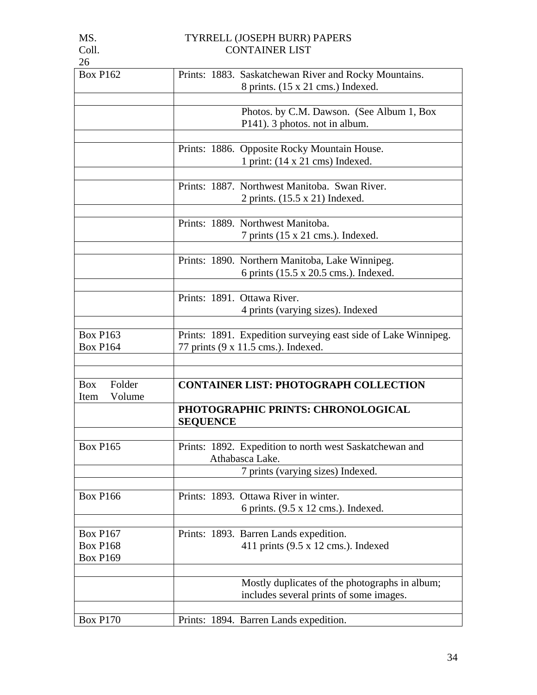| <b>Box P162</b>                            | Prints: 1883. Saskatchewan River and Rocky Mountains.          |  |  |  |  |
|--------------------------------------------|----------------------------------------------------------------|--|--|--|--|
|                                            | 8 prints. (15 x 21 cms.) Indexed.                              |  |  |  |  |
|                                            |                                                                |  |  |  |  |
|                                            | Photos. by C.M. Dawson. (See Album 1, Box                      |  |  |  |  |
|                                            | P141). 3 photos. not in album.                                 |  |  |  |  |
|                                            | Prints: 1886. Opposite Rocky Mountain House.                   |  |  |  |  |
|                                            | 1 print: $(14 \times 21 \text{ cms})$ Indexed.                 |  |  |  |  |
|                                            |                                                                |  |  |  |  |
|                                            | Prints: 1887. Northwest Manitoba. Swan River.                  |  |  |  |  |
|                                            | 2 prints. (15.5 x 21) Indexed.                                 |  |  |  |  |
|                                            |                                                                |  |  |  |  |
|                                            | Prints: 1889. Northwest Manitoba.                              |  |  |  |  |
|                                            | $7 \text{ prints } (15 \times 21 \text{ cms.})$ . Indexed.     |  |  |  |  |
|                                            |                                                                |  |  |  |  |
|                                            | Prints: 1890. Northern Manitoba, Lake Winnipeg.                |  |  |  |  |
|                                            | 6 prints (15.5 x 20.5 cms.). Indexed.                          |  |  |  |  |
|                                            |                                                                |  |  |  |  |
|                                            | Prints: 1891. Ottawa River.                                    |  |  |  |  |
|                                            | 4 prints (varying sizes). Indexed                              |  |  |  |  |
|                                            |                                                                |  |  |  |  |
| <b>Box P163</b>                            | Prints: 1891. Expedition surveying east side of Lake Winnipeg. |  |  |  |  |
| <b>Box P164</b>                            | 77 prints (9 x 11.5 cms.). Indexed.                            |  |  |  |  |
|                                            |                                                                |  |  |  |  |
| Folder<br><b>Box</b>                       | <b>CONTAINER LIST: PHOTOGRAPH COLLECTION</b>                   |  |  |  |  |
| Volume                                     |                                                                |  |  |  |  |
| Item<br>PHOTOGRAPHIC PRINTS: CHRONOLOGICAL |                                                                |  |  |  |  |
|                                            | <b>SEQUENCE</b>                                                |  |  |  |  |
|                                            |                                                                |  |  |  |  |
| <b>Box P165</b>                            | Prints: 1892. Expedition to north west Saskatchewan and        |  |  |  |  |
|                                            | Athabasca Lake.                                                |  |  |  |  |
|                                            | 7 prints (varying sizes) Indexed.                              |  |  |  |  |
|                                            |                                                                |  |  |  |  |
| <b>Box P166</b>                            | Prints: 1893. Ottawa River in winter.                          |  |  |  |  |
|                                            | 6 prints. $(9.5 \times 12 \text{ cms.})$ . Indexed.            |  |  |  |  |
|                                            |                                                                |  |  |  |  |
| <b>Box P167</b>                            | Prints: 1893. Barren Lands expedition.                         |  |  |  |  |
| <b>Box P168</b>                            | 411 prints (9.5 x 12 cms.). Indexed                            |  |  |  |  |
| <b>Box P169</b>                            |                                                                |  |  |  |  |
|                                            |                                                                |  |  |  |  |
|                                            | Mostly duplicates of the photographs in album;                 |  |  |  |  |
|                                            | includes several prints of some images.                        |  |  |  |  |
|                                            |                                                                |  |  |  |  |
| <b>Box P170</b>                            | Prints: 1894. Barren Lands expedition.                         |  |  |  |  |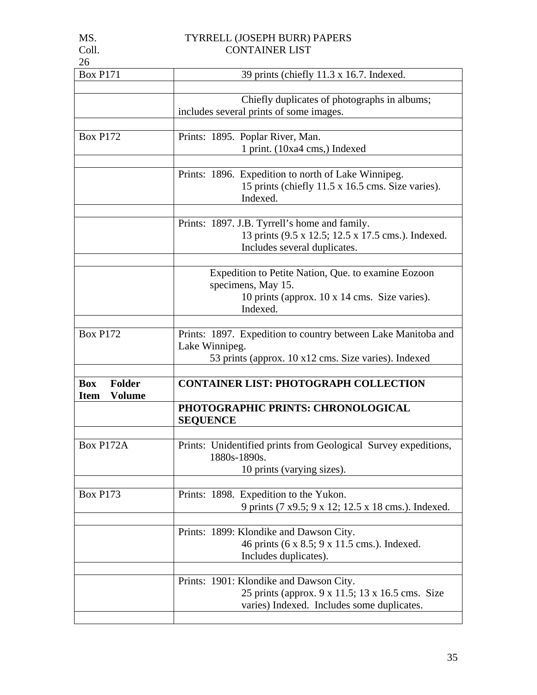| 26                                                          |                                                                                                                                           |  |  |
|-------------------------------------------------------------|-------------------------------------------------------------------------------------------------------------------------------------------|--|--|
| <b>Box P171</b>                                             | 39 prints (chiefly 11.3 x 16.7. Indexed.                                                                                                  |  |  |
|                                                             | Chiefly duplicates of photographs in albums;<br>includes several prints of some images.                                                   |  |  |
| <b>Box P172</b>                                             | Prints: 1895. Poplar River, Man.<br>1 print. (10xa4 cms,) Indexed                                                                         |  |  |
|                                                             | Prints: 1896. Expedition to north of Lake Winnipeg.<br>15 prints (chiefly 11.5 x 16.5 cms. Size varies).<br>Indexed.                      |  |  |
|                                                             | Prints: 1897. J.B. Tyrrell's home and family.<br>13 prints (9.5 x 12.5; 12.5 x 17.5 cms.). Indexed.<br>Includes several duplicates.       |  |  |
|                                                             | Expedition to Petite Nation, Que. to examine Eozoon<br>specimens, May 15.<br>10 prints (approx. 10 x 14 cms. Size varies).<br>Indexed.    |  |  |
| <b>Box P172</b>                                             | Prints: 1897. Expedition to country between Lake Manitoba and<br>Lake Winnipeg.<br>53 prints (approx. 10 x12 cms. Size varies). Indexed   |  |  |
| <b>Box</b><br><b>Folder</b><br><b>Volume</b><br><b>Item</b> | <b>CONTAINER LIST: PHOTOGRAPH COLLECTION</b>                                                                                              |  |  |
|                                                             | PHOTOGRAPHIC PRINTS: CHRONOLOGICAL<br><b>SEQUENCE</b>                                                                                     |  |  |
| Box P172A                                                   | Prints: Unidentified prints from Geological Survey expeditions,<br>1880s-1890s.<br>10 prints (varying sizes).                             |  |  |
| <b>Box P173</b>                                             | Prints: 1898. Expedition to the Yukon.<br>9 prints (7 x9.5; 9 x 12; 12.5 x 18 cms.). Indexed.                                             |  |  |
|                                                             | Prints: 1899: Klondike and Dawson City.<br>46 prints (6 x 8.5; 9 x 11.5 cms.). Indexed.<br>Includes duplicates).                          |  |  |
|                                                             | Prints: 1901: Klondike and Dawson City.<br>25 prints (approx. 9 x 11.5; 13 x 16.5 cms. Size<br>varies) Indexed. Includes some duplicates. |  |  |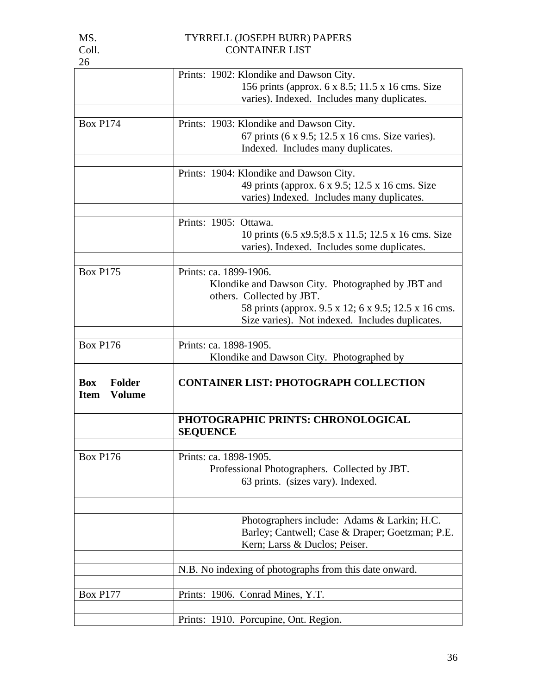| 26                           |                                                                                             |  |  |
|------------------------------|---------------------------------------------------------------------------------------------|--|--|
|                              | Prints: 1902: Klondike and Dawson City.                                                     |  |  |
|                              | 156 prints (approx. 6 x 8.5; 11.5 x 16 cms. Size                                            |  |  |
|                              | varies). Indexed. Includes many duplicates.                                                 |  |  |
|                              |                                                                                             |  |  |
| <b>Box P174</b>              | Prints: 1903: Klondike and Dawson City.<br>67 prints (6 x 9.5; 12.5 x 16 cms. Size varies). |  |  |
|                              | Indexed. Includes many duplicates.                                                          |  |  |
|                              |                                                                                             |  |  |
|                              | Prints: 1904: Klondike and Dawson City.                                                     |  |  |
|                              | 49 prints (approx. 6 x 9.5; 12.5 x 16 cms. Size                                             |  |  |
|                              | varies) Indexed. Includes many duplicates.                                                  |  |  |
|                              |                                                                                             |  |  |
|                              | Prints: 1905: Ottawa.                                                                       |  |  |
|                              | 10 prints (6.5 x9.5;8.5 x 11.5; 12.5 x 16 cms. Size                                         |  |  |
|                              | varies). Indexed. Includes some duplicates.                                                 |  |  |
|                              |                                                                                             |  |  |
| <b>Box P175</b>              | Prints: ca. 1899-1906.                                                                      |  |  |
|                              | Klondike and Dawson City. Photographed by JBT and                                           |  |  |
|                              | others. Collected by JBT.                                                                   |  |  |
|                              | 58 prints (approx. 9.5 x 12; 6 x 9.5; 12.5 x 16 cms.                                        |  |  |
|                              | Size varies). Not indexed. Includes duplicates.                                             |  |  |
|                              |                                                                                             |  |  |
| <b>Box P176</b>              | Prints: ca. 1898-1905.                                                                      |  |  |
|                              | Klondike and Dawson City. Photographed by                                                   |  |  |
| <b>Folder</b><br><b>Box</b>  | <b>CONTAINER LIST: PHOTOGRAPH COLLECTION</b>                                                |  |  |
| <b>Volume</b><br><b>Item</b> |                                                                                             |  |  |
|                              |                                                                                             |  |  |
|                              | PHOTOGRAPHIC PRINTS: CHRONOLOGICAL                                                          |  |  |
|                              | <b>SEQUENCE</b>                                                                             |  |  |
|                              |                                                                                             |  |  |
| <b>Box P176</b>              | Prints: ca. 1898-1905.                                                                      |  |  |
|                              | Professional Photographers. Collected by JBT.                                               |  |  |
|                              | 63 prints. (sizes vary). Indexed.                                                           |  |  |
|                              |                                                                                             |  |  |
|                              |                                                                                             |  |  |
|                              |                                                                                             |  |  |
|                              | Photographers include: Adams & Larkin; H.C.                                                 |  |  |
|                              | Barley; Cantwell; Case & Draper; Goetzman; P.E.                                             |  |  |
|                              | Kern; Larss & Duclos; Peiser.                                                               |  |  |
|                              |                                                                                             |  |  |
|                              | N.B. No indexing of photographs from this date onward.                                      |  |  |
|                              |                                                                                             |  |  |
| <b>Box P177</b>              | Prints: 1906. Conrad Mines, Y.T.                                                            |  |  |
|                              | Prints: 1910. Porcupine, Ont. Region.                                                       |  |  |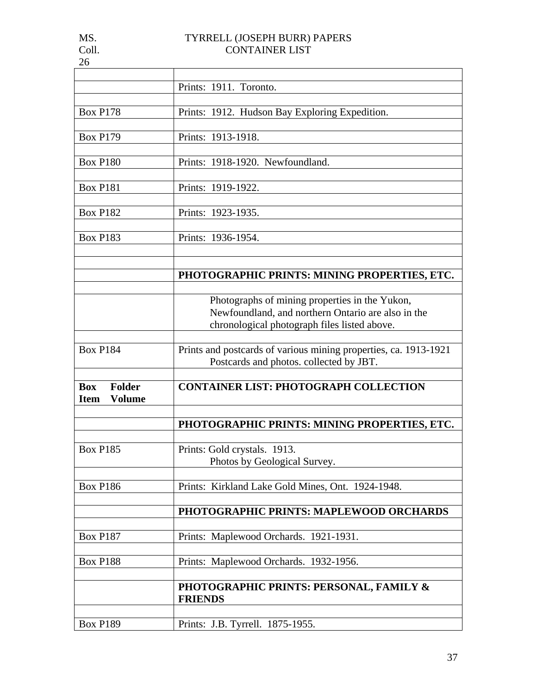| and the state of the state of the state of the state of the state of the state of the state of the state of th |
|----------------------------------------------------------------------------------------------------------------|
|                                                                                                                |

|                              | Prints: 1911. Toronto.                                           |  |  |
|------------------------------|------------------------------------------------------------------|--|--|
|                              |                                                                  |  |  |
| <b>Box P178</b>              | Prints: 1912. Hudson Bay Exploring Expedition.                   |  |  |
|                              |                                                                  |  |  |
| <b>Box P179</b>              | Prints: 1913-1918.                                               |  |  |
|                              |                                                                  |  |  |
|                              |                                                                  |  |  |
| <b>Box P180</b>              | Prints: 1918-1920. Newfoundland.                                 |  |  |
|                              |                                                                  |  |  |
| <b>Box P181</b>              | Prints: 1919-1922.                                               |  |  |
|                              |                                                                  |  |  |
| <b>Box P182</b>              | Prints: 1923-1935.                                               |  |  |
|                              |                                                                  |  |  |
| <b>Box P183</b>              | Prints: 1936-1954.                                               |  |  |
|                              |                                                                  |  |  |
|                              |                                                                  |  |  |
|                              |                                                                  |  |  |
|                              | PHOTOGRAPHIC PRINTS: MINING PROPERTIES, ETC.                     |  |  |
|                              |                                                                  |  |  |
|                              | Photographs of mining properties in the Yukon,                   |  |  |
|                              | Newfoundland, and northern Ontario are also in the               |  |  |
|                              | chronological photograph files listed above.                     |  |  |
|                              |                                                                  |  |  |
| <b>Box P184</b>              | Prints and postcards of various mining properties, ca. 1913-1921 |  |  |
|                              | Postcards and photos. collected by JBT.                          |  |  |
|                              |                                                                  |  |  |
|                              |                                                                  |  |  |
| <b>Folder</b><br><b>Box</b>  | <b>CONTAINER LIST: PHOTOGRAPH COLLECTION</b>                     |  |  |
| <b>Volume</b><br><b>Item</b> |                                                                  |  |  |
|                              |                                                                  |  |  |
|                              | PHOTOGRAPHIC PRINTS: MINING PROPERTIES, ETC.                     |  |  |
|                              |                                                                  |  |  |
| <b>Box P185</b>              | Prints: Gold crystals. 1913.                                     |  |  |
|                              | Photos by Geological Survey.                                     |  |  |
|                              |                                                                  |  |  |
|                              |                                                                  |  |  |
| <b>Box P186</b>              | Prints: Kirkland Lake Gold Mines, Ont. 1924-1948.                |  |  |
|                              |                                                                  |  |  |
|                              | PHOTOGRAPHIC PRINTS: MAPLEWOOD ORCHARDS                          |  |  |
|                              |                                                                  |  |  |
| <b>Box P187</b>              | Prints: Maplewood Orchards. 1921-1931.                           |  |  |
|                              |                                                                  |  |  |
| <b>Box P188</b>              | Prints: Maplewood Orchards. 1932-1956.                           |  |  |
|                              |                                                                  |  |  |
|                              | PHOTOGRAPHIC PRINTS: PERSONAL, FAMILY &                          |  |  |
|                              | <b>FRIENDS</b>                                                   |  |  |
|                              |                                                                  |  |  |
|                              |                                                                  |  |  |
| <b>Box P189</b>              | Prints: J.B. Tyrrell. 1875-1955.                                 |  |  |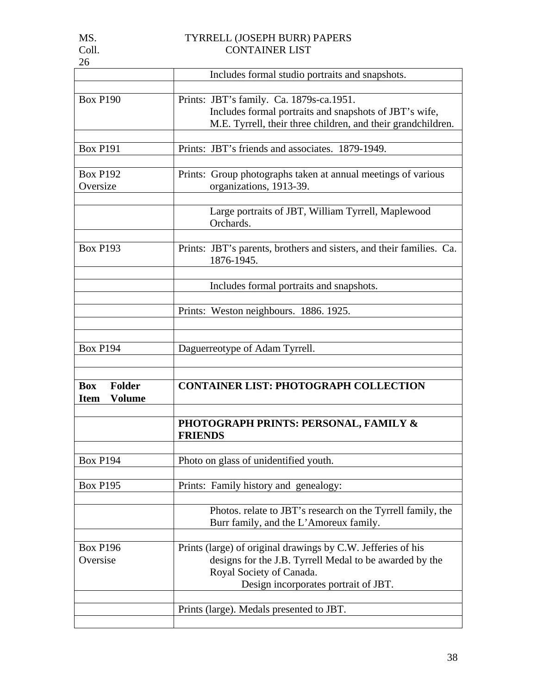|  | ۰,<br>. . |  |
|--|-----------|--|
|  |           |  |

|                              | Includes formal studio portraits and snapshots.                                     |
|------------------------------|-------------------------------------------------------------------------------------|
|                              |                                                                                     |
| <b>Box P190</b>              | Prints: JBT's family. Ca. 1879s-ca.1951.                                            |
|                              | Includes formal portraits and snapshots of JBT's wife,                              |
|                              | M.E. Tyrrell, their three children, and their grandchildren.                        |
|                              |                                                                                     |
| <b>Box P191</b>              | Prints: JBT's friends and associates. 1879-1949.                                    |
| <b>Box P192</b>              | Prints: Group photographs taken at annual meetings of various                       |
| Oversize                     | organizations, 1913-39.                                                             |
|                              |                                                                                     |
|                              | Large portraits of JBT, William Tyrrell, Maplewood                                  |
|                              | Orchards.                                                                           |
|                              |                                                                                     |
| <b>Box P193</b>              | Prints: JBT's parents, brothers and sisters, and their families. Ca.                |
|                              | 1876-1945.                                                                          |
|                              |                                                                                     |
|                              | Includes formal portraits and snapshots.                                            |
|                              |                                                                                     |
|                              | Prints: Weston neighbours. 1886. 1925.                                              |
|                              |                                                                                     |
| <b>Box P194</b>              | Daguerreotype of Adam Tyrrell.                                                      |
|                              |                                                                                     |
|                              |                                                                                     |
| <b>Box</b><br><b>Folder</b>  | <b>CONTAINER LIST: PHOTOGRAPH COLLECTION</b>                                        |
| <b>Volume</b><br><b>Item</b> |                                                                                     |
|                              |                                                                                     |
|                              | <b>PHOTOGRAPH PRINTS: PERSONAL, FAMILY &amp;</b>                                    |
|                              | <b>FRIENDS</b>                                                                      |
|                              |                                                                                     |
| <b>Box P194</b>              | Photo on glass of unidentified youth.                                               |
|                              |                                                                                     |
| <b>Box P195</b>              | Prints: Family history and genealogy:                                               |
|                              | Photos. relate to JBT's research on the Tyrrell family, the                         |
|                              |                                                                                     |
|                              |                                                                                     |
|                              | Burr family, and the L'Amoreux family.                                              |
|                              |                                                                                     |
| <b>Box P196</b>              | Prints (large) of original drawings by C.W. Jefferies of his                        |
| Oversise                     | designs for the J.B. Tyrrell Medal to be awarded by the<br>Royal Society of Canada. |
|                              | Design incorporates portrait of JBT.                                                |
|                              |                                                                                     |
|                              | Prints (large). Medals presented to JBT.                                            |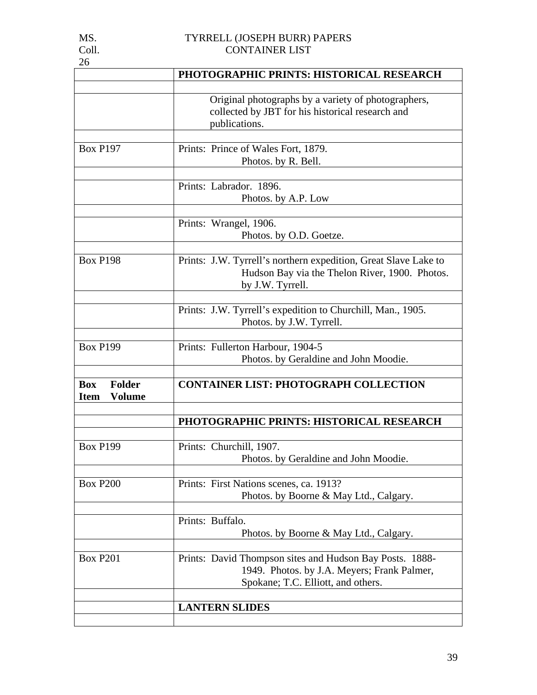| MS.   | TYRRELL (JOSEPH BURR) PAPERS |
|-------|------------------------------|
| Coll. | <b>CONTAINER LIST</b>        |

|                                                             | PHOTOGRAPHIC PRINTS: HISTORICAL RESEARCH                                                                                                      |
|-------------------------------------------------------------|-----------------------------------------------------------------------------------------------------------------------------------------------|
|                                                             | Original photographs by a variety of photographers,                                                                                           |
|                                                             | collected by JBT for his historical research and<br>publications.                                                                             |
| <b>Box P197</b>                                             | Prints: Prince of Wales Fort, 1879.<br>Photos. by R. Bell.                                                                                    |
|                                                             | Prints: Labrador. 1896.<br>Photos. by A.P. Low                                                                                                |
|                                                             | Prints: Wrangel, 1906.<br>Photos. by O.D. Goetze.                                                                                             |
|                                                             |                                                                                                                                               |
| <b>Box P198</b>                                             | Prints: J.W. Tyrrell's northern expedition, Great Slave Lake to<br>Hudson Bay via the Thelon River, 1900. Photos.<br>by J.W. Tyrrell.         |
|                                                             | Prints: J.W. Tyrrell's expedition to Churchill, Man., 1905.<br>Photos. by J.W. Tyrrell.                                                       |
| <b>Box P199</b>                                             | Prints: Fullerton Harbour, 1904-5<br>Photos. by Geraldine and John Moodie.                                                                    |
| <b>Folder</b><br><b>Box</b><br><b>Volume</b><br><b>Item</b> | <b>CONTAINER LIST: PHOTOGRAPH COLLECTION</b>                                                                                                  |
|                                                             | PHOTOGRAPHIC PRINTS: HISTORICAL RESEARCH                                                                                                      |
| <b>Box P199</b>                                             | Prints: Churchill, 1907.<br>Photos. by Geraldine and John Moodie.                                                                             |
| <b>Box P200</b>                                             | Prints: First Nations scenes, ca. 1913?<br>Photos. by Boorne & May Ltd., Calgary.                                                             |
|                                                             | Prints: Buffalo.<br>Photos. by Boorne & May Ltd., Calgary.                                                                                    |
| <b>Box P201</b>                                             | Prints: David Thompson sites and Hudson Bay Posts. 1888-<br>1949. Photos. by J.A. Meyers; Frank Palmer,<br>Spokane; T.C. Elliott, and others. |
|                                                             | <b>LANTERN SLIDES</b>                                                                                                                         |
|                                                             |                                                                                                                                               |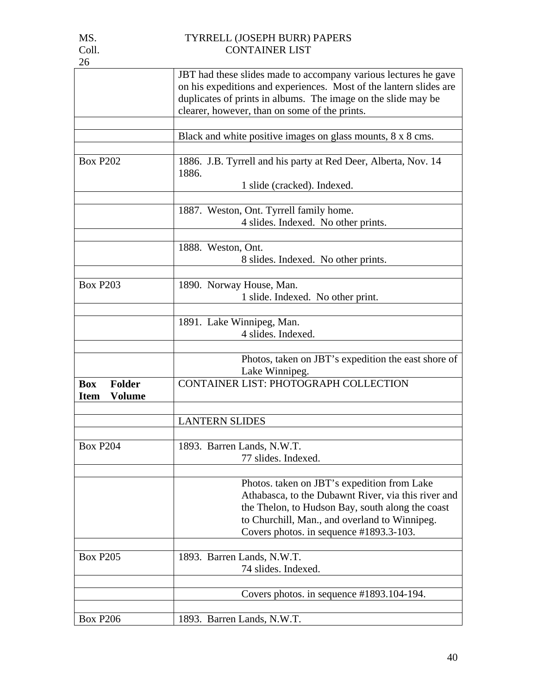| 26                                                          |                                                                                                                                                                                                                                                         |
|-------------------------------------------------------------|---------------------------------------------------------------------------------------------------------------------------------------------------------------------------------------------------------------------------------------------------------|
|                                                             | JBT had these slides made to accompany various lectures he gave<br>on his expeditions and experiences. Most of the lantern slides are<br>duplicates of prints in albums. The image on the slide may be<br>clearer, however, than on some of the prints. |
|                                                             | Black and white positive images on glass mounts, 8 x 8 cms.                                                                                                                                                                                             |
| <b>Box P202</b>                                             | 1886. J.B. Tyrrell and his party at Red Deer, Alberta, Nov. 14<br>1886.<br>1 slide (cracked). Indexed.                                                                                                                                                  |
|                                                             | 1887. Weston, Ont. Tyrrell family home.<br>4 slides. Indexed. No other prints.                                                                                                                                                                          |
|                                                             | 1888. Weston, Ont.<br>8 slides. Indexed. No other prints.                                                                                                                                                                                               |
| <b>Box P203</b>                                             | 1890. Norway House, Man.<br>1 slide. Indexed. No other print.                                                                                                                                                                                           |
|                                                             | 1891. Lake Winnipeg, Man.<br>4 slides. Indexed.                                                                                                                                                                                                         |
|                                                             | Photos, taken on JBT's expedition the east shore of<br>Lake Winnipeg.                                                                                                                                                                                   |
| <b>Folder</b><br><b>Box</b><br><b>Volume</b><br><b>Item</b> | CONTAINER LIST: PHOTOGRAPH COLLECTION                                                                                                                                                                                                                   |
|                                                             | <b>LANTERN SLIDES</b>                                                                                                                                                                                                                                   |
| <b>Box P204</b>                                             | 1893. Barren Lands, N.W.T.<br>77 slides. Indexed.                                                                                                                                                                                                       |
|                                                             | Photos. taken on JBT's expedition from Lake<br>Athabasca, to the Dubawnt River, via this river and<br>the Thelon, to Hudson Bay, south along the coast<br>to Churchill, Man., and overland to Winnipeg.<br>Covers photos. in sequence $\#1893.3-103$ .  |
| <b>Box P205</b>                                             | 1893. Barren Lands, N.W.T.<br>74 slides. Indexed.                                                                                                                                                                                                       |
|                                                             | Covers photos. in sequence $\#1893.104-194$ .                                                                                                                                                                                                           |
| <b>Box P206</b>                                             | 1893. Barren Lands, N.W.T.                                                                                                                                                                                                                              |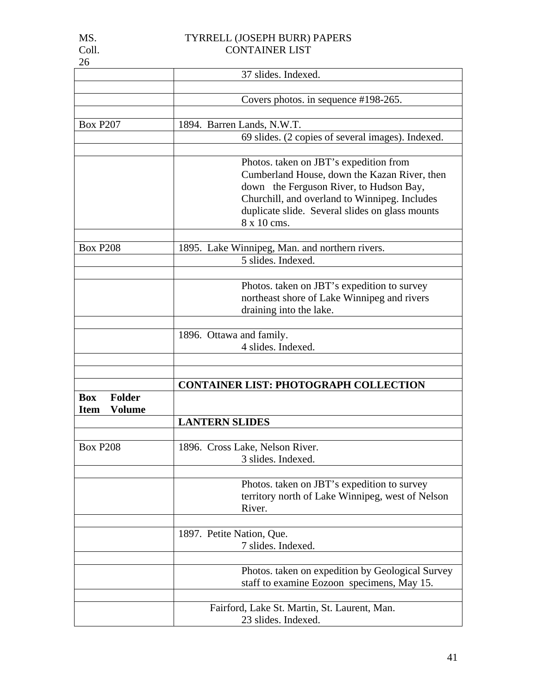| . <i>.</i> |  |
|------------|--|
| Coll.      |  |
| 26         |  |

|                                                             | 37 slides. Indexed.                                                                                                                                                                                                                                  |
|-------------------------------------------------------------|------------------------------------------------------------------------------------------------------------------------------------------------------------------------------------------------------------------------------------------------------|
|                                                             |                                                                                                                                                                                                                                                      |
|                                                             | Covers photos. in sequence #198-265.                                                                                                                                                                                                                 |
| <b>Box P207</b>                                             | 1894. Barren Lands, N.W.T.                                                                                                                                                                                                                           |
|                                                             | 69 slides. (2 copies of several images). Indexed.                                                                                                                                                                                                    |
|                                                             |                                                                                                                                                                                                                                                      |
|                                                             | Photos. taken on JBT's expedition from<br>Cumberland House, down the Kazan River, then<br>down the Ferguson River, to Hudson Bay,<br>Churchill, and overland to Winnipeg. Includes<br>duplicate slide. Several slides on glass mounts<br>8 x 10 cms. |
| <b>Box P208</b>                                             | 1895. Lake Winnipeg, Man. and northern rivers.                                                                                                                                                                                                       |
|                                                             | 5 slides. Indexed.                                                                                                                                                                                                                                   |
|                                                             |                                                                                                                                                                                                                                                      |
|                                                             | Photos. taken on JBT's expedition to survey                                                                                                                                                                                                          |
|                                                             | northeast shore of Lake Winnipeg and rivers                                                                                                                                                                                                          |
|                                                             | draining into the lake.                                                                                                                                                                                                                              |
|                                                             | 1896. Ottawa and family.                                                                                                                                                                                                                             |
|                                                             | 4 slides. Indexed.                                                                                                                                                                                                                                   |
|                                                             |                                                                                                                                                                                                                                                      |
|                                                             | <b>CONTAINER LIST: PHOTOGRAPH COLLECTION</b>                                                                                                                                                                                                         |
| <b>Folder</b><br><b>Box</b><br><b>Item</b><br><b>Volume</b> |                                                                                                                                                                                                                                                      |
|                                                             | <b>LANTERN SLIDES</b>                                                                                                                                                                                                                                |
| <b>Box P208</b>                                             | 1896. Cross Lake, Nelson River.                                                                                                                                                                                                                      |
|                                                             | 3 slides. Indexed.                                                                                                                                                                                                                                   |
|                                                             | Photos. taken on JBT's expedition to survey<br>territory north of Lake Winnipeg, west of Nelson<br>River.                                                                                                                                            |
|                                                             | 1897. Petite Nation, Que.                                                                                                                                                                                                                            |
|                                                             | 7 slides. Indexed.                                                                                                                                                                                                                                   |
|                                                             |                                                                                                                                                                                                                                                      |
|                                                             | Photos. taken on expedition by Geological Survey<br>staff to examine Eozoon specimens, May 15.                                                                                                                                                       |
|                                                             | Fairford, Lake St. Martin, St. Laurent, Man.<br>23 slides. Indexed.                                                                                                                                                                                  |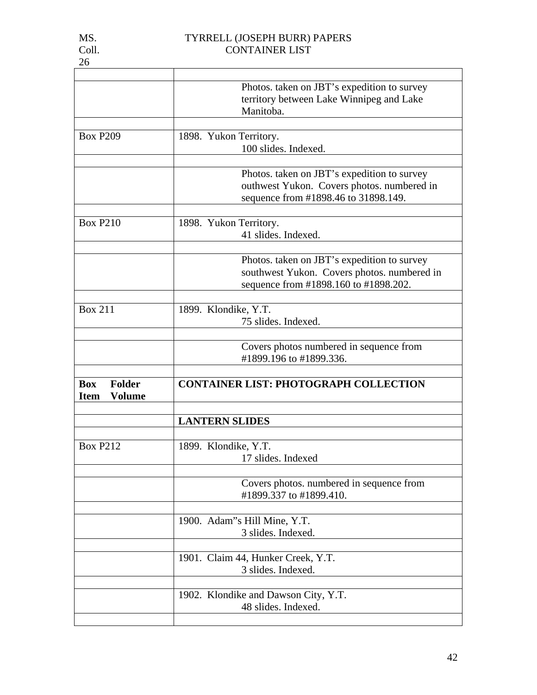|                                                      | Photos. taken on JBT's expedition to survey<br>territory between Lake Winnipeg and Lake<br>Manitoba.                                |
|------------------------------------------------------|-------------------------------------------------------------------------------------------------------------------------------------|
|                                                      |                                                                                                                                     |
| <b>Box P209</b>                                      | 1898. Yukon Territory.<br>100 slides. Indexed.                                                                                      |
|                                                      | Photos. taken on JBT's expedition to survey<br>outhwest Yukon. Covers photos. numbered in<br>sequence from #1898.46 to 31898.149.   |
| <b>Box P210</b>                                      | 1898. Yukon Territory.<br>41 slides. Indexed.                                                                                       |
|                                                      | Photos. taken on JBT's expedition to survey<br>southwest Yukon. Covers photos. numbered in<br>sequence from #1898.160 to #1898.202. |
| <b>Box 211</b>                                       | 1899. Klondike, Y.T.<br>75 slides. Indexed.                                                                                         |
|                                                      | Covers photos numbered in sequence from<br>#1899.196 to #1899.336.                                                                  |
| Folder<br><b>Box</b><br><b>Volume</b><br><b>Item</b> | <b>CONTAINER LIST: PHOTOGRAPH COLLECTION</b>                                                                                        |
|                                                      | <b>LANTERN SLIDES</b>                                                                                                               |
| <b>Box P212</b>                                      | 1899. Klondike, Y.T.<br>17 slides. Indexed                                                                                          |
|                                                      | Covers photos. numbered in sequence from<br>#1899.337 to #1899.410.                                                                 |
|                                                      | 1900. Adam"s Hill Mine, Y.T.<br>3 slides. Indexed.                                                                                  |
|                                                      | 1901. Claim 44, Hunker Creek, Y.T.<br>3 slides. Indexed.                                                                            |
|                                                      | 1902. Klondike and Dawson City, Y.T.<br>48 slides. Indexed.                                                                         |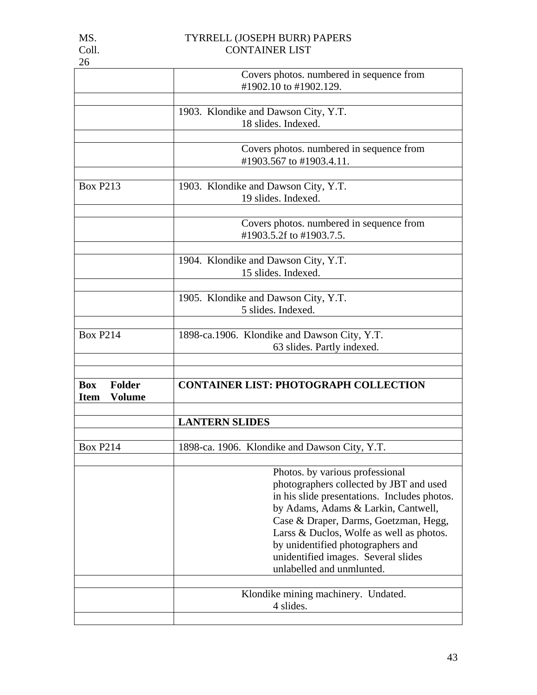| 26                                                          |                                                                                                                                                                                                                                                                                                                                                                 |
|-------------------------------------------------------------|-----------------------------------------------------------------------------------------------------------------------------------------------------------------------------------------------------------------------------------------------------------------------------------------------------------------------------------------------------------------|
|                                                             | Covers photos. numbered in sequence from<br>#1902.10 to #1902.129.                                                                                                                                                                                                                                                                                              |
|                                                             | 1903. Klondike and Dawson City, Y.T.<br>18 slides. Indexed.                                                                                                                                                                                                                                                                                                     |
|                                                             | Covers photos. numbered in sequence from<br>#1903.567 to #1903.4.11.                                                                                                                                                                                                                                                                                            |
| <b>Box P213</b>                                             | 1903. Klondike and Dawson City, Y.T.<br>19 slides. Indexed.                                                                                                                                                                                                                                                                                                     |
|                                                             | Covers photos. numbered in sequence from<br>#1903.5.2f to #1903.7.5.                                                                                                                                                                                                                                                                                            |
|                                                             | 1904. Klondike and Dawson City, Y.T.<br>15 slides. Indexed.                                                                                                                                                                                                                                                                                                     |
|                                                             | 1905. Klondike and Dawson City, Y.T.<br>5 slides. Indexed.                                                                                                                                                                                                                                                                                                      |
| <b>Box P214</b>                                             | 1898-ca.1906. Klondike and Dawson City, Y.T.<br>63 slides. Partly indexed.                                                                                                                                                                                                                                                                                      |
| <b>Box</b><br><b>Folder</b><br><b>Volume</b><br><b>Item</b> | <b>CONTAINER LIST: PHOTOGRAPH COLLECTION</b>                                                                                                                                                                                                                                                                                                                    |
|                                                             | <b>LANTERN SLIDES</b>                                                                                                                                                                                                                                                                                                                                           |
| <b>Box P214</b>                                             | 1898-ca. 1906. Klondike and Dawson City, Y.T.                                                                                                                                                                                                                                                                                                                   |
|                                                             | Photos. by various professional<br>photographers collected by JBT and used<br>in his slide presentations. Includes photos.<br>by Adams, Adams & Larkin, Cantwell,<br>Case & Draper, Darms, Goetzman, Hegg,<br>Larss & Duclos, Wolfe as well as photos.<br>by unidentified photographers and<br>unidentified images. Several slides<br>unlabelled and unmlunted. |
|                                                             | Klondike mining machinery. Undated.<br>4 slides.                                                                                                                                                                                                                                                                                                                |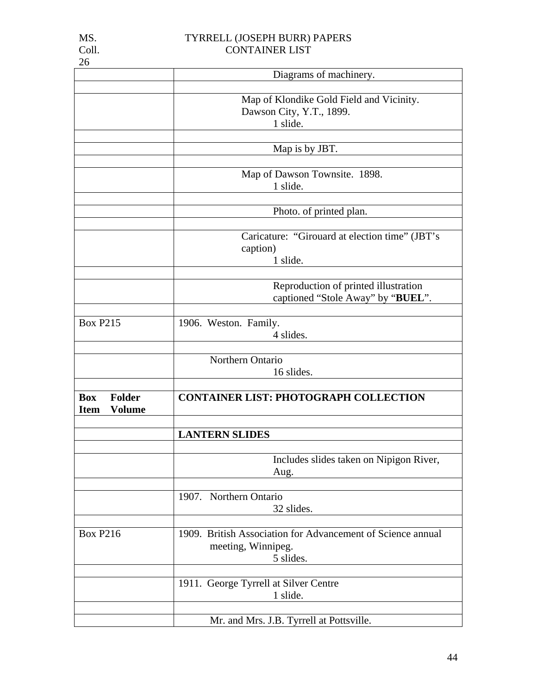|                                                             | Diagrams of machinery.                                                                         |
|-------------------------------------------------------------|------------------------------------------------------------------------------------------------|
|                                                             | Map of Klondike Gold Field and Vicinity.<br>Dawson City, Y.T., 1899.<br>1 slide.               |
|                                                             | Map is by JBT.                                                                                 |
|                                                             | Map of Dawson Townsite. 1898.<br>1 slide.                                                      |
|                                                             | Photo. of printed plan.                                                                        |
|                                                             | Caricature: "Girouard at election time" (JBT's<br>caption)<br>1 slide.                         |
|                                                             | Reproduction of printed illustration<br>captioned "Stole Away" by "BUEL".                      |
| <b>Box P215</b>                                             | 1906. Weston. Family.<br>4 slides.                                                             |
|                                                             | Northern Ontario<br>16 slides.                                                                 |
| <b>Folder</b><br><b>Box</b><br><b>Volume</b><br><b>Item</b> | <b>CONTAINER LIST: PHOTOGRAPH COLLECTION</b>                                                   |
|                                                             | <b>LANTERN SLIDES</b>                                                                          |
|                                                             | Includes slides taken on Nipigon River,<br>Aug.                                                |
|                                                             | 1907. Northern Ontario<br>32 slides.                                                           |
| <b>Box P216</b>                                             | 1909. British Association for Advancement of Science annual<br>meeting, Winnipeg.<br>5 slides. |
|                                                             | 1911. George Tyrrell at Silver Centre<br>1 slide.                                              |
|                                                             | Mr. and Mrs. J.B. Tyrrell at Pottsville.                                                       |

26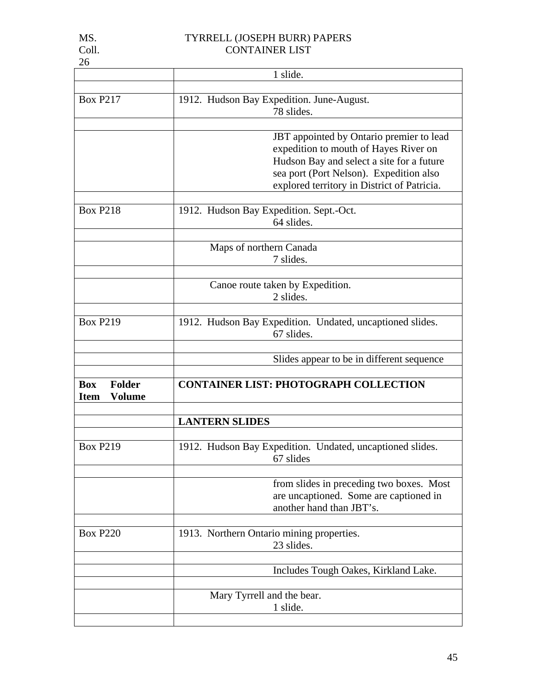| I |
|---|
|   |

|                              | 1 slide.                                                  |
|------------------------------|-----------------------------------------------------------|
|                              |                                                           |
| <b>Box P217</b>              | 1912. Hudson Bay Expedition. June-August.                 |
|                              | 78 slides.                                                |
|                              |                                                           |
|                              | JBT appointed by Ontario premier to lead                  |
|                              | expedition to mouth of Hayes River on                     |
|                              |                                                           |
|                              | Hudson Bay and select a site for a future                 |
|                              | sea port (Port Nelson). Expedition also                   |
|                              | explored territory in District of Patricia.               |
|                              |                                                           |
| <b>Box P218</b>              | 1912. Hudson Bay Expedition. Sept.-Oct.                   |
|                              | 64 slides.                                                |
|                              |                                                           |
|                              |                                                           |
|                              | Maps of northern Canada                                   |
|                              | 7 slides.                                                 |
|                              |                                                           |
|                              | Canoe route taken by Expedition.                          |
|                              | 2 slides.                                                 |
|                              |                                                           |
| <b>Box P219</b>              | 1912. Hudson Bay Expedition. Undated, uncaptioned slides. |
|                              | 67 slides.                                                |
|                              |                                                           |
|                              |                                                           |
|                              | Slides appear to be in different sequence                 |
|                              |                                                           |
| <b>Box</b><br>Folder         | <b>CONTAINER LIST: PHOTOGRAPH COLLECTION</b>              |
| <b>Volume</b><br><b>Item</b> |                                                           |
|                              |                                                           |
|                              | <b>LANTERN SLIDES</b>                                     |
|                              |                                                           |
| <b>Box P219</b>              | 1912. Hudson Bay Expedition. Undated, uncaptioned slides. |
|                              |                                                           |
|                              | 67 slides                                                 |
|                              |                                                           |
|                              | from slides in preceding two boxes. Most                  |
|                              | are uncaptioned. Some are captioned in                    |
|                              | another hand than JBT's.                                  |
|                              |                                                           |
| <b>Box P220</b>              | 1913. Northern Ontario mining properties.                 |
|                              | 23 slides.                                                |
|                              |                                                           |
|                              |                                                           |
|                              | Includes Tough Oakes, Kirkland Lake.                      |
|                              |                                                           |
|                              | Mary Tyrrell and the bear.                                |
|                              | 1 slide.                                                  |
|                              |                                                           |
|                              |                                                           |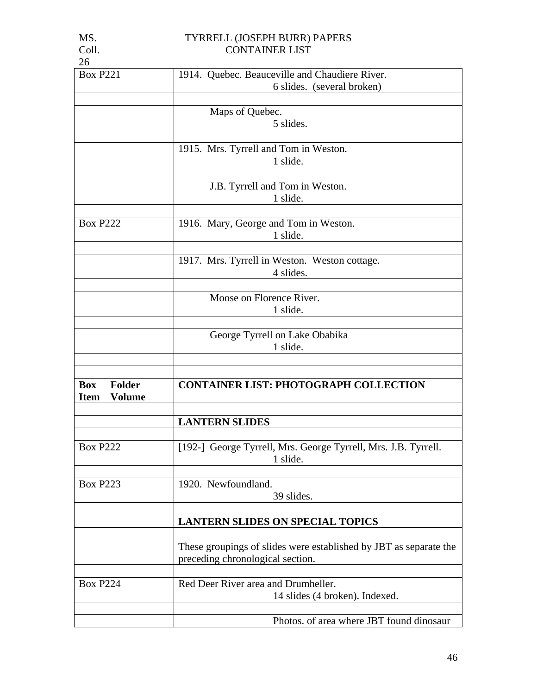| 26                           |                                                                   |
|------------------------------|-------------------------------------------------------------------|
| <b>Box P221</b>              | 1914. Quebec. Beauceville and Chaudiere River.                    |
|                              | 6 slides. (several broken)                                        |
|                              |                                                                   |
|                              | Maps of Quebec.                                                   |
|                              | 5 slides.                                                         |
|                              |                                                                   |
|                              | 1915. Mrs. Tyrrell and Tom in Weston.                             |
|                              | 1 slide.                                                          |
|                              |                                                                   |
|                              | J.B. Tyrrell and Tom in Weston.                                   |
|                              | 1 slide.                                                          |
|                              |                                                                   |
| <b>Box P222</b>              | 1916. Mary, George and Tom in Weston.                             |
|                              | 1 slide.                                                          |
|                              |                                                                   |
|                              | 1917. Mrs. Tyrrell in Weston. Weston cottage.                     |
|                              | 4 slides.                                                         |
|                              |                                                                   |
|                              | Moose on Florence River.                                          |
|                              | 1 slide.                                                          |
|                              |                                                                   |
|                              | George Tyrrell on Lake Obabika                                    |
|                              | 1 slide.                                                          |
|                              |                                                                   |
|                              |                                                                   |
| <b>Folder</b><br><b>Box</b>  |                                                                   |
|                              | <b>CONTAINER LIST: PHOTOGRAPH COLLECTION</b>                      |
| <b>Volume</b><br><b>Item</b> |                                                                   |
|                              |                                                                   |
|                              | <b>LANTERN SLIDES</b>                                             |
|                              |                                                                   |
| <b>Box P222</b>              | [192-] George Tyrrell, Mrs. George Tyrrell, Mrs. J.B. Tyrrell.    |
|                              | 1 slide.                                                          |
|                              |                                                                   |
| <b>Box P223</b>              | 1920. Newfoundland.                                               |
|                              | 39 slides.                                                        |
|                              |                                                                   |
|                              | <b>LANTERN SLIDES ON SPECIAL TOPICS</b>                           |
|                              |                                                                   |
|                              |                                                                   |
|                              | These groupings of slides were established by JBT as separate the |
|                              | preceding chronological section.                                  |
|                              |                                                                   |
| <b>Box P224</b>              | Red Deer River area and Drumheller.                               |
|                              | 14 slides (4 broken). Indexed.                                    |

MS. TYRRELL (JOSEPH BURR) PAPERS

Coll. CONTAINER LIST

| Photos. of area where JBT found dinosaur |
|------------------------------------------|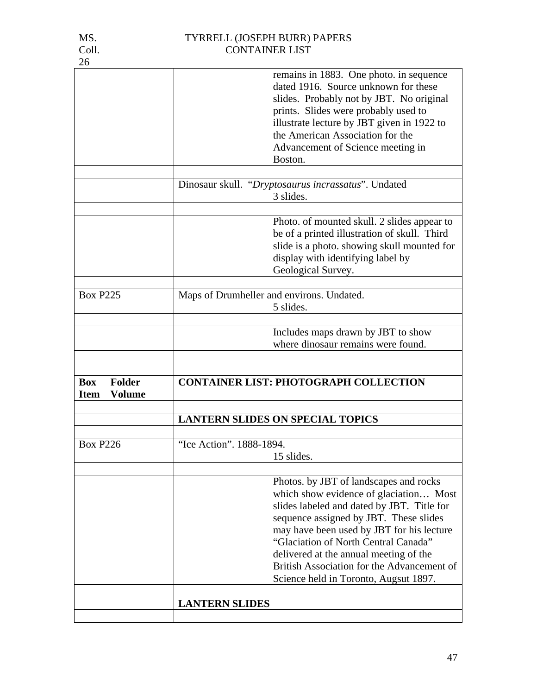| 26                                                   |                                                                                                                                                                                                                                                                                                                                                                                                |
|------------------------------------------------------|------------------------------------------------------------------------------------------------------------------------------------------------------------------------------------------------------------------------------------------------------------------------------------------------------------------------------------------------------------------------------------------------|
|                                                      | remains in 1883. One photo, in sequence<br>dated 1916. Source unknown for these<br>slides. Probably not by JBT. No original<br>prints. Slides were probably used to<br>illustrate lecture by JBT given in 1922 to<br>the American Association for the<br>Advancement of Science meeting in<br>Boston.                                                                                          |
|                                                      |                                                                                                                                                                                                                                                                                                                                                                                                |
|                                                      | Dinosaur skull. "Dryptosaurus incrassatus". Undated<br>3 slides.                                                                                                                                                                                                                                                                                                                               |
|                                                      | Photo. of mounted skull. 2 slides appear to<br>be of a printed illustration of skull. Third<br>slide is a photo. showing skull mounted for<br>display with identifying label by<br>Geological Survey.                                                                                                                                                                                          |
| <b>Box P225</b>                                      | Maps of Drumheller and environs. Undated.<br>5 slides.                                                                                                                                                                                                                                                                                                                                         |
|                                                      | Includes maps drawn by JBT to show<br>where dinosaur remains were found.                                                                                                                                                                                                                                                                                                                       |
| Folder<br><b>Box</b><br><b>Volume</b><br><b>Item</b> | <b>CONTAINER LIST: PHOTOGRAPH COLLECTION</b>                                                                                                                                                                                                                                                                                                                                                   |
|                                                      | <b>LANTERN SLIDES ON SPECIAL TOPICS</b>                                                                                                                                                                                                                                                                                                                                                        |
| <b>Box P226</b>                                      | "Ice Action". 1888-1894.<br>15 slides.                                                                                                                                                                                                                                                                                                                                                         |
|                                                      | Photos. by JBT of landscapes and rocks<br>which show evidence of glaciation Most<br>slides labeled and dated by JBT. Title for<br>sequence assigned by JBT. These slides<br>may have been used by JBT for his lecture<br>"Glaciation of North Central Canada"<br>delivered at the annual meeting of the<br>British Association for the Advancement of<br>Science held in Toronto, Augsut 1897. |
|                                                      | <b>LANTERN SLIDES</b>                                                                                                                                                                                                                                                                                                                                                                          |

47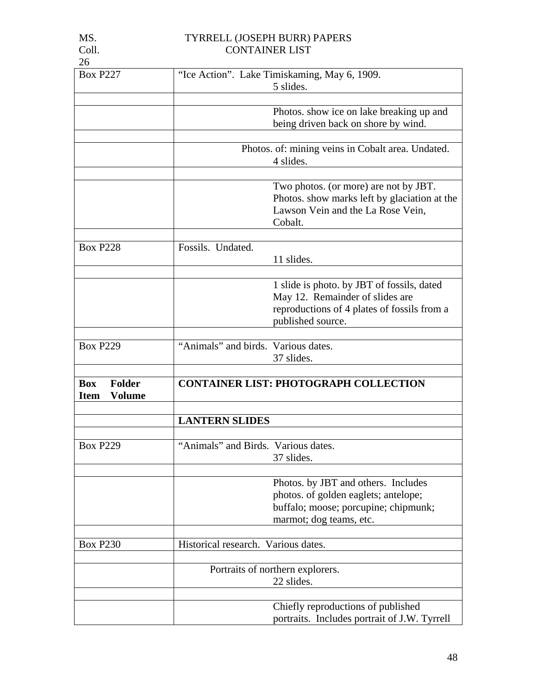| ۰, |  |
|----|--|
|    |  |

| <b>Box P227</b>              |                                     | "Ice Action". Lake Timiskaming, May 6, 1909.      |
|------------------------------|-------------------------------------|---------------------------------------------------|
|                              |                                     | 5 slides.                                         |
|                              |                                     |                                                   |
|                              |                                     | Photos. show ice on lake breaking up and          |
|                              |                                     | being driven back on shore by wind.               |
|                              |                                     |                                                   |
|                              |                                     | Photos. of: mining veins in Cobalt area. Undated. |
|                              |                                     | 4 slides.                                         |
|                              |                                     | Two photos. (or more) are not by JBT.             |
|                              |                                     | Photos. show marks left by glaciation at the      |
|                              |                                     | Lawson Vein and the La Rose Vein,                 |
|                              |                                     | Cobalt.                                           |
|                              |                                     |                                                   |
| <b>Box P228</b>              | Fossils. Undated.                   |                                                   |
|                              |                                     | 11 slides.                                        |
|                              |                                     |                                                   |
|                              |                                     | 1 slide is photo. by JBT of fossils, dated        |
|                              |                                     | May 12. Remainder of slides are                   |
|                              |                                     | reproductions of 4 plates of fossils from a       |
|                              |                                     | published source.                                 |
|                              |                                     |                                                   |
| <b>Box P229</b>              | "Animals" and birds. Various dates. |                                                   |
|                              |                                     | 37 slides.                                        |
|                              |                                     |                                                   |
| <b>Folder</b><br><b>Box</b>  |                                     | <b>CONTAINER LIST: PHOTOGRAPH COLLECTION</b>      |
| <b>Volume</b><br><b>Item</b> |                                     |                                                   |
|                              | <b>LANTERN SLIDES</b>               |                                                   |
|                              |                                     |                                                   |
| <b>Box P229</b>              | "Animals" and Birds. Various dates. |                                                   |
|                              |                                     | 37 slides                                         |
|                              |                                     |                                                   |
|                              |                                     | Photos. by JBT and others. Includes               |
|                              |                                     | photos. of golden eaglets; antelope;              |
|                              |                                     | buffalo; moose; porcupine; chipmunk;              |
|                              |                                     | marmot; dog teams, etc.                           |
|                              |                                     |                                                   |
| <b>Box P230</b>              | Historical research. Various dates. |                                                   |
|                              |                                     |                                                   |
|                              |                                     | Portraits of northern explorers.                  |
|                              |                                     | 22 slides.                                        |
|                              |                                     |                                                   |
|                              |                                     | Chiefly reproductions of published                |
|                              |                                     | portraits. Includes portrait of J.W. Tyrrell      |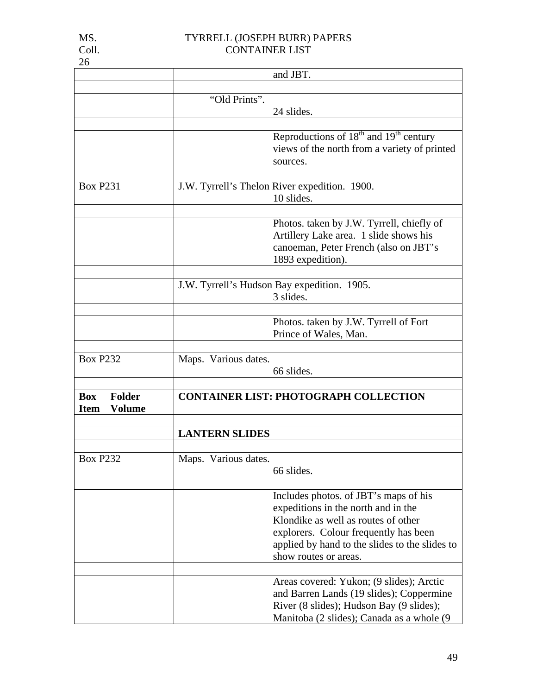|                              |                       | and JBT.                                       |
|------------------------------|-----------------------|------------------------------------------------|
|                              |                       |                                                |
|                              | "Old Prints".         |                                                |
|                              |                       | 24 slides.                                     |
|                              |                       |                                                |
|                              |                       | Reproductions of $18th$ and $19th$ century     |
|                              |                       | views of the north from a variety of printed   |
|                              |                       | sources.                                       |
|                              |                       |                                                |
| <b>Box P231</b>              |                       | J.W. Tyrrell's Thelon River expedition. 1900.  |
|                              |                       | 10 slides.                                     |
|                              |                       |                                                |
|                              |                       | Photos. taken by J.W. Tyrrell, chiefly of      |
|                              |                       | Artillery Lake area. 1 slide shows his         |
|                              |                       | canoeman, Peter French (also on JBT's          |
|                              |                       | 1893 expedition).                              |
|                              |                       |                                                |
|                              |                       | J.W. Tyrrell's Hudson Bay expedition. 1905.    |
|                              |                       | 3 slides.                                      |
|                              |                       |                                                |
|                              |                       | Photos. taken by J.W. Tyrrell of Fort          |
|                              |                       | Prince of Wales, Man.                          |
|                              |                       |                                                |
| <b>Box P232</b>              | Maps. Various dates.  |                                                |
|                              |                       | 66 slides.                                     |
|                              |                       |                                                |
| <b>Folder</b><br><b>Box</b>  |                       | <b>CONTAINER LIST: PHOTOGRAPH COLLECTION</b>   |
| <b>Volume</b><br><b>Item</b> |                       |                                                |
|                              |                       |                                                |
|                              | <b>LANTERN SLIDES</b> |                                                |
|                              |                       |                                                |
| <b>Box P232</b>              | Maps. Various dates.  |                                                |
|                              |                       | 66 slides.                                     |
|                              |                       |                                                |
|                              |                       | Includes photos. of JBT's maps of his          |
|                              |                       | expeditions in the north and in the            |
|                              |                       | Klondike as well as routes of other            |
|                              |                       | explorers. Colour frequently has been          |
|                              |                       | applied by hand to the slides to the slides to |
|                              |                       | show routes or areas.                          |
|                              |                       |                                                |
|                              |                       | Areas covered: Yukon; (9 slides); Arctic       |
|                              |                       | and Barren Lands (19 slides); Coppermine       |
|                              |                       | River (8 slides); Hudson Bay (9 slides);       |
|                              |                       | Manitoba (2 slides); Canada as a whole (9      |

26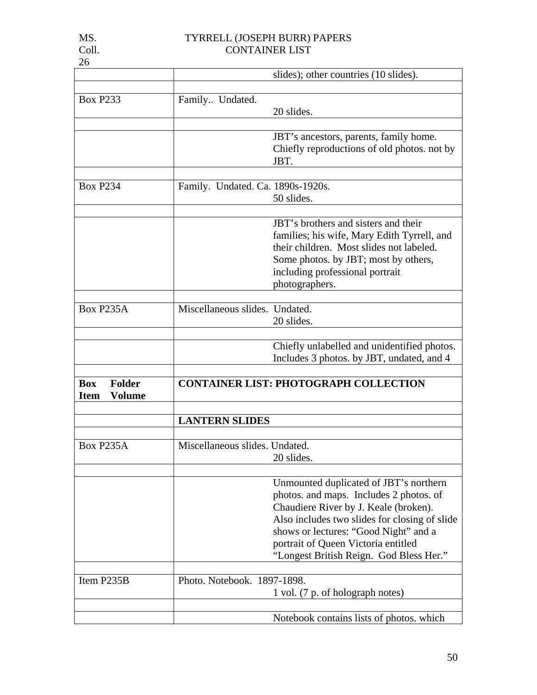|                              |                                   | slides); other countries (10 slides).             |
|------------------------------|-----------------------------------|---------------------------------------------------|
|                              |                                   |                                                   |
| <b>Box P233</b>              | Family Undated.                   |                                                   |
|                              |                                   | 20 slides.                                        |
|                              |                                   | JBT's ancestors, parents, family home.            |
|                              |                                   | Chiefly reproductions of old photos. not by       |
|                              |                                   | JBT.                                              |
|                              |                                   |                                                   |
| <b>Box P234</b>              | Family. Undated. Ca. 1890s-1920s. |                                                   |
|                              |                                   | 50 slides.                                        |
|                              |                                   |                                                   |
|                              |                                   | JBT's brothers and sisters and their              |
|                              |                                   | families; his wife, Mary Edith Tyrrell, and       |
|                              |                                   | their children. Most slides not labeled.          |
|                              |                                   | Some photos. by JBT; most by others,              |
|                              |                                   | including professional portrait<br>photographers. |
|                              |                                   |                                                   |
| <b>Box P235A</b>             | Miscellaneous slides. Undated.    |                                                   |
|                              |                                   | 20 slides.                                        |
|                              |                                   |                                                   |
|                              |                                   | Chiefly unlabelled and unidentified photos.       |
|                              |                                   | Includes 3 photos. by JBT, undated, and 4         |
|                              |                                   |                                                   |
| <b>Box</b><br><b>Folder</b>  |                                   | <b>CONTAINER LIST: PHOTOGRAPH COLLECTION</b>      |
| <b>Volume</b><br><b>Item</b> |                                   |                                                   |
|                              | <b>LANTERN SLIDES</b>             |                                                   |
|                              |                                   |                                                   |
| <b>Box P235A</b>             | Miscellaneous slides. Undated.    |                                                   |
|                              |                                   | 20 slides                                         |
|                              |                                   |                                                   |
|                              |                                   | Unmounted duplicated of JBT's northern            |
|                              |                                   | photos. and maps. Includes 2 photos. of           |
|                              |                                   | Chaudiere River by J. Keale (broken).             |
|                              |                                   | Also includes two slides for closing of slide     |
|                              |                                   | shows or lectures: "Good Night" and a             |
|                              |                                   | portrait of Queen Victoria entitled               |
|                              |                                   | "Longest British Reign. God Bless Her."           |
| Item P235B                   | Photo. Notebook. 1897-1898.       |                                                   |
|                              |                                   | 1 vol. (7 p. of holograph notes)                  |
|                              |                                   |                                                   |
|                              |                                   | Notebook contains lists of photos. which          |
|                              |                                   |                                                   |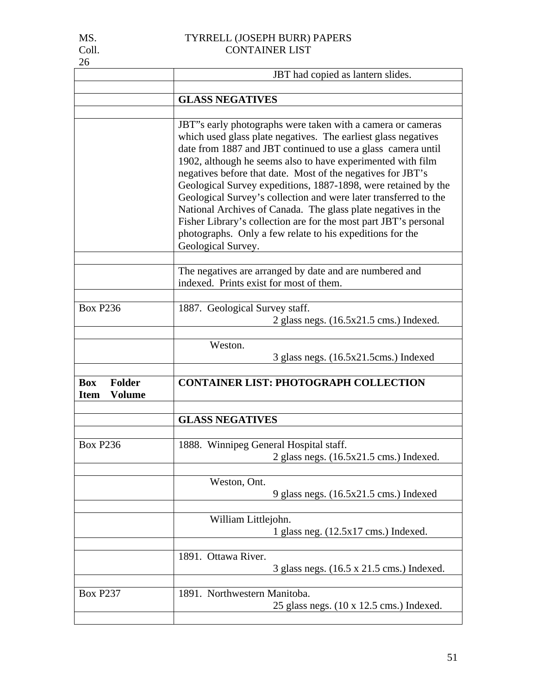| MS.   | TYRRELL (JOSEPH BURR) PAPERS |
|-------|------------------------------|
| Coll. | <b>CONTAINER LIST</b>        |

|                                                             | JBT had copied as lantern slides.                                                                                                                                                                                                                                                                                                                                                                                                                                                                                                                                                                                                                                                         |  |
|-------------------------------------------------------------|-------------------------------------------------------------------------------------------------------------------------------------------------------------------------------------------------------------------------------------------------------------------------------------------------------------------------------------------------------------------------------------------------------------------------------------------------------------------------------------------------------------------------------------------------------------------------------------------------------------------------------------------------------------------------------------------|--|
|                                                             | <b>GLASS NEGATIVES</b>                                                                                                                                                                                                                                                                                                                                                                                                                                                                                                                                                                                                                                                                    |  |
|                                                             |                                                                                                                                                                                                                                                                                                                                                                                                                                                                                                                                                                                                                                                                                           |  |
|                                                             | JBT"s early photographs were taken with a camera or cameras<br>which used glass plate negatives. The earliest glass negatives<br>date from 1887 and JBT continued to use a glass camera until<br>1902, although he seems also to have experimented with film<br>negatives before that date. Most of the negatives for JBT's<br>Geological Survey expeditions, 1887-1898, were retained by the<br>Geological Survey's collection and were later transferred to the<br>National Archives of Canada. The glass plate negatives in the<br>Fisher Library's collection are for the most part JBT's personal<br>photographs. Only a few relate to his expeditions for the<br>Geological Survey. |  |
|                                                             | The negatives are arranged by date and are numbered and<br>indexed. Prints exist for most of them.                                                                                                                                                                                                                                                                                                                                                                                                                                                                                                                                                                                        |  |
| <b>Box P236</b>                                             | 1887. Geological Survey staff.<br>2 glass negs. $(16.5x21.5 \text{ cms.})$ Indexed.                                                                                                                                                                                                                                                                                                                                                                                                                                                                                                                                                                                                       |  |
|                                                             | Weston.<br>3 glass negs. $(16.5x21.5cm)$ Indexed                                                                                                                                                                                                                                                                                                                                                                                                                                                                                                                                                                                                                                          |  |
| <b>Box</b><br><b>Folder</b><br><b>Volume</b><br><b>Item</b> | <b>CONTAINER LIST: PHOTOGRAPH COLLECTION</b>                                                                                                                                                                                                                                                                                                                                                                                                                                                                                                                                                                                                                                              |  |
|                                                             | <b>GLASS NEGATIVES</b>                                                                                                                                                                                                                                                                                                                                                                                                                                                                                                                                                                                                                                                                    |  |
| <b>Box P236</b>                                             | 1888. Winnipeg General Hospital staff.<br>2 glass negs. $(16.5x21.5 \text{ cms.})$ Indexed.                                                                                                                                                                                                                                                                                                                                                                                                                                                                                                                                                                                               |  |
|                                                             | Weston, Ont.<br>9 glass negs. (16.5x21.5 cms.) Indexed                                                                                                                                                                                                                                                                                                                                                                                                                                                                                                                                                                                                                                    |  |
|                                                             | William Littlejohn.<br>1 glass neg. $(12.5x17 \text{ cm})$ Indexed.                                                                                                                                                                                                                                                                                                                                                                                                                                                                                                                                                                                                                       |  |
|                                                             | 1891. Ottawa River.<br>3 glass negs. (16.5 x 21.5 cms.) Indexed.                                                                                                                                                                                                                                                                                                                                                                                                                                                                                                                                                                                                                          |  |
| <b>Box P237</b>                                             | 1891. Northwestern Manitoba.<br>25 glass negs. (10 x 12.5 cms.) Indexed.                                                                                                                                                                                                                                                                                                                                                                                                                                                                                                                                                                                                                  |  |

MS.<br>Coll.<br>26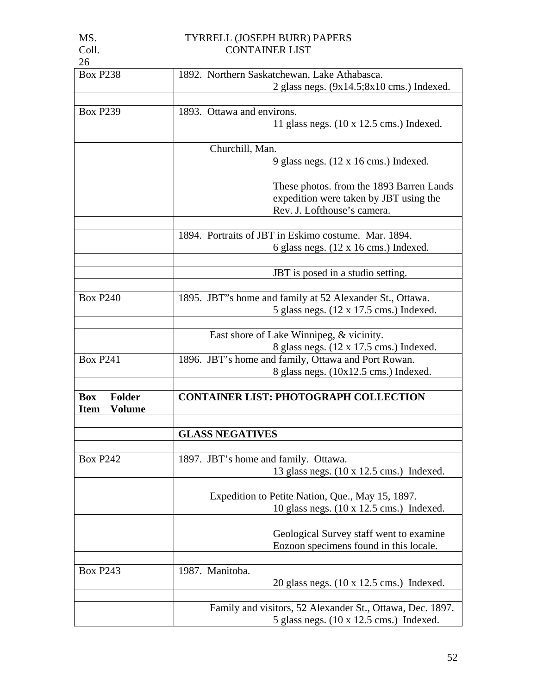| ۰.<br>. . |  |
|-----------|--|
|           |  |

| 26                           |                                                           |
|------------------------------|-----------------------------------------------------------|
| <b>Box P238</b>              | 1892. Northern Saskatchewan, Lake Athabasca.              |
|                              | 2 glass negs. $(9x14.5; 8x10 \text{ cms.})$ Indexed.      |
|                              |                                                           |
| <b>Box P239</b>              | 1893. Ottawa and environs.                                |
|                              | 11 glass negs. $(10 \times 12.5 \text{ cms.})$ Indexed.   |
|                              |                                                           |
|                              | Churchill, Man.                                           |
|                              | 9 glass negs. $(12 \times 16 \text{ cms.})$ Indexed.      |
|                              |                                                           |
|                              | These photos. from the 1893 Barren Lands                  |
|                              | expedition were taken by JBT using the                    |
|                              | Rev. J. Lofthouse's camera.                               |
|                              |                                                           |
|                              | 1894. Portraits of JBT in Eskimo costume. Mar. 1894.      |
|                              | 6 glass negs. $(12 \times 16 \text{ cms.})$ Indexed.      |
|                              |                                                           |
|                              | JBT is posed in a studio setting.                         |
|                              |                                                           |
| <b>Box P240</b>              | 1895. JBT"s home and family at 52 Alexander St., Ottawa.  |
|                              | 5 glass negs. $(12 \times 17.5 \text{ cms.})$ Indexed.    |
|                              |                                                           |
|                              | East shore of Lake Winnipeg, & vicinity.                  |
|                              | 8 glass negs. (12 x 17.5 cms.) Indexed.                   |
| <b>Box P241</b>              | 1896. JBT's home and family, Ottawa and Port Rowan.       |
|                              | 8 glass negs. (10x12.5 cms.) Indexed.                     |
| <b>Folder</b><br><b>Box</b>  | <b>CONTAINER LIST: PHOTOGRAPH COLLECTION</b>              |
| <b>Volume</b><br><b>Item</b> |                                                           |
|                              |                                                           |
|                              | <b>GLASS NEGATIVES</b>                                    |
|                              |                                                           |
| <b>Box P242</b>              | 1897. JBT's home and family. Ottawa.                      |
|                              | 13 glass negs. (10 x 12.5 cms.) Indexed.                  |
|                              |                                                           |
|                              | Expedition to Petite Nation, Que., May 15, 1897.          |
|                              | 10 glass negs. $(10 \times 12.5 \text{ cms.})$ Indexed.   |
|                              |                                                           |
|                              | Geological Survey staff went to examine                   |
|                              | Eozoon specimens found in this locale.                    |
|                              |                                                           |
| <b>Box P243</b>              | 1987. Manitoba.                                           |
|                              | 20 glass negs. $(10 \times 12.5 \text{ cms.})$ Indexed.   |
|                              |                                                           |
|                              | Family and visitors, 52 Alexander St., Ottawa, Dec. 1897. |
|                              | 5 glass negs. $(10 \times 12.5 \text{ cms.})$ Indexed.    |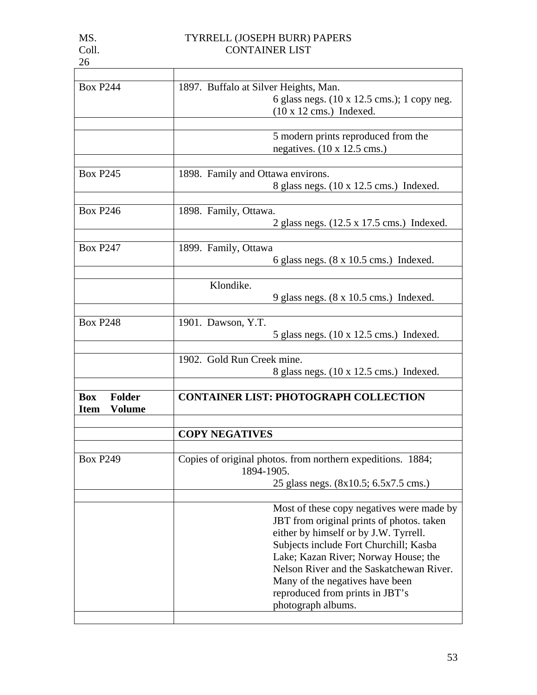| <b>Box P244</b>                                             | 1897. Buffalo at Silver Heights, Man.<br>6 glass negs. (10 x 12.5 cms.); 1 copy neg.<br>$(10 \times 12 \text{ cms.})$ Indexed.                                                                                                                                                                                                                            |
|-------------------------------------------------------------|-----------------------------------------------------------------------------------------------------------------------------------------------------------------------------------------------------------------------------------------------------------------------------------------------------------------------------------------------------------|
|                                                             |                                                                                                                                                                                                                                                                                                                                                           |
|                                                             | 5 modern prints reproduced from the<br>negatives. $(10 \times 12.5 \text{ cms.})$                                                                                                                                                                                                                                                                         |
|                                                             |                                                                                                                                                                                                                                                                                                                                                           |
| <b>Box P245</b>                                             | 1898. Family and Ottawa environs.<br>8 glass negs. $(10 \times 12.5 \text{ cms.})$ Indexed.                                                                                                                                                                                                                                                               |
| <b>Box P246</b>                                             | 1898. Family, Ottawa.<br>2 glass negs. $(12.5 \times 17.5 \text{ cms.})$ Indexed.                                                                                                                                                                                                                                                                         |
|                                                             |                                                                                                                                                                                                                                                                                                                                                           |
| <b>Box P247</b>                                             | 1899. Family, Ottawa<br>6 glass negs. $(8 \times 10.5 \text{ cms.})$ Indexed.                                                                                                                                                                                                                                                                             |
|                                                             |                                                                                                                                                                                                                                                                                                                                                           |
|                                                             | Klondike.<br>9 glass negs. $(8 \times 10.5 \text{ cms.})$ Indexed.                                                                                                                                                                                                                                                                                        |
|                                                             |                                                                                                                                                                                                                                                                                                                                                           |
| <b>Box P248</b>                                             | 1901. Dawson, Y.T.<br>5 glass negs. $(10 \times 12.5 \text{ cms.})$ Indexed.                                                                                                                                                                                                                                                                              |
|                                                             | 1902. Gold Run Creek mine.                                                                                                                                                                                                                                                                                                                                |
|                                                             | 8 glass negs. $(10 \times 12.5 \text{ cms.})$ Indexed.                                                                                                                                                                                                                                                                                                    |
| <b>Folder</b><br><b>Box</b><br><b>Volume</b><br><b>Item</b> | <b>CONTAINER LIST: PHOTOGRAPH COLLECTION</b>                                                                                                                                                                                                                                                                                                              |
|                                                             | <b>COPY NEGATIVES</b>                                                                                                                                                                                                                                                                                                                                     |
| <b>Box P249</b>                                             | Copies of original photos. from northern expeditions. 1884;<br>1894-1905.                                                                                                                                                                                                                                                                                 |
|                                                             | 25 glass negs. (8x10.5; 6.5x7.5 cms.)                                                                                                                                                                                                                                                                                                                     |
|                                                             |                                                                                                                                                                                                                                                                                                                                                           |
|                                                             | Most of these copy negatives were made by<br>JBT from original prints of photos. taken<br>either by himself or by J.W. Tyrrell.<br>Subjects include Fort Churchill; Kasba<br>Lake; Kazan River; Norway House; the<br>Nelson River and the Saskatchewan River.<br>Many of the negatives have been<br>reproduced from prints in JBT's<br>photograph albums. |
|                                                             |                                                                                                                                                                                                                                                                                                                                                           |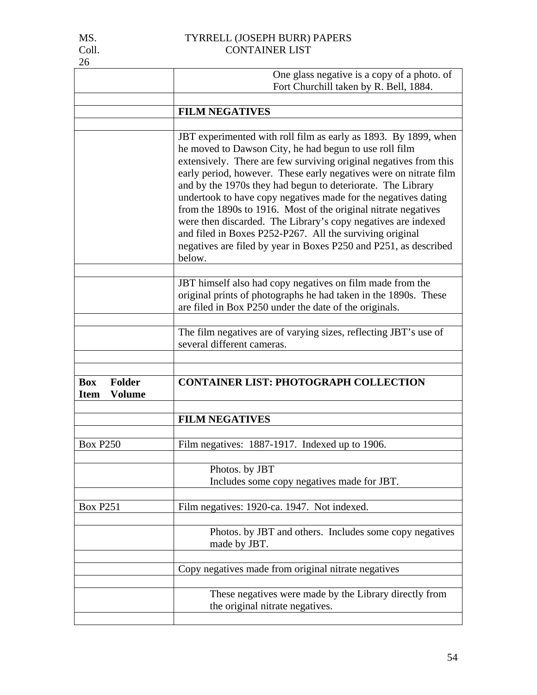| IVID. |
|-------|
| Coll  |
| 26    |

|                                                             | One glass negative is a copy of a photo. of<br>Fort Churchill taken by R. Bell, 1884.                                                                                                                                                                                                                                                                                                                                                                                                                                                                                                                                                                                             |
|-------------------------------------------------------------|-----------------------------------------------------------------------------------------------------------------------------------------------------------------------------------------------------------------------------------------------------------------------------------------------------------------------------------------------------------------------------------------------------------------------------------------------------------------------------------------------------------------------------------------------------------------------------------------------------------------------------------------------------------------------------------|
|                                                             |                                                                                                                                                                                                                                                                                                                                                                                                                                                                                                                                                                                                                                                                                   |
|                                                             | <b>FILM NEGATIVES</b>                                                                                                                                                                                                                                                                                                                                                                                                                                                                                                                                                                                                                                                             |
|                                                             | JBT experimented with roll film as early as 1893. By 1899, when<br>he moved to Dawson City, he had begun to use roll film<br>extensively. There are few surviving original negatives from this<br>early period, however. These early negatives were on nitrate film<br>and by the 1970s they had begun to deteriorate. The Library<br>undertook to have copy negatives made for the negatives dating<br>from the 1890s to 1916. Most of the original nitrate negatives<br>were then discarded. The Library's copy negatives are indexed<br>and filed in Boxes P252-P267. All the surviving original<br>negatives are filed by year in Boxes P250 and P251, as described<br>below. |
|                                                             | JBT himself also had copy negatives on film made from the<br>original prints of photographs he had taken in the 1890s. These<br>are filed in Box P250 under the date of the originals.                                                                                                                                                                                                                                                                                                                                                                                                                                                                                            |
|                                                             | The film negatives are of varying sizes, reflecting JBT's use of<br>several different cameras.                                                                                                                                                                                                                                                                                                                                                                                                                                                                                                                                                                                    |
| <b>Folder</b><br><b>Box</b><br><b>Volume</b><br><b>Item</b> | <b>CONTAINER LIST: PHOTOGRAPH COLLECTION</b>                                                                                                                                                                                                                                                                                                                                                                                                                                                                                                                                                                                                                                      |
|                                                             | <b>FILM NEGATIVES</b>                                                                                                                                                                                                                                                                                                                                                                                                                                                                                                                                                                                                                                                             |
| <b>Box P250</b>                                             | Film negatives: 1887-1917. Indexed up to 1906.                                                                                                                                                                                                                                                                                                                                                                                                                                                                                                                                                                                                                                    |
|                                                             | Photos. by JBT<br>Includes some copy negatives made for JBT.                                                                                                                                                                                                                                                                                                                                                                                                                                                                                                                                                                                                                      |
| <b>Box P251</b>                                             | Film negatives: 1920-ca. 1947. Not indexed.                                                                                                                                                                                                                                                                                                                                                                                                                                                                                                                                                                                                                                       |
|                                                             | Photos. by JBT and others. Includes some copy negatives<br>made by JBT.                                                                                                                                                                                                                                                                                                                                                                                                                                                                                                                                                                                                           |
|                                                             | Copy negatives made from original nitrate negatives                                                                                                                                                                                                                                                                                                                                                                                                                                                                                                                                                                                                                               |
|                                                             | These negatives were made by the Library directly from<br>the original nitrate negatives.                                                                                                                                                                                                                                                                                                                                                                                                                                                                                                                                                                                         |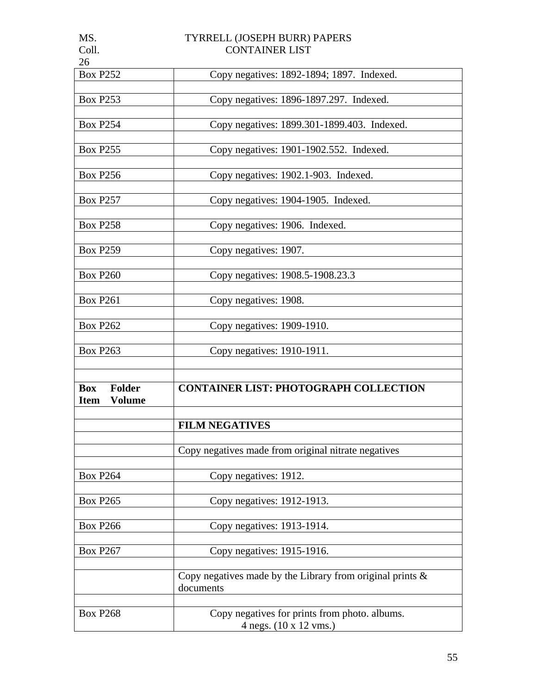| MS.                          | TYRRELL (JOSEPH BURR) PAPERS                                 |
|------------------------------|--------------------------------------------------------------|
| Coll.                        | <b>CONTAINER LIST</b>                                        |
| 26                           |                                                              |
| <b>Box P252</b>              | Copy negatives: 1892-1894; 1897. Indexed.                    |
|                              |                                                              |
| <b>Box P253</b>              | Copy negatives: 1896-1897.297. Indexed.                      |
|                              |                                                              |
|                              |                                                              |
| <b>Box P254</b>              | Copy negatives: 1899.301-1899.403. Indexed.                  |
|                              |                                                              |
| <b>Box P255</b>              | Copy negatives: 1901-1902.552. Indexed.                      |
|                              |                                                              |
| <b>Box P256</b>              | Copy negatives: 1902.1-903. Indexed.                         |
|                              |                                                              |
| <b>Box P257</b>              |                                                              |
|                              | Copy negatives: 1904-1905. Indexed.                          |
|                              |                                                              |
| <b>Box P258</b>              | Copy negatives: 1906. Indexed.                               |
|                              |                                                              |
| <b>Box P259</b>              | Copy negatives: 1907.                                        |
|                              |                                                              |
| <b>Box P260</b>              | Copy negatives: 1908.5-1908.23.3                             |
|                              |                                                              |
| <b>Box P261</b>              | Copy negatives: 1908.                                        |
|                              |                                                              |
|                              |                                                              |
| <b>Box P262</b>              | Copy negatives: 1909-1910.                                   |
|                              |                                                              |
| <b>Box P263</b>              | Copy negatives: 1910-1911.                                   |
|                              |                                                              |
|                              |                                                              |
| <b>Folder</b><br><b>Box</b>  | <b>CONTAINER LIST: PHOTOGRAPH COLLECTION</b>                 |
| <b>Volume</b><br><b>Item</b> |                                                              |
|                              |                                                              |
|                              | <b>FILM NEGATIVES</b>                                        |
|                              |                                                              |
|                              |                                                              |
|                              | Copy negatives made from original nitrate negatives          |
|                              |                                                              |
| <b>Box P264</b>              | Copy negatives: 1912.                                        |
|                              |                                                              |
| <b>Box P265</b>              | Copy negatives: 1912-1913.                                   |
|                              |                                                              |
| <b>Box P266</b>              | Copy negatives: 1913-1914.                                   |
|                              |                                                              |
| <b>Box P267</b>              | Copy negatives: 1915-1916.                                   |
|                              |                                                              |
|                              |                                                              |
|                              | Copy negatives made by the Library from original prints $\&$ |
|                              | documents                                                    |
|                              |                                                              |
| <b>Box P268</b>              | Copy negatives for prints from photo. albums.                |
|                              | 4 negs. (10 x 12 vms.)                                       |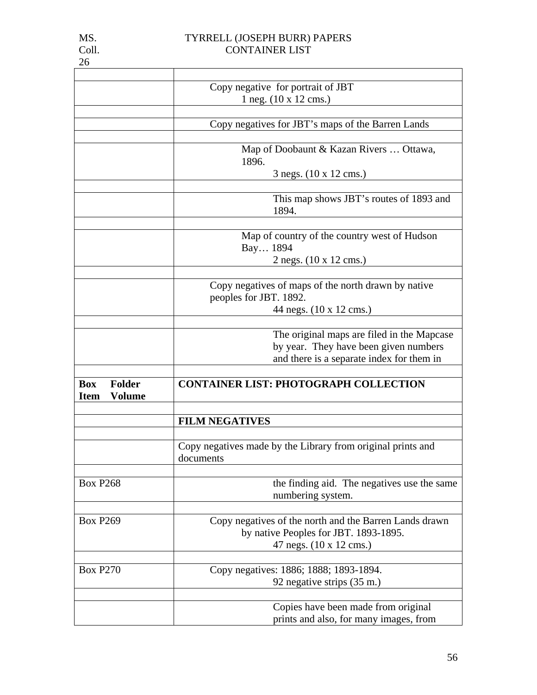|                                                             | Copy negative for portrait of JBT                                                                                                |
|-------------------------------------------------------------|----------------------------------------------------------------------------------------------------------------------------------|
|                                                             | 1 neg. (10 x 12 cms.)                                                                                                            |
|                                                             |                                                                                                                                  |
|                                                             | Copy negatives for JBT's maps of the Barren Lands                                                                                |
|                                                             |                                                                                                                                  |
|                                                             | Map of Doobaunt & Kazan Rivers  Ottawa,<br>1896.                                                                                 |
|                                                             | 3 negs. (10 x 12 cms.)                                                                                                           |
|                                                             | This map shows JBT's routes of 1893 and<br>1894.                                                                                 |
|                                                             | Map of country of the country west of Hudson<br>Bay 1894<br>2 negs. (10 x 12 cms.)                                               |
|                                                             | Copy negatives of maps of the north drawn by native<br>peoples for JBT. 1892.<br>44 negs. (10 x 12 cms.)                         |
|                                                             |                                                                                                                                  |
|                                                             | The original maps are filed in the Mapcase<br>by year. They have been given numbers<br>and there is a separate index for them in |
| <b>Folder</b><br><b>Box</b><br><b>Volume</b><br><b>Item</b> | <b>CONTAINER LIST: PHOTOGRAPH COLLECTION</b>                                                                                     |
|                                                             |                                                                                                                                  |
|                                                             | <b>FILM NEGATIVES</b>                                                                                                            |
|                                                             | Copy negatives made by the Library from original prints and<br>documents                                                         |
| <b>Box P268</b>                                             | the finding aid. The negatives use the same<br>numbering system.                                                                 |
| <b>Box P269</b>                                             | Copy negatives of the north and the Barren Lands drawn<br>by native Peoples for JBT. 1893-1895.<br>47 negs. (10 x 12 cms.)       |
| <b>Box P270</b>                                             | Copy negatives: 1886; 1888; 1893-1894.<br>92 negative strips (35 m.)                                                             |
|                                                             | Copies have been made from original<br>prints and also, for many images, from                                                    |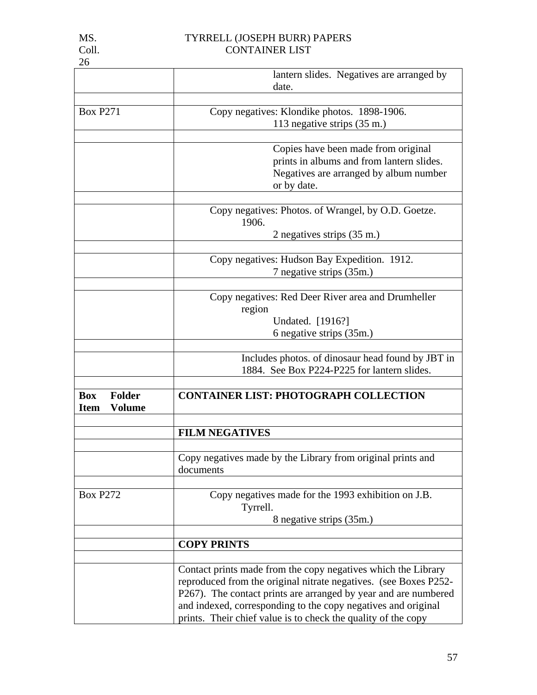| 26                                                          |                                                                                                                                                                                                                                                                                                                                        |
|-------------------------------------------------------------|----------------------------------------------------------------------------------------------------------------------------------------------------------------------------------------------------------------------------------------------------------------------------------------------------------------------------------------|
|                                                             | lantern slides. Negatives are arranged by<br>date.                                                                                                                                                                                                                                                                                     |
|                                                             |                                                                                                                                                                                                                                                                                                                                        |
| <b>Box P271</b>                                             | Copy negatives: Klondike photos. 1898-1906.                                                                                                                                                                                                                                                                                            |
|                                                             | 113 negative strips (35 m.)                                                                                                                                                                                                                                                                                                            |
|                                                             |                                                                                                                                                                                                                                                                                                                                        |
|                                                             | Copies have been made from original<br>prints in albums and from lantern slides.                                                                                                                                                                                                                                                       |
|                                                             | Negatives are arranged by album number                                                                                                                                                                                                                                                                                                 |
|                                                             | or by date.                                                                                                                                                                                                                                                                                                                            |
|                                                             |                                                                                                                                                                                                                                                                                                                                        |
|                                                             | Copy negatives: Photos. of Wrangel, by O.D. Goetze.<br>1906.                                                                                                                                                                                                                                                                           |
|                                                             | 2 negatives strips (35 m.)                                                                                                                                                                                                                                                                                                             |
|                                                             |                                                                                                                                                                                                                                                                                                                                        |
|                                                             | Copy negatives: Hudson Bay Expedition. 1912.                                                                                                                                                                                                                                                                                           |
|                                                             | 7 negative strips (35m.)                                                                                                                                                                                                                                                                                                               |
|                                                             |                                                                                                                                                                                                                                                                                                                                        |
|                                                             | Copy negatives: Red Deer River area and Drumheller                                                                                                                                                                                                                                                                                     |
|                                                             | region                                                                                                                                                                                                                                                                                                                                 |
|                                                             | Undated. [1916?]                                                                                                                                                                                                                                                                                                                       |
|                                                             | 6 negative strips (35m.)                                                                                                                                                                                                                                                                                                               |
|                                                             | Includes photos. of dinosaur head found by JBT in                                                                                                                                                                                                                                                                                      |
|                                                             | 1884. See Box P224-P225 for lantern slides.                                                                                                                                                                                                                                                                                            |
|                                                             |                                                                                                                                                                                                                                                                                                                                        |
| <b>Box</b><br><b>Folder</b><br><b>Volume</b><br><b>Item</b> | <b>CONTAINER LIST: PHOTOGRAPH COLLECTION</b>                                                                                                                                                                                                                                                                                           |
|                                                             |                                                                                                                                                                                                                                                                                                                                        |
|                                                             | <b>FILM NEGATIVES</b>                                                                                                                                                                                                                                                                                                                  |
|                                                             | Copy negatives made by the Library from original prints and<br>documents                                                                                                                                                                                                                                                               |
|                                                             |                                                                                                                                                                                                                                                                                                                                        |
| <b>Box P272</b>                                             | Copy negatives made for the 1993 exhibition on J.B.<br>Tyrrell.                                                                                                                                                                                                                                                                        |
|                                                             | 8 negative strips (35m.)                                                                                                                                                                                                                                                                                                               |
|                                                             |                                                                                                                                                                                                                                                                                                                                        |
|                                                             | <b>COPY PRINTS</b>                                                                                                                                                                                                                                                                                                                     |
|                                                             | Contact prints made from the copy negatives which the Library<br>reproduced from the original nitrate negatives. (see Boxes P252-<br>P267). The contact prints are arranged by year and are numbered<br>and indexed, corresponding to the copy negatives and original<br>prints. Their chief value is to check the quality of the copy |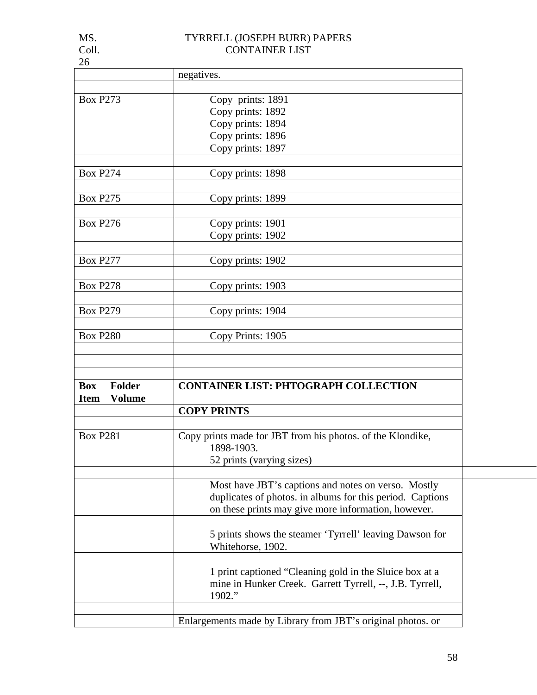| 26                           |                                                             |
|------------------------------|-------------------------------------------------------------|
|                              | negatives.                                                  |
|                              |                                                             |
| <b>Box P273</b>              | Copy prints: 1891                                           |
|                              | Copy prints: 1892                                           |
|                              | Copy prints: 1894                                           |
|                              | Copy prints: 1896                                           |
|                              | Copy prints: 1897                                           |
| <b>Box P274</b>              | Copy prints: 1898                                           |
|                              |                                                             |
| <b>Box P275</b>              | Copy prints: 1899                                           |
| <b>Box P276</b>              | Copy prints: 1901                                           |
|                              | Copy prints: 1902                                           |
| <b>Box P277</b>              | Copy prints: 1902                                           |
|                              |                                                             |
| <b>Box P278</b>              | Copy prints: 1903                                           |
| <b>Box P279</b>              | Copy prints: 1904                                           |
|                              |                                                             |
| <b>Box P280</b>              | Copy Prints: 1905                                           |
|                              |                                                             |
| <b>Folder</b><br><b>Box</b>  | <b>CONTAINER LIST: PHTOGRAPH COLLECTION</b>                 |
| <b>Volume</b><br><b>Item</b> |                                                             |
|                              | <b>COPY PRINTS</b>                                          |
|                              |                                                             |
| <b>Box P281</b>              | Copy prints made for JBT from his photos. of the Klondike,  |
|                              | 1898-1903                                                   |
|                              | 52 prints (varying sizes)                                   |
|                              |                                                             |
|                              | Most have JBT's captions and notes on verso. Mostly         |
|                              | duplicates of photos. in albums for this period. Captions   |
|                              | on these prints may give more information, however.         |
|                              | 5 prints shows the steamer 'Tyrrell' leaving Dawson for     |
|                              | Whitehorse, 1902.                                           |
|                              | 1 print captioned "Cleaning gold in the Sluice box at a     |
|                              | mine in Hunker Creek. Garrett Tyrrell, --, J.B. Tyrrell,    |
|                              | 1902."                                                      |
|                              | Enlargements made by Library from JBT's original photos. or |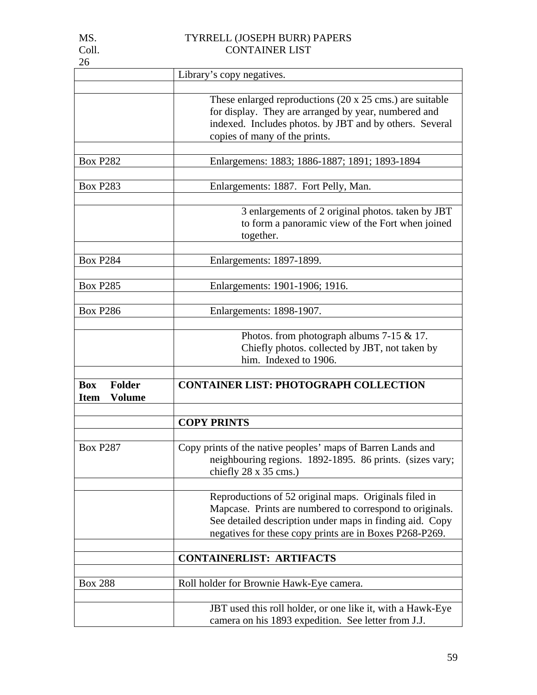| 26                                                          |                                                                                                                                                                                                                                          |
|-------------------------------------------------------------|------------------------------------------------------------------------------------------------------------------------------------------------------------------------------------------------------------------------------------------|
|                                                             | Library's copy negatives.                                                                                                                                                                                                                |
|                                                             |                                                                                                                                                                                                                                          |
|                                                             | These enlarged reproductions $(20 \times 25 \text{ cm s.})$ are suitable<br>for display. They are arranged by year, numbered and<br>indexed. Includes photos. by JBT and by others. Several<br>copies of many of the prints.             |
|                                                             |                                                                                                                                                                                                                                          |
| <b>Box P282</b>                                             | Enlargemens: 1883; 1886-1887; 1891; 1893-1894                                                                                                                                                                                            |
| <b>Box P283</b>                                             | Enlargements: 1887. Fort Pelly, Man.                                                                                                                                                                                                     |
|                                                             | 3 enlargements of 2 original photos. taken by JBT<br>to form a panoramic view of the Fort when joined<br>together.                                                                                                                       |
| <b>Box P284</b>                                             | Enlargements: 1897-1899.                                                                                                                                                                                                                 |
|                                                             |                                                                                                                                                                                                                                          |
| <b>Box P285</b>                                             | Enlargements: 1901-1906; 1916.                                                                                                                                                                                                           |
|                                                             |                                                                                                                                                                                                                                          |
| <b>Box P286</b>                                             | Enlargements: 1898-1907.                                                                                                                                                                                                                 |
|                                                             | Photos. from photograph albums $7-15$ & 17.<br>Chiefly photos. collected by JBT, not taken by<br>him. Indexed to 1906.                                                                                                                   |
|                                                             |                                                                                                                                                                                                                                          |
| <b>Folder</b><br><b>Box</b><br><b>Volume</b><br><b>Item</b> | <b>CONTAINER LIST: PHOTOGRAPH COLLECTION</b>                                                                                                                                                                                             |
|                                                             |                                                                                                                                                                                                                                          |
|                                                             | <b>COPY PRINTS</b>                                                                                                                                                                                                                       |
| <b>Box P287</b>                                             | Copy prints of the native peoples' maps of Barren Lands and<br>neighbouring regions. 1892-1895. 86 prints. (sizes vary;<br>chiefly $28 \times 35$ cms.)                                                                                  |
|                                                             | Reproductions of 52 original maps. Originals filed in<br>Mapcase. Prints are numbered to correspond to originals.<br>See detailed description under maps in finding aid. Copy<br>negatives for these copy prints are in Boxes P268-P269. |
|                                                             | <b>CONTAINERLIST: ARTIFACTS</b>                                                                                                                                                                                                          |
|                                                             |                                                                                                                                                                                                                                          |
| <b>Box 288</b>                                              | Roll holder for Brownie Hawk-Eye camera.                                                                                                                                                                                                 |
|                                                             | JBT used this roll holder, or one like it, with a Hawk-Eye<br>camera on his 1893 expedition. See letter from J.J.                                                                                                                        |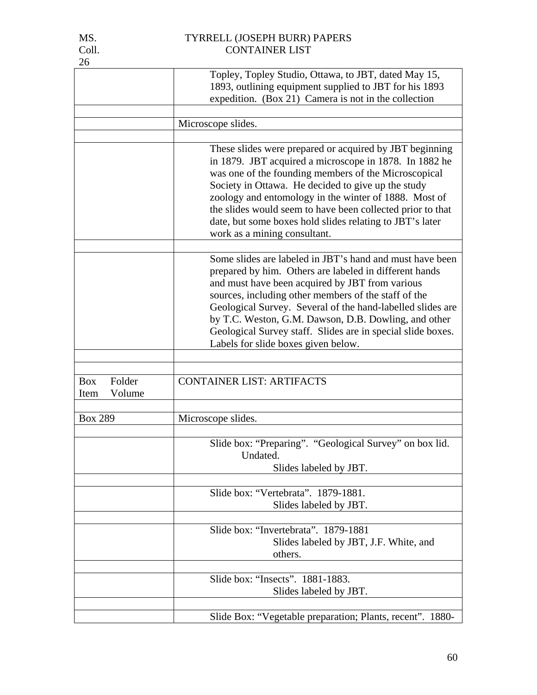| 26                                     |                                                                                                                                                                                                                                                                                                                                                                                                                                                           |
|----------------------------------------|-----------------------------------------------------------------------------------------------------------------------------------------------------------------------------------------------------------------------------------------------------------------------------------------------------------------------------------------------------------------------------------------------------------------------------------------------------------|
|                                        | Topley, Topley Studio, Ottawa, to JBT, dated May 15,<br>1893, outlining equipment supplied to JBT for his 1893<br>expedition. (Box 21) Camera is not in the collection                                                                                                                                                                                                                                                                                    |
|                                        | Microscope slides.                                                                                                                                                                                                                                                                                                                                                                                                                                        |
|                                        |                                                                                                                                                                                                                                                                                                                                                                                                                                                           |
|                                        | These slides were prepared or acquired by JBT beginning<br>in 1879. JBT acquired a microscope in 1878. In 1882 he<br>was one of the founding members of the Microscopical<br>Society in Ottawa. He decided to give up the study<br>zoology and entomology in the winter of 1888. Most of<br>the slides would seem to have been collected prior to that<br>date, but some boxes hold slides relating to JBT's later<br>work as a mining consultant.        |
|                                        | Some slides are labeled in JBT's hand and must have been<br>prepared by him. Others are labeled in different hands<br>and must have been acquired by JBT from various<br>sources, including other members of the staff of the<br>Geological Survey. Several of the hand-labelled slides are<br>by T.C. Weston, G.M. Dawson, D.B. Dowling, and other<br>Geological Survey staff. Slides are in special slide boxes.<br>Labels for slide boxes given below. |
|                                        |                                                                                                                                                                                                                                                                                                                                                                                                                                                           |
| Folder<br><b>Box</b><br>Volume<br>Item | <b>CONTAINER LIST: ARTIFACTS</b>                                                                                                                                                                                                                                                                                                                                                                                                                          |
| <b>Box 289</b>                         | Microscope slides.                                                                                                                                                                                                                                                                                                                                                                                                                                        |
|                                        | Slide box: "Preparing". "Geological Survey" on box lid.<br>Undated.<br>Slides labeled by JBT.                                                                                                                                                                                                                                                                                                                                                             |
|                                        | Slide box: "Vertebrata". 1879-1881.<br>Slides labeled by JBT.                                                                                                                                                                                                                                                                                                                                                                                             |
|                                        | Slide box: "Invertebrata". 1879-1881<br>Slides labeled by JBT, J.F. White, and<br>others.                                                                                                                                                                                                                                                                                                                                                                 |
|                                        | Slide box: "Insects". 1881-1883.<br>Slides labeled by JBT.                                                                                                                                                                                                                                                                                                                                                                                                |
|                                        | Slide Box: "Vegetable preparation; Plants, recent". 1880-                                                                                                                                                                                                                                                                                                                                                                                                 |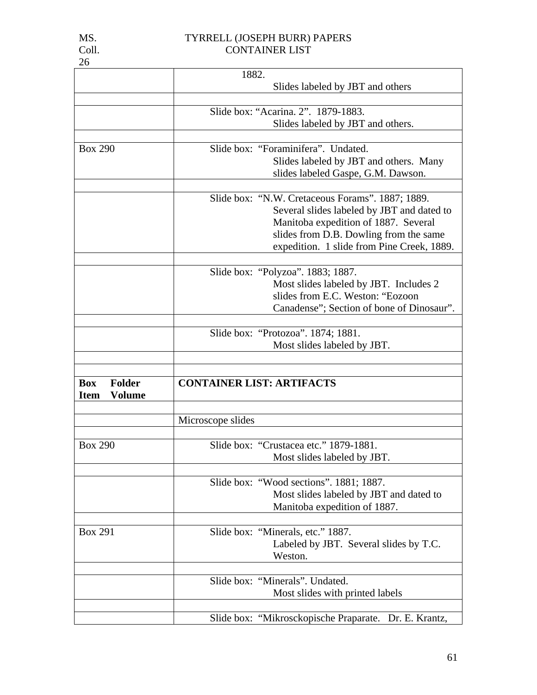|                              | 1882.                                                 |
|------------------------------|-------------------------------------------------------|
|                              | Slides labeled by JBT and others                      |
|                              |                                                       |
|                              | Slide box: "Acarina. 2". 1879-1883.                   |
|                              | Slides labeled by JBT and others.                     |
|                              |                                                       |
| <b>Box 290</b>               | Slide box: "Foraminifera". Undated.                   |
|                              | Slides labeled by JBT and others. Many                |
|                              | slides labeled Gaspe, G.M. Dawson.                    |
|                              |                                                       |
|                              | Slide box: "N.W. Cretaceous Forams". 1887; 1889.      |
|                              | Several slides labeled by JBT and dated to            |
|                              | Manitoba expedition of 1887. Several                  |
|                              | slides from D.B. Dowling from the same                |
|                              | expedition. 1 slide from Pine Creek, 1889.            |
|                              |                                                       |
|                              | Slide box: "Polyzoa". 1883; 1887.                     |
|                              | Most slides labeled by JBT. Includes 2                |
|                              | slides from E.C. Weston: "Eozoon                      |
|                              | Canadense"; Section of bone of Dinosaur".             |
|                              |                                                       |
|                              | Slide box: "Protozoa". 1874; 1881.                    |
|                              | Most slides labeled by JBT.                           |
|                              |                                                       |
|                              |                                                       |
| <b>Folder</b><br><b>Box</b>  | <b>CONTAINER LIST: ARTIFACTS</b>                      |
| <b>Volume</b><br><b>Item</b> |                                                       |
|                              |                                                       |
|                              | Microscope slides                                     |
|                              |                                                       |
| <b>Box 290</b>               | Slide box: "Crustacea etc." 1879-1881.                |
|                              | Most slides labeled by JBT.                           |
|                              |                                                       |
|                              | Slide box: "Wood sections". 1881; 1887.               |
|                              | Most slides labeled by JBT and dated to               |
|                              | Manitoba expedition of 1887.                          |
|                              |                                                       |
| <b>Box 291</b>               | Slide box: "Minerals, etc." 1887.                     |
|                              | Labeled by JBT. Several slides by T.C.                |
|                              | Weston.                                               |
|                              |                                                       |
|                              | Slide box: "Minerals". Undated.                       |
|                              | Most slides with printed labels                       |
|                              |                                                       |
|                              | Slide box: "Mikrosckopische Praparate. Dr. E. Krantz, |
|                              |                                                       |